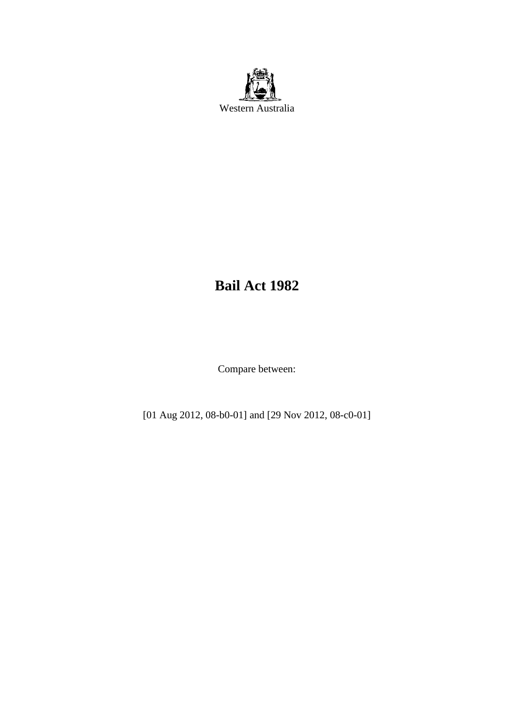

# **Bail Act 1982**

Compare between:

[01 Aug 2012, 08-b0-01] and [29 Nov 2012, 08-c0-01]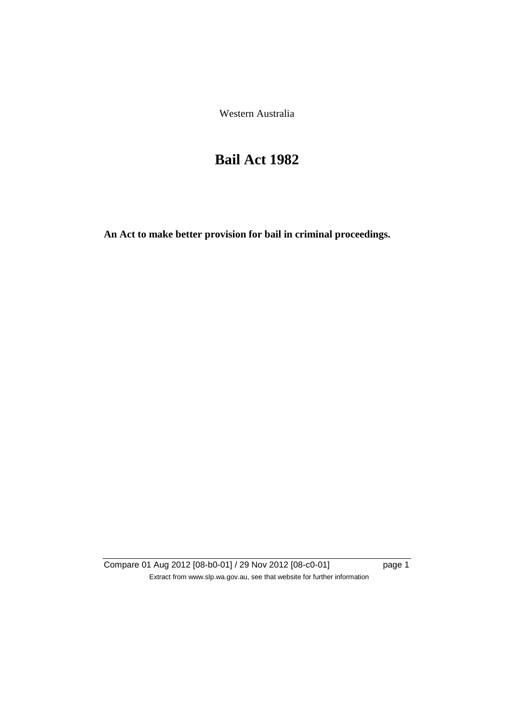Western Australia

# **Bail Act 1982**

**An Act to make better provision for bail in criminal proceedings.** 

Compare 01 Aug 2012 [08-b0-01] / 29 Nov 2012 [08-c0-01] page 1 Extract from www.slp.wa.gov.au, see that website for further information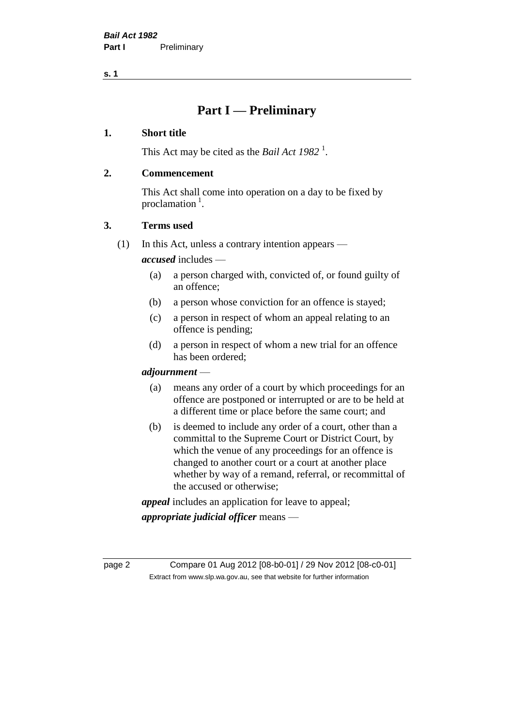**s. 1**

## **Part I — Preliminary**

#### **1. Short title**

This Act may be cited as the *Bail Act* 1982<sup>1</sup>.

#### **2. Commencement**

This Act shall come into operation on a day to be fixed by proclamation  $<sup>1</sup>$ .</sup>

#### **3. Terms used**

(1) In this Act, unless a contrary intention appears —

*accused* includes —

- (a) a person charged with, convicted of, or found guilty of an offence;
- (b) a person whose conviction for an offence is stayed;
- (c) a person in respect of whom an appeal relating to an offence is pending;
- (d) a person in respect of whom a new trial for an offence has been ordered;

#### *adjournment* —

- (a) means any order of a court by which proceedings for an offence are postponed or interrupted or are to be held at a different time or place before the same court; and
- (b) is deemed to include any order of a court, other than a committal to the Supreme Court or District Court, by which the venue of any proceedings for an offence is changed to another court or a court at another place whether by way of a remand, referral, or recommittal of the accused or otherwise;

*appeal* includes an application for leave to appeal;

*appropriate judicial officer* means —

page 2 Compare 01 Aug 2012 [08-b0-01] / 29 Nov 2012 [08-c0-01] Extract from www.slp.wa.gov.au, see that website for further information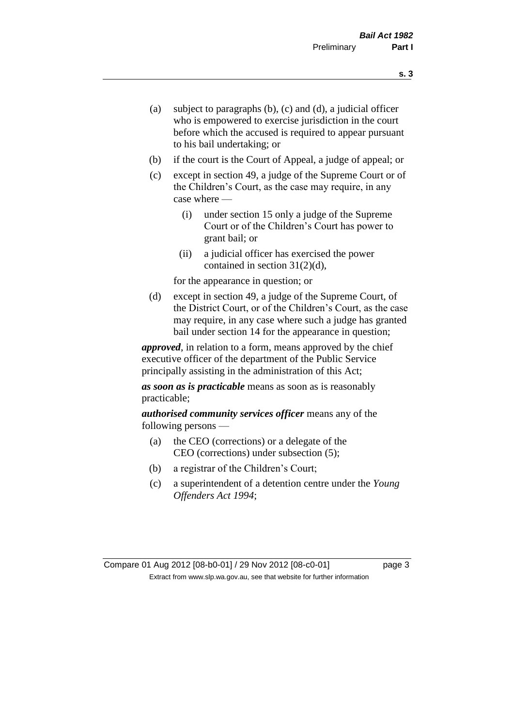- (a) subject to paragraphs (b), (c) and (d), a judicial officer who is empowered to exercise jurisdiction in the court before which the accused is required to appear pursuant to his bail undertaking; or
- (b) if the court is the Court of Appeal, a judge of appeal; or
- (c) except in section 49, a judge of the Supreme Court or of the Children's Court, as the case may require, in any case where —
	- (i) under section 15 only a judge of the Supreme Court or of the Children's Court has power to grant bail; or
	- (ii) a judicial officer has exercised the power contained in section 31(2)(d),

for the appearance in question; or

(d) except in section 49, a judge of the Supreme Court, of the District Court, or of the Children's Court, as the case may require, in any case where such a judge has granted bail under section 14 for the appearance in question;

*approved*, in relation to a form, means approved by the chief executive officer of the department of the Public Service principally assisting in the administration of this Act;

*as soon as is practicable* means as soon as is reasonably practicable;

*authorised community services officer* means any of the following persons —

- (a) the CEO (corrections) or a delegate of the CEO (corrections) under subsection (5);
- (b) a registrar of the Children's Court;
- (c) a superintendent of a detention centre under the *Young Offenders Act 1994*;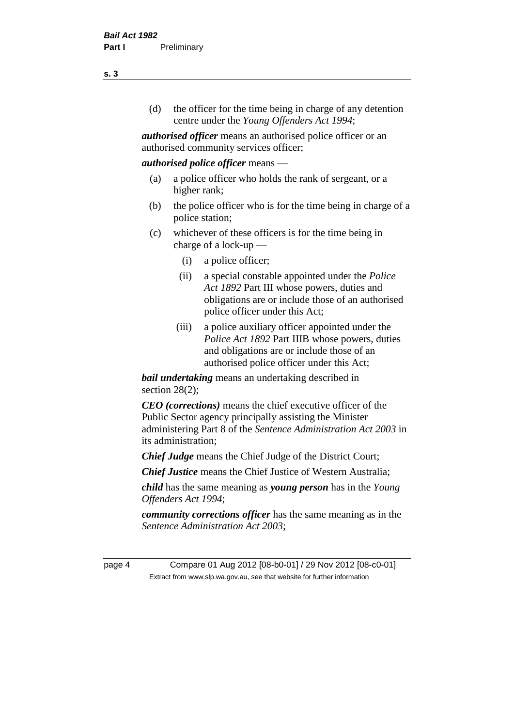(d) the officer for the time being in charge of any detention centre under the *Young Offenders Act 1994*;

*authorised officer* means an authorised police officer or an authorised community services officer;

#### *authorised police officer* means —

- (a) a police officer who holds the rank of sergeant, or a higher rank;
- (b) the police officer who is for the time being in charge of a police station;
- (c) whichever of these officers is for the time being in charge of a lock-up —
	- (i) a police officer;
	- (ii) a special constable appointed under the *Police Act 1892* Part III whose powers, duties and obligations are or include those of an authorised police officer under this Act;
	- (iii) a police auxiliary officer appointed under the *Police Act 1892* Part IIIB whose powers, duties and obligations are or include those of an authorised police officer under this Act;

*bail undertaking* means an undertaking described in section  $28(2)$ ;

*CEO (corrections)* means the chief executive officer of the Public Sector agency principally assisting the Minister administering Part 8 of the *Sentence Administration Act 2003* in its administration;

*Chief Judge* means the Chief Judge of the District Court;

*Chief Justice* means the Chief Justice of Western Australia;

*child* has the same meaning as *young person* has in the *Young Offenders Act 1994*;

*community corrections officer* has the same meaning as in the *Sentence Administration Act 2003*;

page 4 Compare 01 Aug 2012 [08-b0-01] / 29 Nov 2012 [08-c0-01] Extract from www.slp.wa.gov.au, see that website for further information

#### **s. 3**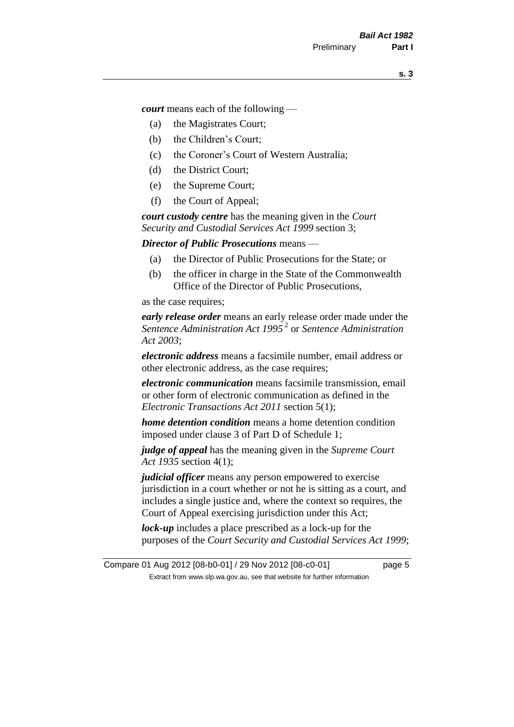*court* means each of the following —

- (a) the Magistrates Court;
- (b) the Children's Court;
- (c) the Coroner's Court of Western Australia;
- (d) the District Court;
- (e) the Supreme Court;
- (f) the Court of Appeal;

*court custody centre* has the meaning given in the *Court Security and Custodial Services Act 1999* section 3;

*Director of Public Prosecutions* means —

- (a) the Director of Public Prosecutions for the State; or
- (b) the officer in charge in the State of the Commonwealth Office of the Director of Public Prosecutions,

as the case requires;

*early release order* means an early release order made under the *Sentence Administration Act 1995* <sup>2</sup> or *Sentence Administration Act 2003*;

*electronic address* means a facsimile number, email address or other electronic address, as the case requires;

*electronic communication* means facsimile transmission, email or other form of electronic communication as defined in the *Electronic Transactions Act 2011* section 5(1);

*home detention condition* means a home detention condition imposed under clause 3 of Part D of Schedule 1;

*judge of appeal* has the meaning given in the *Supreme Court Act 1935* section 4(1);

*judicial officer* means any person empowered to exercise jurisdiction in a court whether or not he is sitting as a court, and includes a single justice and, where the context so requires, the Court of Appeal exercising jurisdiction under this Act;

*lock-up* includes a place prescribed as a lock-up for the purposes of the *Court Security and Custodial Services Act 1999*;

Compare 01 Aug 2012 [08-b0-01] / 29 Nov 2012 [08-c0-01] page 5 Extract from www.slp.wa.gov.au, see that website for further information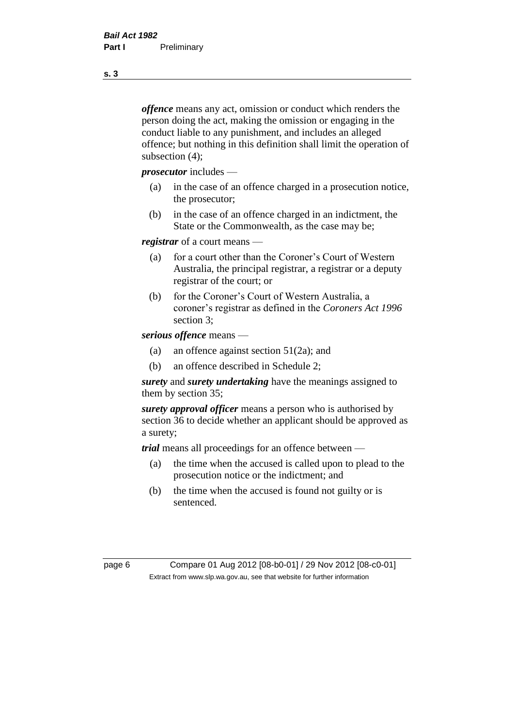*offence* means any act, omission or conduct which renders the person doing the act, making the omission or engaging in the conduct liable to any punishment, and includes an alleged offence; but nothing in this definition shall limit the operation of subsection (4);

*prosecutor* includes —

- (a) in the case of an offence charged in a prosecution notice, the prosecutor;
- (b) in the case of an offence charged in an indictment, the State or the Commonwealth, as the case may be;

*registrar* of a court means —

- (a) for a court other than the Coroner's Court of Western Australia, the principal registrar, a registrar or a deputy registrar of the court; or
- (b) for the Coroner's Court of Western Australia, a coroner's registrar as defined in the *Coroners Act 1996* section 3;

*serious offence* means —

- (a) an offence against section 51(2a); and
- (b) an offence described in Schedule 2;

*surety* and *surety undertaking* have the meanings assigned to them by section 35;

*surety approval officer* means a person who is authorised by section 36 to decide whether an applicant should be approved as a surety;

*trial* means all proceedings for an offence between —

- (a) the time when the accused is called upon to plead to the prosecution notice or the indictment; and
- (b) the time when the accused is found not guilty or is sentenced.

page 6 Compare 01 Aug 2012 [08-b0-01] / 29 Nov 2012 [08-c0-01] Extract from www.slp.wa.gov.au, see that website for further information

**s. 3**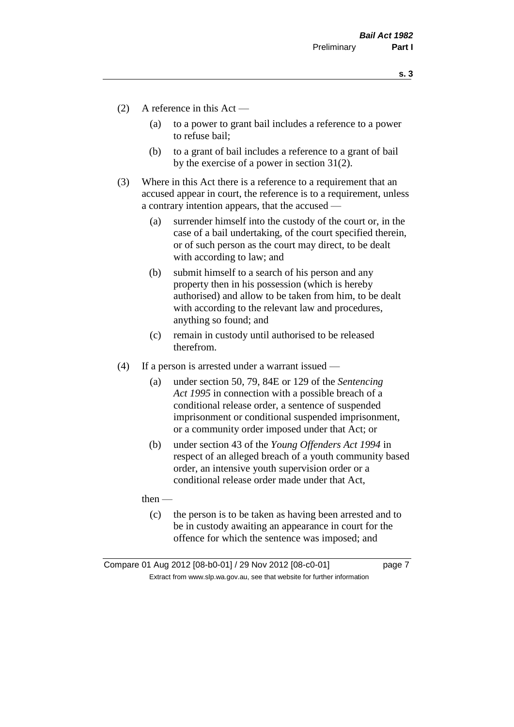**s. 3**

- (2) A reference in this Act
	- (a) to a power to grant bail includes a reference to a power to refuse bail;
	- (b) to a grant of bail includes a reference to a grant of bail by the exercise of a power in section 31(2).
- (3) Where in this Act there is a reference to a requirement that an accused appear in court, the reference is to a requirement, unless a contrary intention appears, that the accused —
	- (a) surrender himself into the custody of the court or, in the case of a bail undertaking, of the court specified therein, or of such person as the court may direct, to be dealt with according to law; and
	- (b) submit himself to a search of his person and any property then in his possession (which is hereby authorised) and allow to be taken from him, to be dealt with according to the relevant law and procedures, anything so found; and
	- (c) remain in custody until authorised to be released therefrom.
- (4) If a person is arrested under a warrant issued
	- (a) under section 50, 79, 84E or 129 of the *Sentencing Act 1995* in connection with a possible breach of a conditional release order, a sentence of suspended imprisonment or conditional suspended imprisonment, or a community order imposed under that Act; or
	- (b) under section 43 of the *Young Offenders Act 1994* in respect of an alleged breach of a youth community based order, an intensive youth supervision order or a conditional release order made under that Act,

then —

(c) the person is to be taken as having been arrested and to be in custody awaiting an appearance in court for the offence for which the sentence was imposed; and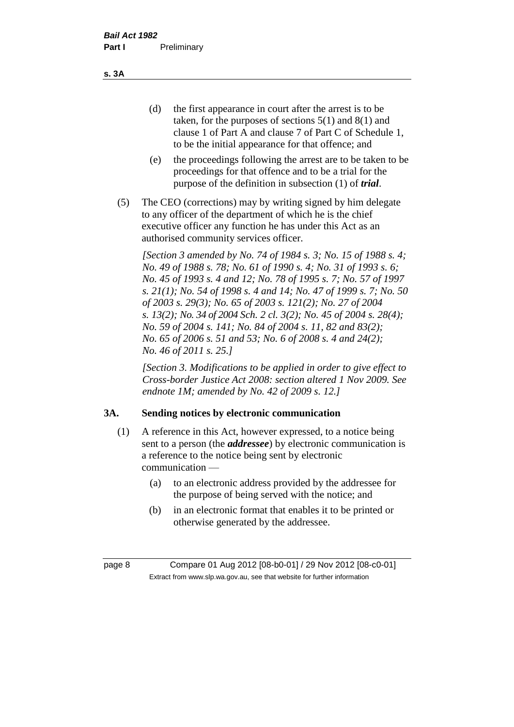(d) the first appearance in court after the arrest is to be taken, for the purposes of sections 5(1) and 8(1) and clause 1 of Part A and clause 7 of Part C of Schedule 1, to be the initial appearance for that offence; and

- (e) the proceedings following the arrest are to be taken to be proceedings for that offence and to be a trial for the purpose of the definition in subsection (1) of *trial*.
- (5) The CEO (corrections) may by writing signed by him delegate to any officer of the department of which he is the chief executive officer any function he has under this Act as an authorised community services officer.

*[Section 3 amended by No. 74 of 1984 s. 3; No. 15 of 1988 s. 4; No. 49 of 1988 s. 78; No. 61 of 1990 s. 4; No. 31 of 1993 s. 6; No. 45 of 1993 s. 4 and 12; No. 78 of 1995 s. 7; No. 57 of 1997 s. 21(1); No. 54 of 1998 s. 4 and 14; No. 47 of 1999 s. 7; No. 50 of 2003 s. 29(3); No. 65 of 2003 s. 121(2); No. 27 of 2004 s. 13(2); No. 34 of 2004 Sch. 2 cl. 3(2); No. 45 of 2004 s. 28(4); No. 59 of 2004 s. 141; No. 84 of 2004 s. 11, 82 and 83(2); No. 65 of 2006 s. 51 and 53; No. 6 of 2008 s. 4 and 24(2); No. 46 of 2011 s. 25.]* 

*[Section 3. Modifications to be applied in order to give effect to Cross-border Justice Act 2008: section altered 1 Nov 2009. See endnote 1M; amended by No. 42 of 2009 s. 12.]*

#### **3A. Sending notices by electronic communication**

- (1) A reference in this Act, however expressed, to a notice being sent to a person (the *addressee*) by electronic communication is a reference to the notice being sent by electronic communication —
	- (a) to an electronic address provided by the addressee for the purpose of being served with the notice; and
	- (b) in an electronic format that enables it to be printed or otherwise generated by the addressee.

**s. 3A**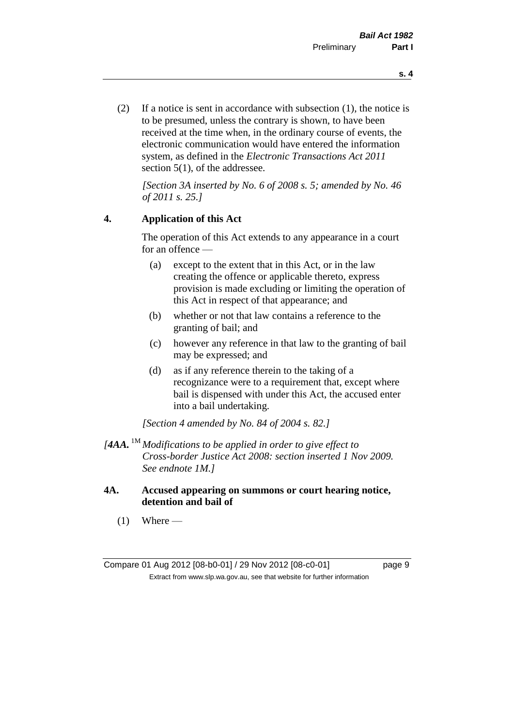(2) If a notice is sent in accordance with subsection (1), the notice is to be presumed, unless the contrary is shown, to have been received at the time when, in the ordinary course of events, the electronic communication would have entered the information system, as defined in the *Electronic Transactions Act 2011* section 5(1), of the addressee.

*[Section 3A inserted by No. 6 of 2008 s. 5; amended by No. 46 of 2011 s. 25.]*

#### **4. Application of this Act**

The operation of this Act extends to any appearance in a court for an offence —

- (a) except to the extent that in this Act, or in the law creating the offence or applicable thereto, express provision is made excluding or limiting the operation of this Act in respect of that appearance; and
- (b) whether or not that law contains a reference to the granting of bail; and
- (c) however any reference in that law to the granting of bail may be expressed; and
- (d) as if any reference therein to the taking of a recognizance were to a requirement that, except where bail is dispensed with under this Act, the accused enter into a bail undertaking.

*[Section 4 amended by No. 84 of 2004 s. 82.]*

- *[4AA.* 1M *Modifications to be applied in order to give effect to Cross-border Justice Act 2008: section inserted 1 Nov 2009. See endnote 1M.]*
- **4A. Accused appearing on summons or court hearing notice, detention and bail of**
	- $(1)$  Where —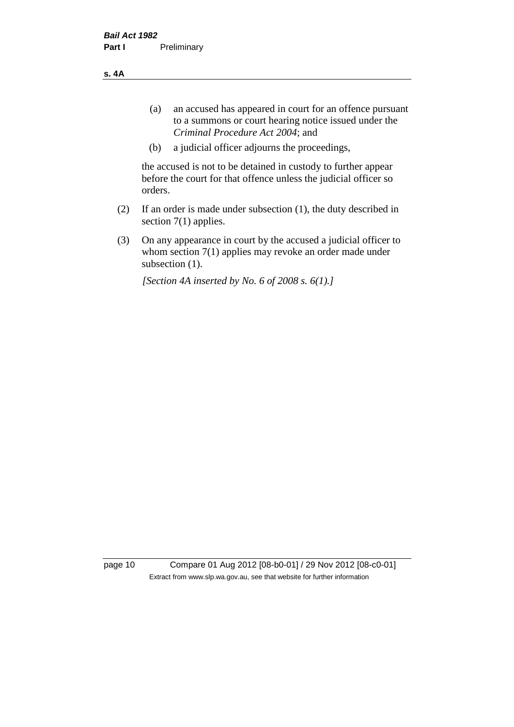**s. 4A**

- (a) an accused has appeared in court for an offence pursuant to a summons or court hearing notice issued under the *Criminal Procedure Act 2004*; and
- (b) a judicial officer adjourns the proceedings,

the accused is not to be detained in custody to further appear before the court for that offence unless the judicial officer so orders.

- (2) If an order is made under subsection (1), the duty described in section 7(1) applies.
- (3) On any appearance in court by the accused a judicial officer to whom section 7(1) applies may revoke an order made under subsection  $(1)$ .

*[Section 4A inserted by No. 6 of 2008 s. 6(1).]*

page 10 Compare 01 Aug 2012 [08-b0-01] / 29 Nov 2012 [08-c0-01] Extract from www.slp.wa.gov.au, see that website for further information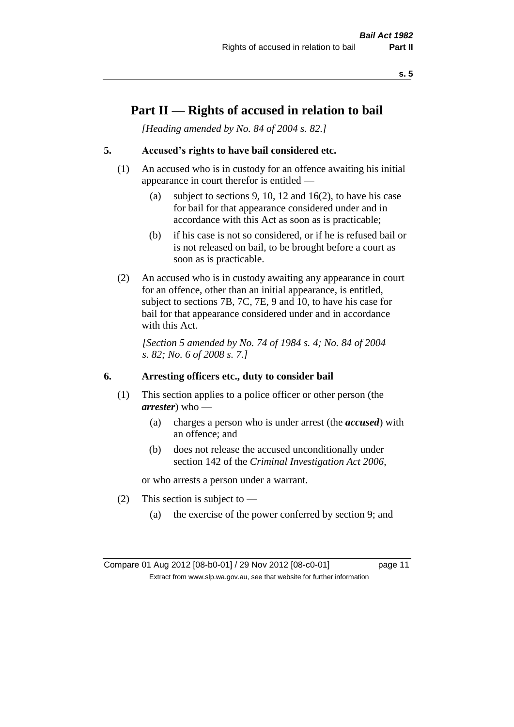**s. 5**

# **Part II — Rights of accused in relation to bail**

*[Heading amended by No. 84 of 2004 s. 82.]* 

#### **5. Accused's rights to have bail considered etc.**

- (1) An accused who is in custody for an offence awaiting his initial appearance in court therefor is entitled —
	- (a) subject to sections 9, 10, 12 and 16(2), to have his case for bail for that appearance considered under and in accordance with this Act as soon as is practicable;
	- (b) if his case is not so considered, or if he is refused bail or is not released on bail, to be brought before a court as soon as is practicable.
- (2) An accused who is in custody awaiting any appearance in court for an offence, other than an initial appearance, is entitled, subject to sections 7B, 7C, 7E, 9 and 10, to have his case for bail for that appearance considered under and in accordance with this Act.

*[Section 5 amended by No. 74 of 1984 s. 4; No. 84 of 2004 s. 82; No. 6 of 2008 s. 7.]* 

#### **6. Arresting officers etc., duty to consider bail**

- (1) This section applies to a police officer or other person (the *arrester*) who —
	- (a) charges a person who is under arrest (the *accused*) with an offence; and
	- (b) does not release the accused unconditionally under section 142 of the *Criminal Investigation Act 2006*,

or who arrests a person under a warrant.

- (2) This section is subject to  $-$ 
	- (a) the exercise of the power conferred by section 9; and

Compare 01 Aug 2012 [08-b0-01] / 29 Nov 2012 [08-c0-01] page 11 Extract from www.slp.wa.gov.au, see that website for further information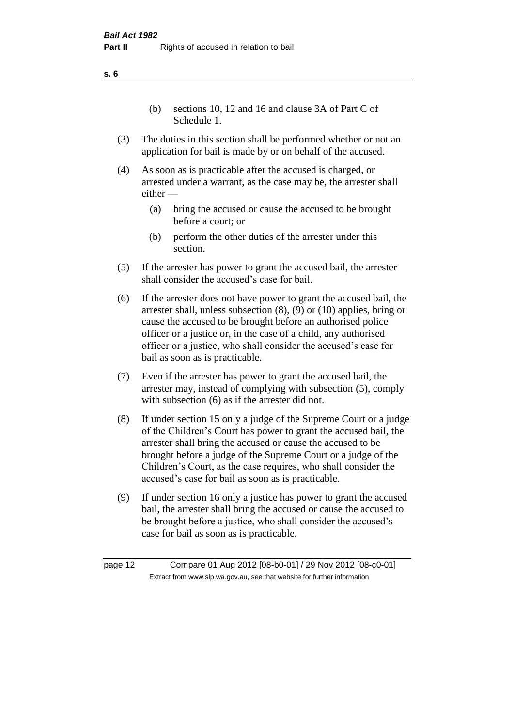(b) sections 10, 12 and 16 and clause 3A of Part C of Schedule 1.

- (3) The duties in this section shall be performed whether or not an application for bail is made by or on behalf of the accused.
- (4) As soon as is practicable after the accused is charged, or arrested under a warrant, as the case may be, the arrester shall either —
	- (a) bring the accused or cause the accused to be brought before a court; or
	- (b) perform the other duties of the arrester under this section.
- (5) If the arrester has power to grant the accused bail, the arrester shall consider the accused's case for bail.
- (6) If the arrester does not have power to grant the accused bail, the arrester shall, unless subsection (8), (9) or (10) applies, bring or cause the accused to be brought before an authorised police officer or a justice or, in the case of a child, any authorised officer or a justice, who shall consider the accused's case for bail as soon as is practicable.
- (7) Even if the arrester has power to grant the accused bail, the arrester may, instead of complying with subsection (5), comply with subsection (6) as if the arrester did not.
- (8) If under section 15 only a judge of the Supreme Court or a judge of the Children's Court has power to grant the accused bail, the arrester shall bring the accused or cause the accused to be brought before a judge of the Supreme Court or a judge of the Children's Court, as the case requires, who shall consider the accused's case for bail as soon as is practicable.
- (9) If under section 16 only a justice has power to grant the accused bail, the arrester shall bring the accused or cause the accused to be brought before a justice, who shall consider the accused's case for bail as soon as is practicable.

page 12 Compare 01 Aug 2012 [08-b0-01] / 29 Nov 2012 [08-c0-01] Extract from www.slp.wa.gov.au, see that website for further information

**s. 6**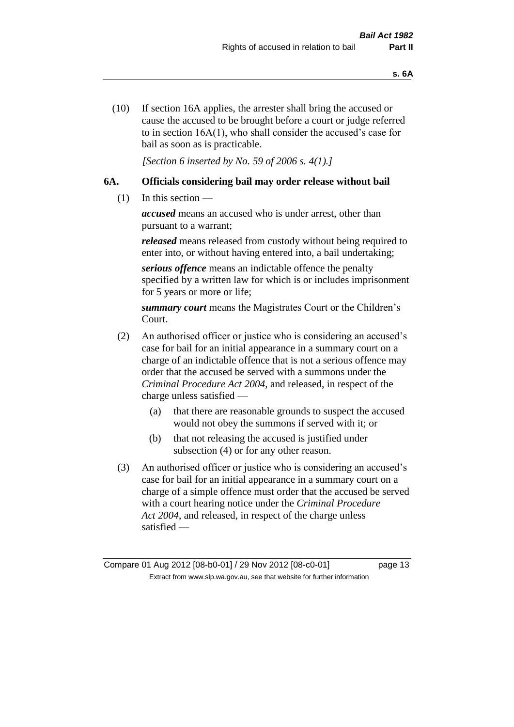(10) If section 16A applies, the arrester shall bring the accused or cause the accused to be brought before a court or judge referred to in section 16A(1), who shall consider the accused's case for bail as soon as is practicable.

*[Section 6 inserted by No. 59 of 2006 s. 4(1).]* 

#### **6A. Officials considering bail may order release without bail**

(1) In this section —

*accused* means an accused who is under arrest, other than pursuant to a warrant;

*released* means released from custody without being required to enter into, or without having entered into, a bail undertaking;

*serious offence* means an indictable offence the penalty specified by a written law for which is or includes imprisonment for 5 years or more or life;

*summary court* means the Magistrates Court or the Children's Court.

- (2) An authorised officer or justice who is considering an accused's case for bail for an initial appearance in a summary court on a charge of an indictable offence that is not a serious offence may order that the accused be served with a summons under the *Criminal Procedure Act 2004*, and released, in respect of the charge unless satisfied —
	- (a) that there are reasonable grounds to suspect the accused would not obey the summons if served with it; or
	- (b) that not releasing the accused is justified under subsection (4) or for any other reason.
- (3) An authorised officer or justice who is considering an accused's case for bail for an initial appearance in a summary court on a charge of a simple offence must order that the accused be served with a court hearing notice under the *Criminal Procedure Act 2004*, and released, in respect of the charge unless satisfied —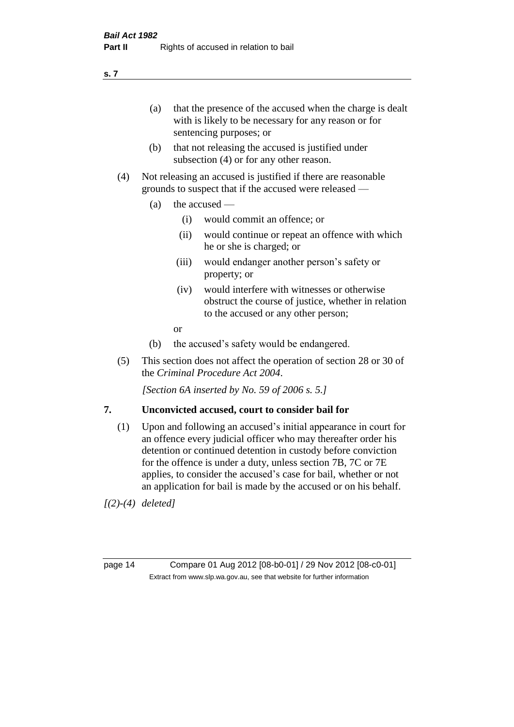(a) that the presence of the accused when the charge is dealt with is likely to be necessary for any reason or for sentencing purposes; or

- (b) that not releasing the accused is justified under subsection (4) or for any other reason.
- (4) Not releasing an accused is justified if there are reasonable grounds to suspect that if the accused were released —
	- (a) the accused  $\equiv$ 
		- (i) would commit an offence; or
		- (ii) would continue or repeat an offence with which he or she is charged; or
		- (iii) would endanger another person's safety or property; or
		- (iv) would interfere with witnesses or otherwise obstruct the course of justice, whether in relation to the accused or any other person;
		- or
	- (b) the accused's safety would be endangered.
- (5) This section does not affect the operation of section 28 or 30 of the *Criminal Procedure Act 2004*.

*[Section 6A inserted by No. 59 of 2006 s. 5.]* 

#### **7. Unconvicted accused, court to consider bail for**

(1) Upon and following an accused's initial appearance in court for an offence every judicial officer who may thereafter order his detention or continued detention in custody before conviction for the offence is under a duty, unless section 7B, 7C or 7E applies, to consider the accused's case for bail, whether or not an application for bail is made by the accused or on his behalf.

*[(2)-(4) deleted]*

page 14 Compare 01 Aug 2012 [08-b0-01] / 29 Nov 2012 [08-c0-01] Extract from www.slp.wa.gov.au, see that website for further information

**s. 7**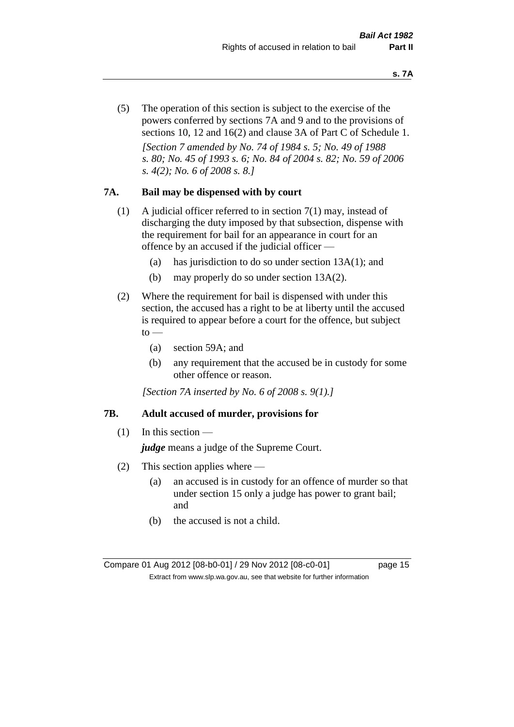(5) The operation of this section is subject to the exercise of the powers conferred by sections 7A and 9 and to the provisions of sections 10, 12 and 16(2) and clause 3A of Part C of Schedule 1. *[Section 7 amended by No. 74 of 1984 s. 5; No. 49 of 1988 s. 80; No. 45 of 1993 s. 6; No. 84 of 2004 s. 82; No. 59 of 2006 s. 4(2); No. 6 of 2008 s. 8.]* 

#### **7A. Bail may be dispensed with by court**

- (1) A judicial officer referred to in section 7(1) may, instead of discharging the duty imposed by that subsection, dispense with the requirement for bail for an appearance in court for an offence by an accused if the judicial officer —
	- (a) has jurisdiction to do so under section 13A(1); and
	- (b) may properly do so under section 13A(2).
- (2) Where the requirement for bail is dispensed with under this section, the accused has a right to be at liberty until the accused is required to appear before a court for the offence, but subject  $to$ 
	- (a) section 59A; and
	- (b) any requirement that the accused be in custody for some other offence or reason.

*[Section 7A inserted by No. 6 of 2008 s. 9(1).]*

#### **7B. Adult accused of murder, provisions for**

 $(1)$  In this section —

*judge* means a judge of the Supreme Court.

- (2) This section applies where
	- (a) an accused is in custody for an offence of murder so that under section 15 only a judge has power to grant bail; and
	- (b) the accused is not a child.

Compare 01 Aug 2012 [08-b0-01] / 29 Nov 2012 [08-c0-01] page 15 Extract from www.slp.wa.gov.au, see that website for further information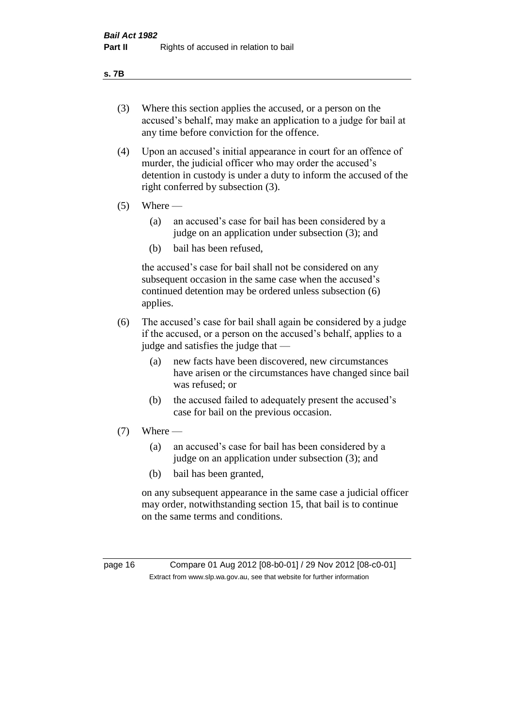#### **s. 7B**

- (3) Where this section applies the accused, or a person on the accused's behalf, may make an application to a judge for bail at any time before conviction for the offence.
- (4) Upon an accused's initial appearance in court for an offence of murder, the judicial officer who may order the accused's detention in custody is under a duty to inform the accused of the right conferred by subsection (3).
- $(5)$  Where
	- (a) an accused's case for bail has been considered by a judge on an application under subsection (3); and
	- (b) bail has been refused,

the accused's case for bail shall not be considered on any subsequent occasion in the same case when the accused's continued detention may be ordered unless subsection (6) applies.

- (6) The accused's case for bail shall again be considered by a judge if the accused, or a person on the accused's behalf, applies to a judge and satisfies the judge that —
	- (a) new facts have been discovered, new circumstances have arisen or the circumstances have changed since bail was refused; or
	- (b) the accused failed to adequately present the accused's case for bail on the previous occasion.
- $(7)$  Where
	- (a) an accused's case for bail has been considered by a judge on an application under subsection (3); and
	- (b) bail has been granted,

on any subsequent appearance in the same case a judicial officer may order, notwithstanding section 15, that bail is to continue on the same terms and conditions.

page 16 Compare 01 Aug 2012 [08-b0-01] / 29 Nov 2012 [08-c0-01] Extract from www.slp.wa.gov.au, see that website for further information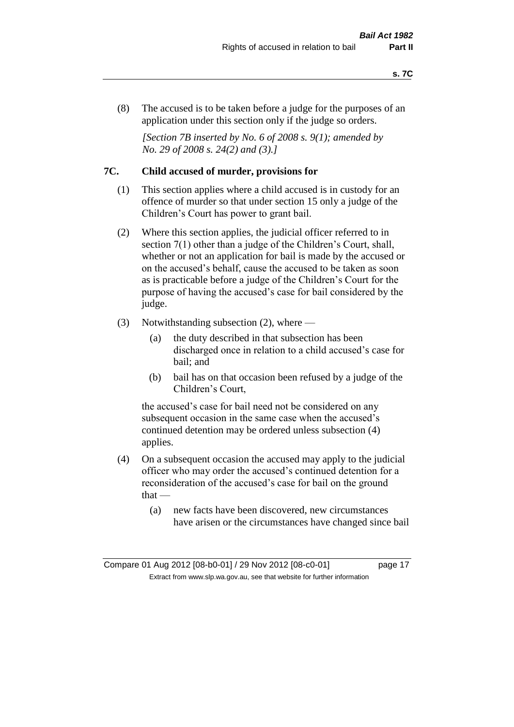(8) The accused is to be taken before a judge for the purposes of an application under this section only if the judge so orders.

*[Section 7B inserted by No. 6 of 2008 s. 9(1); amended by No. 29 of 2008 s. 24(2) and (3).]*

#### **7C. Child accused of murder, provisions for**

- (1) This section applies where a child accused is in custody for an offence of murder so that under section 15 only a judge of the Children's Court has power to grant bail.
- (2) Where this section applies, the judicial officer referred to in section 7(1) other than a judge of the Children's Court, shall, whether or not an application for bail is made by the accused or on the accused's behalf, cause the accused to be taken as soon as is practicable before a judge of the Children's Court for the purpose of having the accused's case for bail considered by the judge.
- (3) Notwithstanding subsection (2), where
	- (a) the duty described in that subsection has been discharged once in relation to a child accused's case for bail; and
	- (b) bail has on that occasion been refused by a judge of the Children's Court,

the accused's case for bail need not be considered on any subsequent occasion in the same case when the accused's continued detention may be ordered unless subsection (4) applies.

- (4) On a subsequent occasion the accused may apply to the judicial officer who may order the accused's continued detention for a reconsideration of the accused's case for bail on the ground that —
	- (a) new facts have been discovered, new circumstances have arisen or the circumstances have changed since bail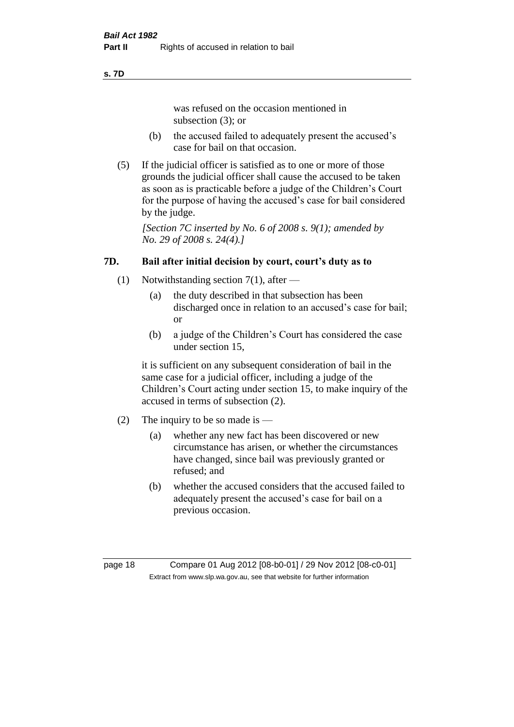#### **s. 7D**

was refused on the occasion mentioned in subsection (3); or

- (b) the accused failed to adequately present the accused's case for bail on that occasion.
- (5) If the judicial officer is satisfied as to one or more of those grounds the judicial officer shall cause the accused to be taken as soon as is practicable before a judge of the Children's Court for the purpose of having the accused's case for bail considered by the judge.

*[Section 7C inserted by No. 6 of 2008 s. 9(1); amended by No. 29 of 2008 s. 24(4).]*

### **7D. Bail after initial decision by court, court's duty as to**

- (1) Notwithstanding section 7(1), after
	- (a) the duty described in that subsection has been discharged once in relation to an accused's case for bail; or
	- (b) a judge of the Children's Court has considered the case under section 15,

it is sufficient on any subsequent consideration of bail in the same case for a judicial officer, including a judge of the Children's Court acting under section 15, to make inquiry of the accused in terms of subsection (2).

- (2) The inquiry to be so made is
	- (a) whether any new fact has been discovered or new circumstance has arisen, or whether the circumstances have changed, since bail was previously granted or refused; and
	- (b) whether the accused considers that the accused failed to adequately present the accused's case for bail on a previous occasion.

page 18 Compare 01 Aug 2012 [08-b0-01] / 29 Nov 2012 [08-c0-01] Extract from www.slp.wa.gov.au, see that website for further information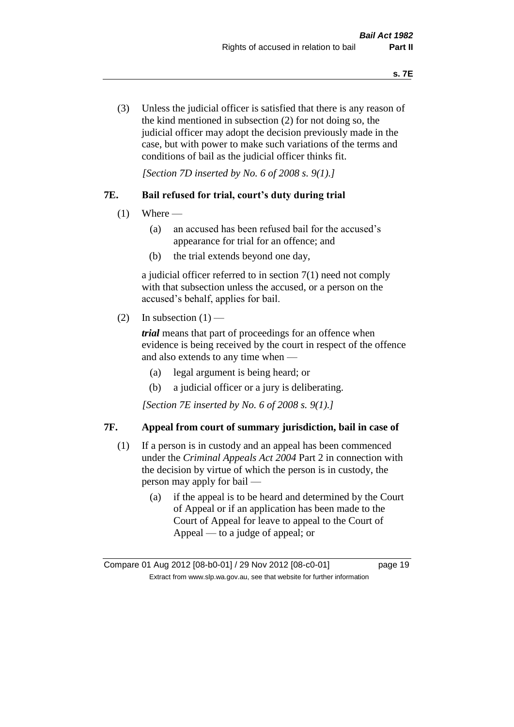(3) Unless the judicial officer is satisfied that there is any reason of the kind mentioned in subsection (2) for not doing so, the judicial officer may adopt the decision previously made in the case, but with power to make such variations of the terms and conditions of bail as the judicial officer thinks fit.

*[Section 7D inserted by No. 6 of 2008 s. 9(1).]*

#### **7E. Bail refused for trial, court's duty during trial**

- $(1)$  Where
	- (a) an accused has been refused bail for the accused's appearance for trial for an offence; and
	- (b) the trial extends beyond one day,

a judicial officer referred to in section 7(1) need not comply with that subsection unless the accused, or a person on the accused's behalf, applies for bail.

(2) In subsection  $(1)$  —

*trial* means that part of proceedings for an offence when evidence is being received by the court in respect of the offence and also extends to any time when —

- (a) legal argument is being heard; or
- (b) a judicial officer or a jury is deliberating.

*[Section 7E inserted by No. 6 of 2008 s. 9(1).]*

#### **7F. Appeal from court of summary jurisdiction, bail in case of**

- (1) If a person is in custody and an appeal has been commenced under the *Criminal Appeals Act 2004* Part 2 in connection with the decision by virtue of which the person is in custody, the person may apply for bail —
	- (a) if the appeal is to be heard and determined by the Court of Appeal or if an application has been made to the Court of Appeal for leave to appeal to the Court of Appeal — to a judge of appeal; or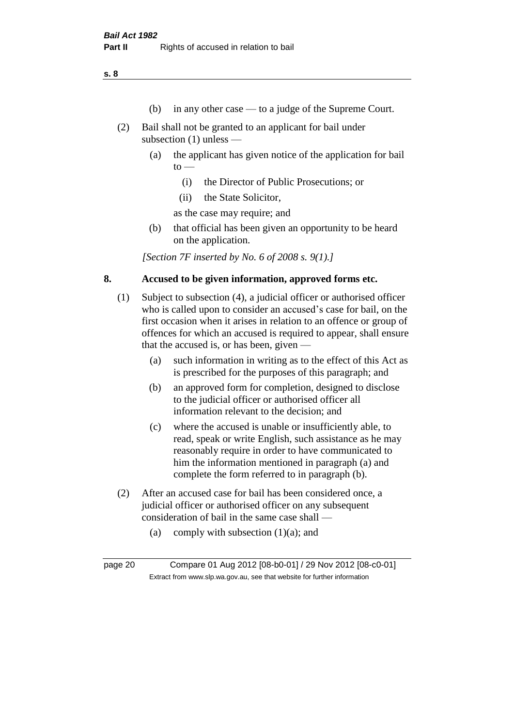**s. 8**

- (b) in any other case to a judge of the Supreme Court.
- (2) Bail shall not be granted to an applicant for bail under subsection (1) unless —
	- (a) the applicant has given notice of the application for bail  $to -$ 
		- (i) the Director of Public Prosecutions; or
		- (ii) the State Solicitor,

as the case may require; and

(b) that official has been given an opportunity to be heard on the application.

*[Section 7F inserted by No. 6 of 2008 s. 9(1).]*

#### **8. Accused to be given information, approved forms etc.**

- (1) Subject to subsection (4), a judicial officer or authorised officer who is called upon to consider an accused's case for bail, on the first occasion when it arises in relation to an offence or group of offences for which an accused is required to appear, shall ensure that the accused is, or has been, given —
	- (a) such information in writing as to the effect of this Act as is prescribed for the purposes of this paragraph; and
	- (b) an approved form for completion, designed to disclose to the judicial officer or authorised officer all information relevant to the decision; and
	- (c) where the accused is unable or insufficiently able, to read, speak or write English, such assistance as he may reasonably require in order to have communicated to him the information mentioned in paragraph (a) and complete the form referred to in paragraph (b).
- (2) After an accused case for bail has been considered once, a judicial officer or authorised officer on any subsequent consideration of bail in the same case shall —
	- (a) comply with subsection  $(1)(a)$ ; and

page 20 Compare 01 Aug 2012 [08-b0-01] / 29 Nov 2012 [08-c0-01] Extract from www.slp.wa.gov.au, see that website for further information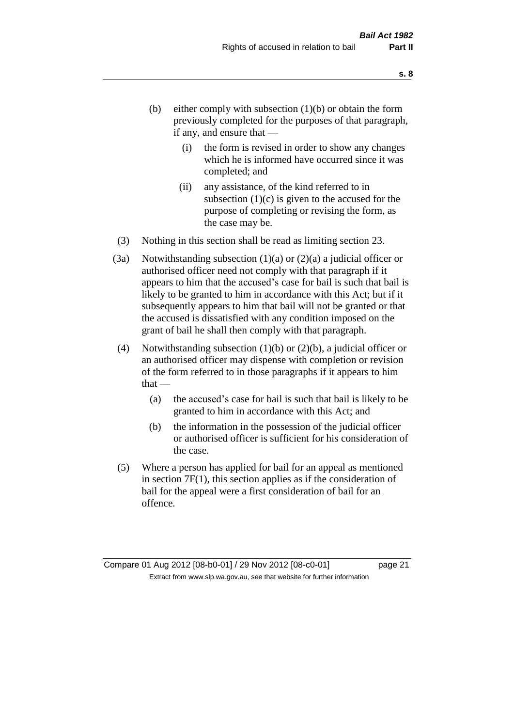- (b) either comply with subsection  $(1)(b)$  or obtain the form previously completed for the purposes of that paragraph, if any, and ensure that —
	- (i) the form is revised in order to show any changes which he is informed have occurred since it was completed; and
	- (ii) any assistance, of the kind referred to in subsection  $(1)(c)$  is given to the accused for the purpose of completing or revising the form, as the case may be.
- (3) Nothing in this section shall be read as limiting section 23.
- (3a) Notwithstanding subsection  $(1)(a)$  or  $(2)(a)$  a judicial officer or authorised officer need not comply with that paragraph if it appears to him that the accused's case for bail is such that bail is likely to be granted to him in accordance with this Act; but if it subsequently appears to him that bail will not be granted or that the accused is dissatisfied with any condition imposed on the grant of bail he shall then comply with that paragraph.
- (4) Notwithstanding subsection (1)(b) or (2)(b), a judicial officer or an authorised officer may dispense with completion or revision of the form referred to in those paragraphs if it appears to him  $that -$ 
	- (a) the accused's case for bail is such that bail is likely to be granted to him in accordance with this Act; and
	- (b) the information in the possession of the judicial officer or authorised officer is sufficient for his consideration of the case.
- (5) Where a person has applied for bail for an appeal as mentioned in section 7F(1), this section applies as if the consideration of bail for the appeal were a first consideration of bail for an offence.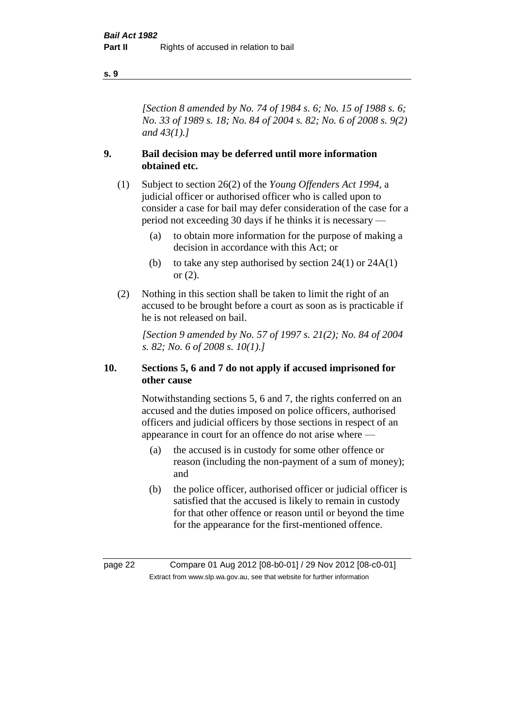#### **s. 9**

*[Section 8 amended by No. 74 of 1984 s. 6; No. 15 of 1988 s. 6; No. 33 of 1989 s. 18; No. 84 of 2004 s. 82; No. 6 of 2008 s. 9(2) and 43(1).]* 

#### **9. Bail decision may be deferred until more information obtained etc.**

- (1) Subject to section 26(2) of the *Young Offenders Act 1994*, a judicial officer or authorised officer who is called upon to consider a case for bail may defer consideration of the case for a period not exceeding 30 days if he thinks it is necessary —
	- (a) to obtain more information for the purpose of making a decision in accordance with this Act; or
	- (b) to take any step authorised by section  $24(1)$  or  $24A(1)$ or (2).
- (2) Nothing in this section shall be taken to limit the right of an accused to be brought before a court as soon as is practicable if he is not released on bail.

*[Section 9 amended by No. 57 of 1997 s. 21(2); No. 84 of 2004 s. 82; No. 6 of 2008 s. 10(1).]*

#### **10. Sections 5, 6 and 7 do not apply if accused imprisoned for other cause**

Notwithstanding sections 5, 6 and 7, the rights conferred on an accused and the duties imposed on police officers, authorised officers and judicial officers by those sections in respect of an appearance in court for an offence do not arise where —

- (a) the accused is in custody for some other offence or reason (including the non-payment of a sum of money); and
- (b) the police officer, authorised officer or judicial officer is satisfied that the accused is likely to remain in custody for that other offence or reason until or beyond the time for the appearance for the first-mentioned offence.

page 22 Compare 01 Aug 2012 [08-b0-01] / 29 Nov 2012 [08-c0-01] Extract from www.slp.wa.gov.au, see that website for further information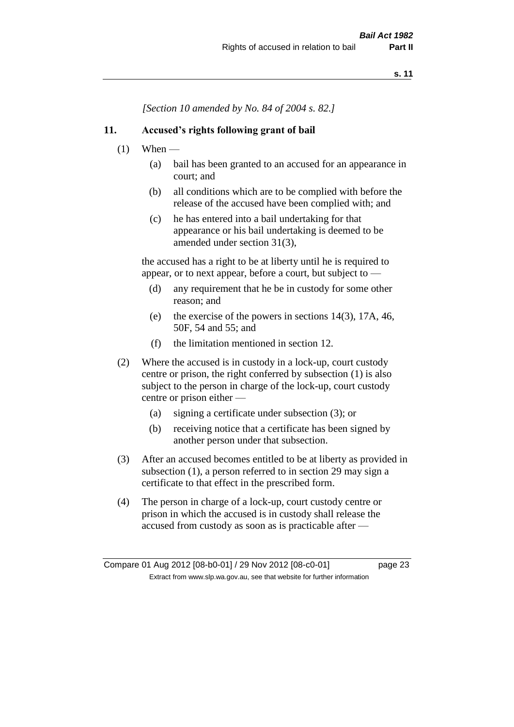*[Section 10 amended by No. 84 of 2004 s. 82.]*

#### **11. Accused's rights following grant of bail**

- $(1)$  When
	- (a) bail has been granted to an accused for an appearance in court; and
	- (b) all conditions which are to be complied with before the release of the accused have been complied with; and
	- (c) he has entered into a bail undertaking for that appearance or his bail undertaking is deemed to be amended under section 31(3),

the accused has a right to be at liberty until he is required to appear, or to next appear, before a court, but subject to —

- (d) any requirement that he be in custody for some other reason; and
- (e) the exercise of the powers in sections 14(3), 17A, 46, 50F, 54 and 55; and
- (f) the limitation mentioned in section 12.
- (2) Where the accused is in custody in a lock-up, court custody centre or prison, the right conferred by subsection (1) is also subject to the person in charge of the lock-up, court custody centre or prison either —
	- (a) signing a certificate under subsection (3); or
	- (b) receiving notice that a certificate has been signed by another person under that subsection.
- (3) After an accused becomes entitled to be at liberty as provided in subsection (1), a person referred to in section 29 may sign a certificate to that effect in the prescribed form.
- (4) The person in charge of a lock-up, court custody centre or prison in which the accused is in custody shall release the accused from custody as soon as is practicable after —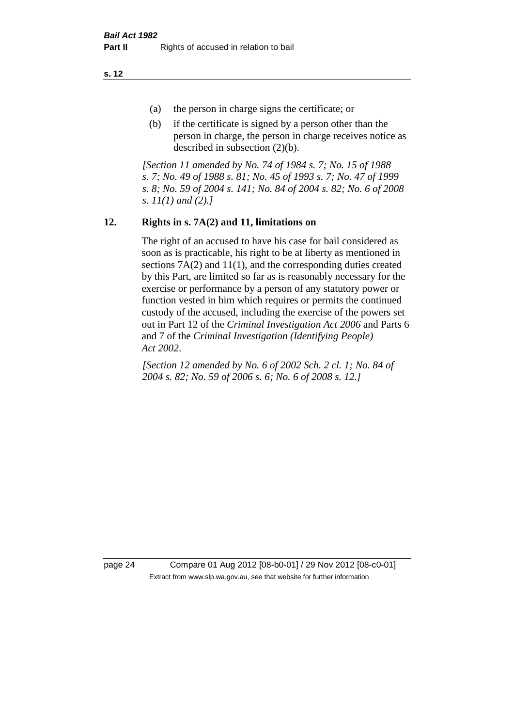**s. 12**

- (a) the person in charge signs the certificate; or
- (b) if the certificate is signed by a person other than the person in charge, the person in charge receives notice as described in subsection (2)(b).

*[Section 11 amended by No. 74 of 1984 s. 7; No. 15 of 1988 s. 7; No. 49 of 1988 s. 81; No. 45 of 1993 s. 7; No. 47 of 1999 s. 8; No. 59 of 2004 s. 141; No. 84 of 2004 s. 82; No. 6 of 2008 s. 11(1) and (2).]* 

#### **12. Rights in s. 7A(2) and 11, limitations on**

The right of an accused to have his case for bail considered as soon as is practicable, his right to be at liberty as mentioned in sections 7A(2) and 11(1), and the corresponding duties created by this Part, are limited so far as is reasonably necessary for the exercise or performance by a person of any statutory power or function vested in him which requires or permits the continued custody of the accused, including the exercise of the powers set out in Part 12 of the *Criminal Investigation Act 2006* and Parts 6 and 7 of the *Criminal Investigation (Identifying People) Act 2002*.

*[Section 12 amended by No. 6 of 2002 Sch. 2 cl. 1; No. 84 of 2004 s. 82; No. 59 of 2006 s. 6; No. 6 of 2008 s. 12.]*

page 24 Compare 01 Aug 2012 [08-b0-01] / 29 Nov 2012 [08-c0-01] Extract from www.slp.wa.gov.au, see that website for further information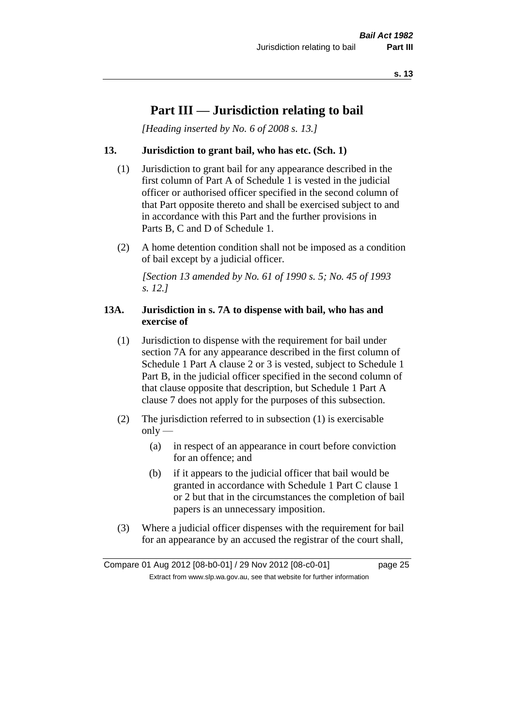## **Part III — Jurisdiction relating to bail**

*[Heading inserted by No. 6 of 2008 s. 13.]*

#### **13. Jurisdiction to grant bail, who has etc. (Sch. 1)**

- (1) Jurisdiction to grant bail for any appearance described in the first column of Part A of Schedule 1 is vested in the judicial officer or authorised officer specified in the second column of that Part opposite thereto and shall be exercised subject to and in accordance with this Part and the further provisions in Parts B, C and D of Schedule 1.
- (2) A home detention condition shall not be imposed as a condition of bail except by a judicial officer.

*[Section 13 amended by No. 61 of 1990 s. 5; No. 45 of 1993 s. 12.]* 

#### **13A. Jurisdiction in s. 7A to dispense with bail, who has and exercise of**

- (1) Jurisdiction to dispense with the requirement for bail under section 7A for any appearance described in the first column of Schedule 1 Part A clause 2 or 3 is vested, subject to Schedule 1 Part B, in the judicial officer specified in the second column of that clause opposite that description, but Schedule 1 Part A clause 7 does not apply for the purposes of this subsection.
- (2) The jurisdiction referred to in subsection (1) is exercisable  $only$ —
	- (a) in respect of an appearance in court before conviction for an offence; and
	- (b) if it appears to the judicial officer that bail would be granted in accordance with Schedule 1 Part C clause 1 or 2 but that in the circumstances the completion of bail papers is an unnecessary imposition.
- (3) Where a judicial officer dispenses with the requirement for bail for an appearance by an accused the registrar of the court shall,

Compare 01 Aug 2012 [08-b0-01] / 29 Nov 2012 [08-c0-01] page 25 Extract from www.slp.wa.gov.au, see that website for further information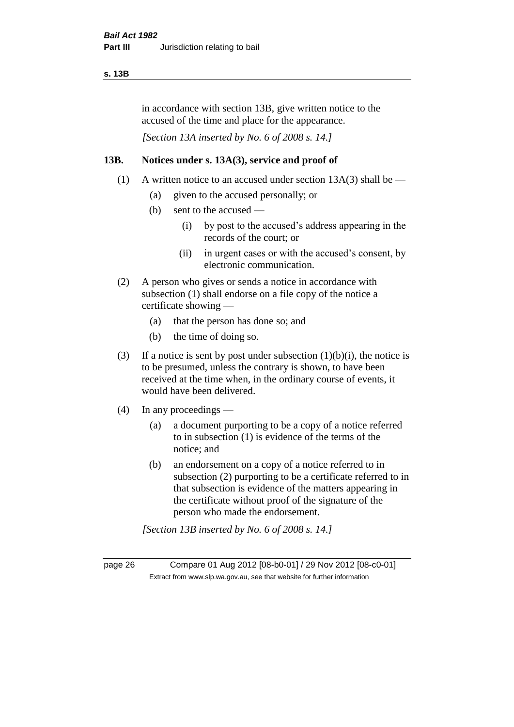#### **s. 13B**

in accordance with section 13B, give written notice to the accused of the time and place for the appearance.

*[Section 13A inserted by No. 6 of 2008 s. 14.]*

#### **13B. Notices under s. 13A(3), service and proof of**

- (1) A written notice to an accused under section  $13A(3)$  shall be
	- (a) given to the accused personally; or
	- (b) sent to the accused
		- (i) by post to the accused's address appearing in the records of the court; or
		- (ii) in urgent cases or with the accused's consent, by electronic communication.
- (2) A person who gives or sends a notice in accordance with subsection (1) shall endorse on a file copy of the notice a certificate showing —
	- (a) that the person has done so; and
	- (b) the time of doing so.
- (3) If a notice is sent by post under subsection  $(1)(b)(i)$ , the notice is to be presumed, unless the contrary is shown, to have been received at the time when, in the ordinary course of events, it would have been delivered.
- (4) In any proceedings
	- (a) a document purporting to be a copy of a notice referred to in subsection (1) is evidence of the terms of the notice; and
	- (b) an endorsement on a copy of a notice referred to in subsection (2) purporting to be a certificate referred to in that subsection is evidence of the matters appearing in the certificate without proof of the signature of the person who made the endorsement.

*[Section 13B inserted by No. 6 of 2008 s. 14.]*

page 26 Compare 01 Aug 2012 [08-b0-01] / 29 Nov 2012 [08-c0-01] Extract from www.slp.wa.gov.au, see that website for further information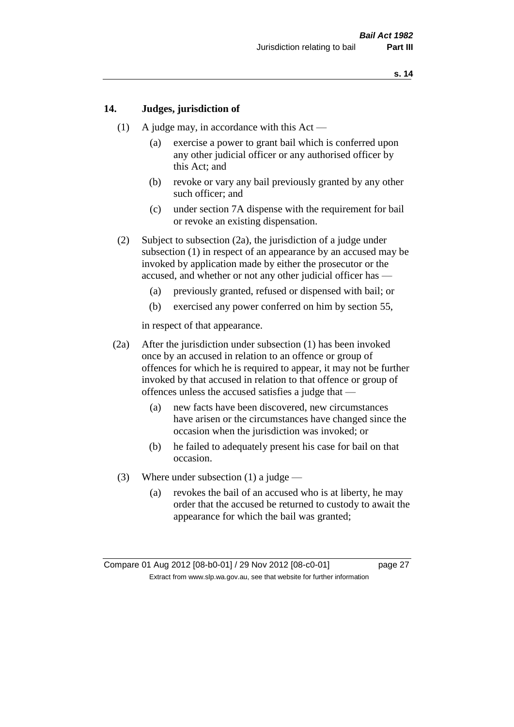#### **14. Judges, jurisdiction of**

- (1) A judge may, in accordance with this Act
	- (a) exercise a power to grant bail which is conferred upon any other judicial officer or any authorised officer by this Act; and
	- (b) revoke or vary any bail previously granted by any other such officer; and
	- (c) under section 7A dispense with the requirement for bail or revoke an existing dispensation.
- (2) Subject to subsection (2a), the jurisdiction of a judge under subsection (1) in respect of an appearance by an accused may be invoked by application made by either the prosecutor or the accused, and whether or not any other judicial officer has —
	- (a) previously granted, refused or dispensed with bail; or
	- (b) exercised any power conferred on him by section 55,

in respect of that appearance.

- (2a) After the jurisdiction under subsection (1) has been invoked once by an accused in relation to an offence or group of offences for which he is required to appear, it may not be further invoked by that accused in relation to that offence or group of offences unless the accused satisfies a judge that —
	- (a) new facts have been discovered, new circumstances have arisen or the circumstances have changed since the occasion when the jurisdiction was invoked; or
	- (b) he failed to adequately present his case for bail on that occasion.
- (3) Where under subsection (1) a judge
	- (a) revokes the bail of an accused who is at liberty, he may order that the accused be returned to custody to await the appearance for which the bail was granted;

Compare 01 Aug 2012 [08-b0-01] / 29 Nov 2012 [08-c0-01] page 27 Extract from www.slp.wa.gov.au, see that website for further information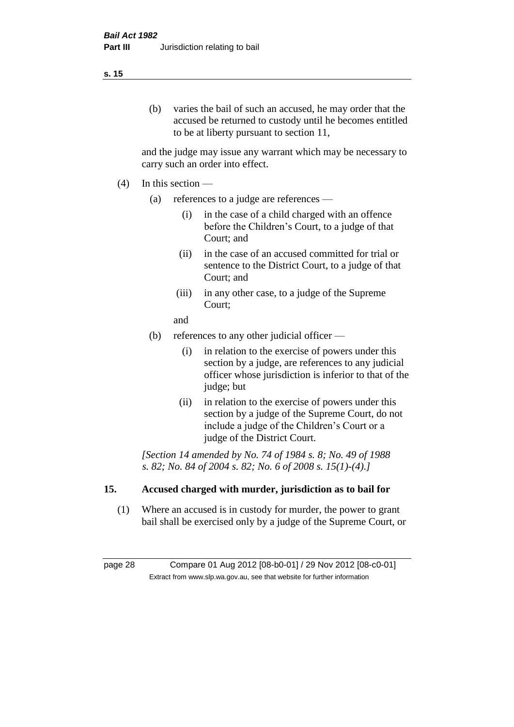#### (b) varies the bail of such an accused, he may order that the accused be returned to custody until he becomes entitled to be at liberty pursuant to section 11,

and the judge may issue any warrant which may be necessary to carry such an order into effect.

- (4) In this section
	- (a) references to a judge are references
		- (i) in the case of a child charged with an offence before the Children's Court, to a judge of that Court; and
		- (ii) in the case of an accused committed for trial or sentence to the District Court, to a judge of that Court; and
		- (iii) in any other case, to a judge of the Supreme Court;
		- and
	- (b) references to any other judicial officer
		- (i) in relation to the exercise of powers under this section by a judge, are references to any judicial officer whose jurisdiction is inferior to that of the judge; but
		- (ii) in relation to the exercise of powers under this section by a judge of the Supreme Court, do not include a judge of the Children's Court or a judge of the District Court.

*[Section 14 amended by No. 74 of 1984 s. 8; No. 49 of 1988 s. 82; No. 84 of 2004 s. 82; No. 6 of 2008 s. 15(1)-(4).]* 

#### **15. Accused charged with murder, jurisdiction as to bail for**

(1) Where an accused is in custody for murder, the power to grant bail shall be exercised only by a judge of the Supreme Court, or

page 28 Compare 01 Aug 2012 [08-b0-01] / 29 Nov 2012 [08-c0-01] Extract from www.slp.wa.gov.au, see that website for further information

#### **s. 15**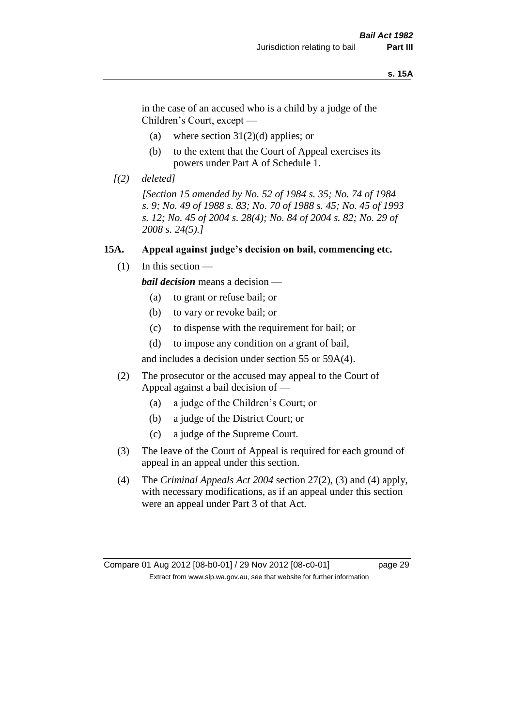#### **s. 15A**

in the case of an accused who is a child by a judge of the Children's Court, except —

- (a) where section  $31(2)(d)$  applies; or
- (b) to the extent that the Court of Appeal exercises its powers under Part A of Schedule 1.
- *[(2) deleted]*

*[Section 15 amended by No. 52 of 1984 s. 35; No. 74 of 1984 s. 9; No. 49 of 1988 s. 83; No. 70 of 1988 s. 45; No. 45 of 1993 s. 12; No. 45 of 2004 s. 28(4); No. 84 of 2004 s. 82; No. 29 of 2008 s. 24(5).]* 

#### **15A. Appeal against judge's decision on bail, commencing etc.**

 $(1)$  In this section —

*bail decision* means a decision —

- (a) to grant or refuse bail; or
- (b) to vary or revoke bail; or
- (c) to dispense with the requirement for bail; or
- (d) to impose any condition on a grant of bail,

and includes a decision under section 55 or 59A(4).

- (2) The prosecutor or the accused may appeal to the Court of Appeal against a bail decision of —
	- (a) a judge of the Children's Court; or
	- (b) a judge of the District Court; or
	- (c) a judge of the Supreme Court.
- (3) The leave of the Court of Appeal is required for each ground of appeal in an appeal under this section.
- (4) The *Criminal Appeals Act 2004* section 27(2), (3) and (4) apply, with necessary modifications, as if an appeal under this section were an appeal under Part 3 of that Act.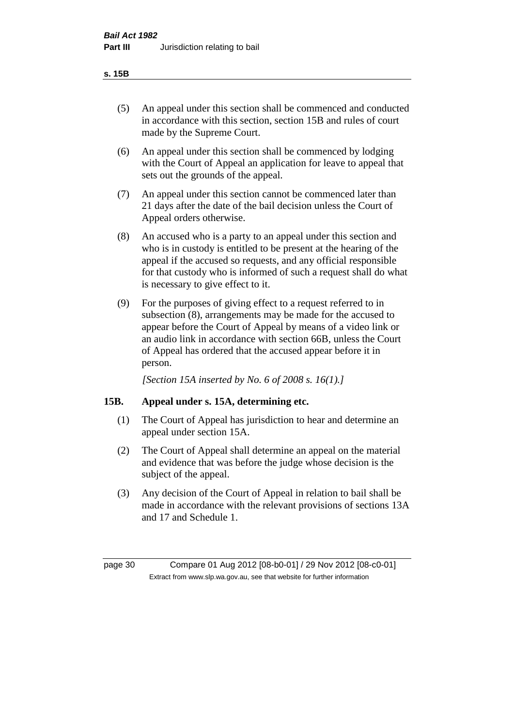#### **s. 15B**

- (5) An appeal under this section shall be commenced and conducted in accordance with this section, section 15B and rules of court made by the Supreme Court.
- (6) An appeal under this section shall be commenced by lodging with the Court of Appeal an application for leave to appeal that sets out the grounds of the appeal.
- (7) An appeal under this section cannot be commenced later than 21 days after the date of the bail decision unless the Court of Appeal orders otherwise.
- (8) An accused who is a party to an appeal under this section and who is in custody is entitled to be present at the hearing of the appeal if the accused so requests, and any official responsible for that custody who is informed of such a request shall do what is necessary to give effect to it.
- (9) For the purposes of giving effect to a request referred to in subsection (8), arrangements may be made for the accused to appear before the Court of Appeal by means of a video link or an audio link in accordance with section 66B, unless the Court of Appeal has ordered that the accused appear before it in person.

*[Section 15A inserted by No. 6 of 2008 s. 16(1).]*

#### **15B. Appeal under s. 15A, determining etc.**

- (1) The Court of Appeal has jurisdiction to hear and determine an appeal under section 15A.
- (2) The Court of Appeal shall determine an appeal on the material and evidence that was before the judge whose decision is the subject of the appeal.
- (3) Any decision of the Court of Appeal in relation to bail shall be made in accordance with the relevant provisions of sections 13A and 17 and Schedule 1.

page 30 Compare 01 Aug 2012 [08-b0-01] / 29 Nov 2012 [08-c0-01] Extract from www.slp.wa.gov.au, see that website for further information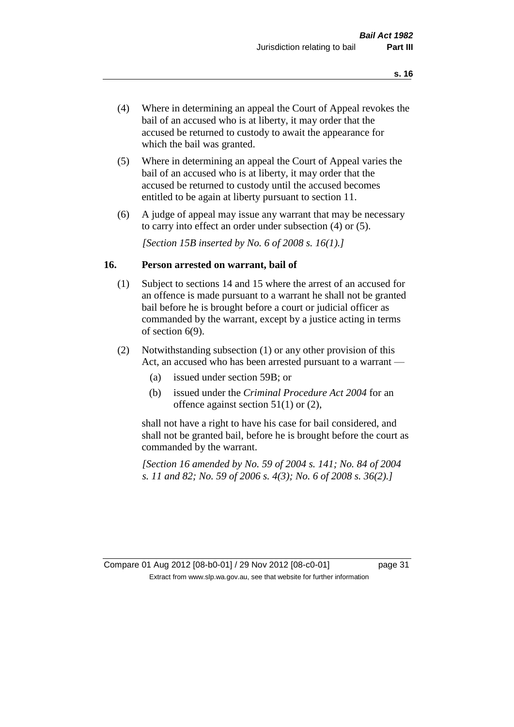- (4) Where in determining an appeal the Court of Appeal revokes the bail of an accused who is at liberty, it may order that the accused be returned to custody to await the appearance for which the bail was granted.
- (5) Where in determining an appeal the Court of Appeal varies the bail of an accused who is at liberty, it may order that the accused be returned to custody until the accused becomes entitled to be again at liberty pursuant to section 11.
- (6) A judge of appeal may issue any warrant that may be necessary to carry into effect an order under subsection (4) or (5).

*[Section 15B inserted by No. 6 of 2008 s. 16(1).]*

#### **16. Person arrested on warrant, bail of**

- (1) Subject to sections 14 and 15 where the arrest of an accused for an offence is made pursuant to a warrant he shall not be granted bail before he is brought before a court or judicial officer as commanded by the warrant, except by a justice acting in terms of section 6(9).
- (2) Notwithstanding subsection (1) or any other provision of this Act, an accused who has been arrested pursuant to a warrant —
	- (a) issued under section 59B; or
	- (b) issued under the *Criminal Procedure Act 2004* for an offence against section 51(1) or (2),

shall not have a right to have his case for bail considered, and shall not be granted bail, before he is brought before the court as commanded by the warrant.

*[Section 16 amended by No. 59 of 2004 s. 141; No. 84 of 2004 s. 11 and 82; No. 59 of 2006 s. 4(3); No. 6 of 2008 s. 36(2).]*

Compare 01 Aug 2012 [08-b0-01] / 29 Nov 2012 [08-c0-01] page 31 Extract from www.slp.wa.gov.au, see that website for further information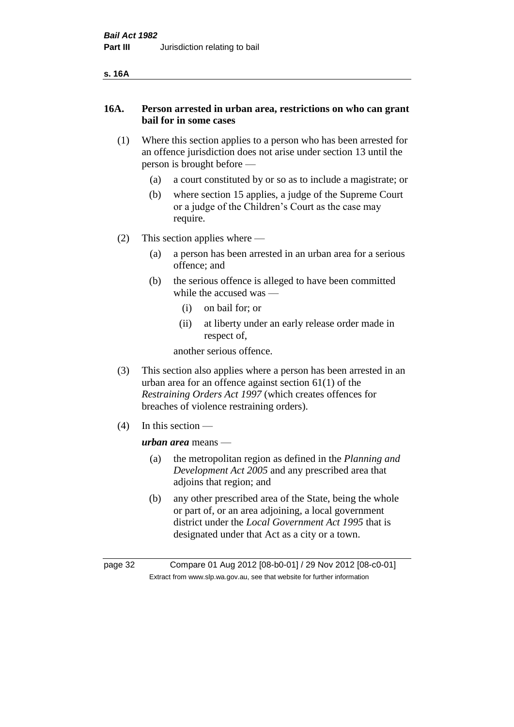| v<br>۰. |
|---------|
|---------|

#### **16A. Person arrested in urban area, restrictions on who can grant bail for in some cases**

- (1) Where this section applies to a person who has been arrested for an offence jurisdiction does not arise under section 13 until the person is brought before —
	- (a) a court constituted by or so as to include a magistrate; or
	- (b) where section 15 applies, a judge of the Supreme Court or a judge of the Children's Court as the case may require.
- (2) This section applies where
	- (a) a person has been arrested in an urban area for a serious offence; and
	- (b) the serious offence is alleged to have been committed while the accused was —
		- (i) on bail for; or
		- (ii) at liberty under an early release order made in respect of,

another serious offence.

- (3) This section also applies where a person has been arrested in an urban area for an offence against section 61(1) of the *Restraining Orders Act 1997* (which creates offences for breaches of violence restraining orders).
- (4) In this section —

*urban area* means —

- (a) the metropolitan region as defined in the *Planning and Development Act 2005* and any prescribed area that adjoins that region; and
- (b) any other prescribed area of the State, being the whole or part of, or an area adjoining, a local government district under the *Local Government Act 1995* that is designated under that Act as a city or a town.

page 32 Compare 01 Aug 2012 [08-b0-01] / 29 Nov 2012 [08-c0-01] Extract from www.slp.wa.gov.au, see that website for further information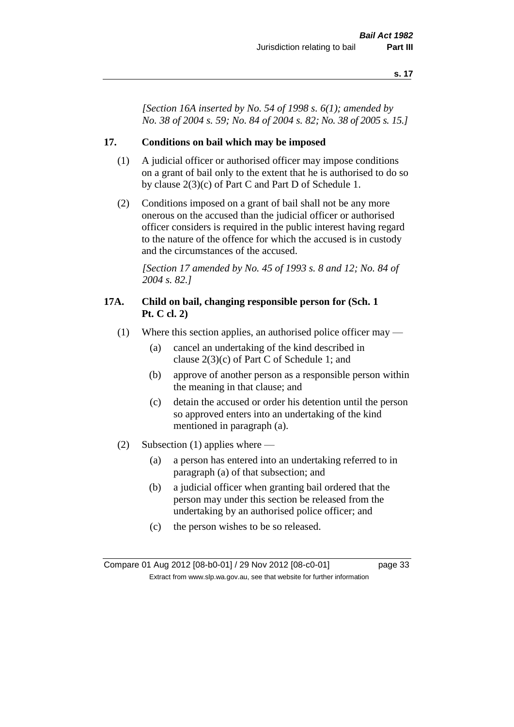*[Section 16A inserted by No. 54 of 1998 s. 6(1); amended by No. 38 of 2004 s. 59; No. 84 of 2004 s. 82; No. 38 of 2005 s. 15.]*

#### **17. Conditions on bail which may be imposed**

- (1) A judicial officer or authorised officer may impose conditions on a grant of bail only to the extent that he is authorised to do so by clause 2(3)(c) of Part C and Part D of Schedule 1.
- (2) Conditions imposed on a grant of bail shall not be any more onerous on the accused than the judicial officer or authorised officer considers is required in the public interest having regard to the nature of the offence for which the accused is in custody and the circumstances of the accused.

*[Section 17 amended by No. 45 of 1993 s. 8 and 12; No. 84 of 2004 s. 82.]* 

#### **17A. Child on bail, changing responsible person for (Sch. 1 Pt. C cl. 2)**

- (1) Where this section applies, an authorised police officer may
	- (a) cancel an undertaking of the kind described in clause 2(3)(c) of Part C of Schedule 1; and
	- (b) approve of another person as a responsible person within the meaning in that clause; and
	- (c) detain the accused or order his detention until the person so approved enters into an undertaking of the kind mentioned in paragraph (a).
- (2) Subsection (1) applies where
	- (a) a person has entered into an undertaking referred to in paragraph (a) of that subsection; and
	- (b) a judicial officer when granting bail ordered that the person may under this section be released from the undertaking by an authorised police officer; and
	- (c) the person wishes to be so released.

Compare 01 Aug 2012 [08-b0-01] / 29 Nov 2012 [08-c0-01] page 33 Extract from www.slp.wa.gov.au, see that website for further information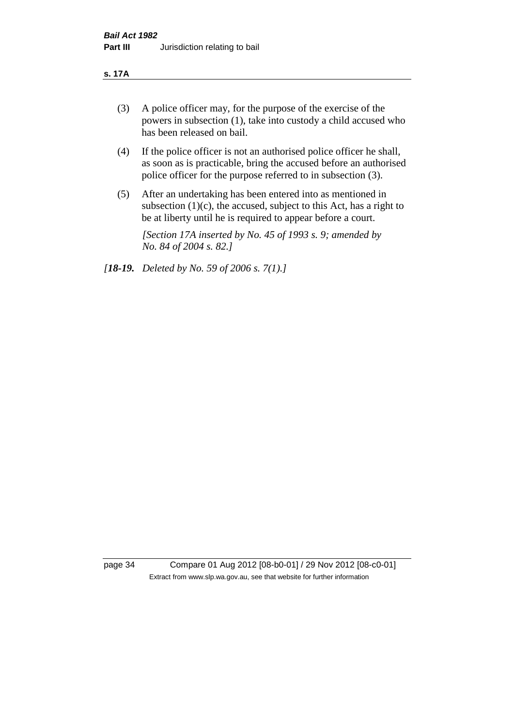#### **s. 17A**

- (3) A police officer may, for the purpose of the exercise of the powers in subsection (1), take into custody a child accused who has been released on bail.
- (4) If the police officer is not an authorised police officer he shall, as soon as is practicable, bring the accused before an authorised police officer for the purpose referred to in subsection (3).
- (5) After an undertaking has been entered into as mentioned in subsection  $(1)(c)$ , the accused, subject to this Act, has a right to be at liberty until he is required to appear before a court.

*[Section 17A inserted by No. 45 of 1993 s. 9; amended by No. 84 of 2004 s. 82.]* 

*[18-19. Deleted by No. 59 of 2006 s. 7(1).]*

page 34 Compare 01 Aug 2012 [08-b0-01] / 29 Nov 2012 [08-c0-01] Extract from www.slp.wa.gov.au, see that website for further information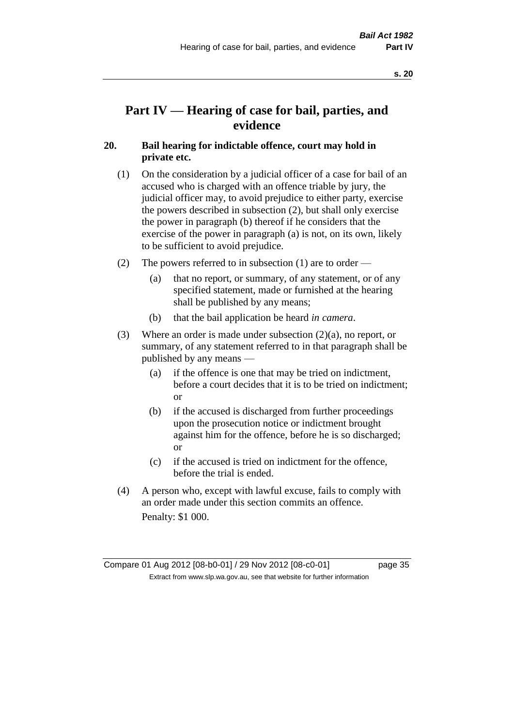# **Part IV — Hearing of case for bail, parties, and evidence**

# **20. Bail hearing for indictable offence, court may hold in private etc.**

- (1) On the consideration by a judicial officer of a case for bail of an accused who is charged with an offence triable by jury, the judicial officer may, to avoid prejudice to either party, exercise the powers described in subsection (2), but shall only exercise the power in paragraph (b) thereof if he considers that the exercise of the power in paragraph (a) is not, on its own, likely to be sufficient to avoid prejudice.
- (2) The powers referred to in subsection (1) are to order
	- (a) that no report, or summary, of any statement, or of any specified statement, made or furnished at the hearing shall be published by any means;
	- (b) that the bail application be heard *in camera*.
- (3) Where an order is made under subsection (2)(a), no report, or summary, of any statement referred to in that paragraph shall be published by any means —
	- (a) if the offence is one that may be tried on indictment, before a court decides that it is to be tried on indictment; or
	- (b) if the accused is discharged from further proceedings upon the prosecution notice or indictment brought against him for the offence, before he is so discharged; or
	- (c) if the accused is tried on indictment for the offence, before the trial is ended.
- (4) A person who, except with lawful excuse, fails to comply with an order made under this section commits an offence. Penalty: \$1 000.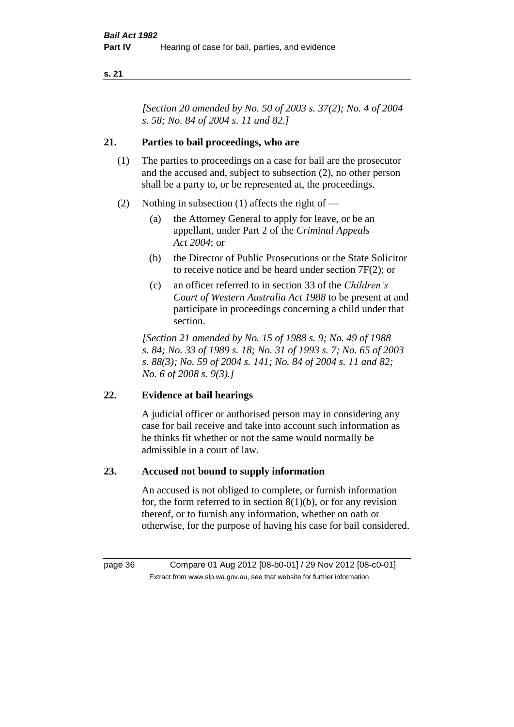*[Section 20 amended by No. 50 of 2003 s. 37(2); No. 4 of 2004 s. 58; No. 84 of 2004 s. 11 and 82.]*

# **21. Parties to bail proceedings, who are**

- (1) The parties to proceedings on a case for bail are the prosecutor and the accused and, subject to subsection (2), no other person shall be a party to, or be represented at, the proceedings.
- (2) Nothing in subsection (1) affects the right of
	- (a) the Attorney General to apply for leave, or be an appellant, under Part 2 of the *Criminal Appeals Act 2004*; or
	- (b) the Director of Public Prosecutions or the State Solicitor to receive notice and be heard under section 7F(2); or
	- (c) an officer referred to in section 33 of the *Children's Court of Western Australia Act 1988* to be present at and participate in proceedings concerning a child under that section.

*[Section 21 amended by No. 15 of 1988 s. 9; No. 49 of 1988 s. 84; No. 33 of 1989 s. 18; No. 31 of 1993 s. 7; No. 65 of 2003 s. 88(3); No. 59 of 2004 s. 141; No. 84 of 2004 s. 11 and 82; No. 6 of 2008 s. 9(3).]* 

# **22. Evidence at bail hearings**

A judicial officer or authorised person may in considering any case for bail receive and take into account such information as he thinks fit whether or not the same would normally be admissible in a court of law.

# **23. Accused not bound to supply information**

An accused is not obliged to complete, or furnish information for, the form referred to in section  $8(1)(b)$ , or for any revision thereof, or to furnish any information, whether on oath or otherwise, for the purpose of having his case for bail considered.

page 36 Compare 01 Aug 2012 [08-b0-01] / 29 Nov 2012 [08-c0-01] Extract from www.slp.wa.gov.au, see that website for further information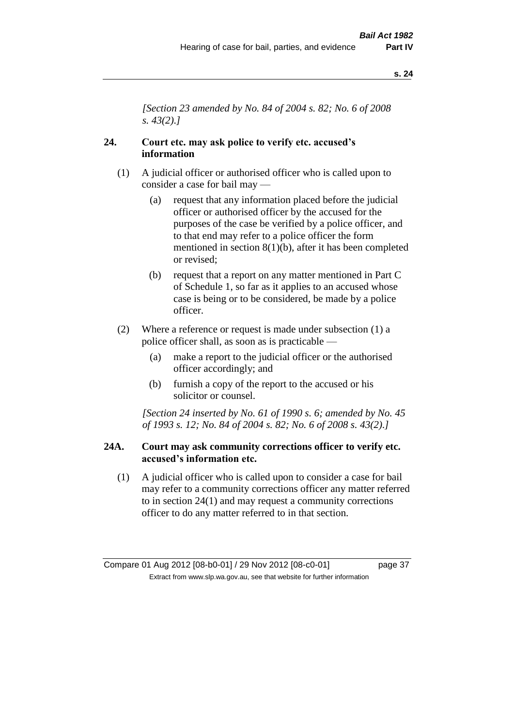*[Section 23 amended by No. 84 of 2004 s. 82; No. 6 of 2008 s. 43(2).]* 

## **24. Court etc. may ask police to verify etc. accused's information**

- (1) A judicial officer or authorised officer who is called upon to consider a case for bail may —
	- (a) request that any information placed before the judicial officer or authorised officer by the accused for the purposes of the case be verified by a police officer, and to that end may refer to a police officer the form mentioned in section 8(1)(b), after it has been completed or revised;
	- (b) request that a report on any matter mentioned in Part C of Schedule 1, so far as it applies to an accused whose case is being or to be considered, be made by a police officer.
- (2) Where a reference or request is made under subsection (1) a police officer shall, as soon as is practicable —
	- (a) make a report to the judicial officer or the authorised officer accordingly; and
	- (b) furnish a copy of the report to the accused or his solicitor or counsel.

*[Section 24 inserted by No. 61 of 1990 s. 6; amended by No. 45 of 1993 s. 12; No. 84 of 2004 s. 82; No. 6 of 2008 s. 43(2).]* 

### **24A. Court may ask community corrections officer to verify etc. accused's information etc.**

(1) A judicial officer who is called upon to consider a case for bail may refer to a community corrections officer any matter referred to in section 24(1) and may request a community corrections officer to do any matter referred to in that section.

Compare 01 Aug 2012 [08-b0-01] / 29 Nov 2012 [08-c0-01] page 37 Extract from www.slp.wa.gov.au, see that website for further information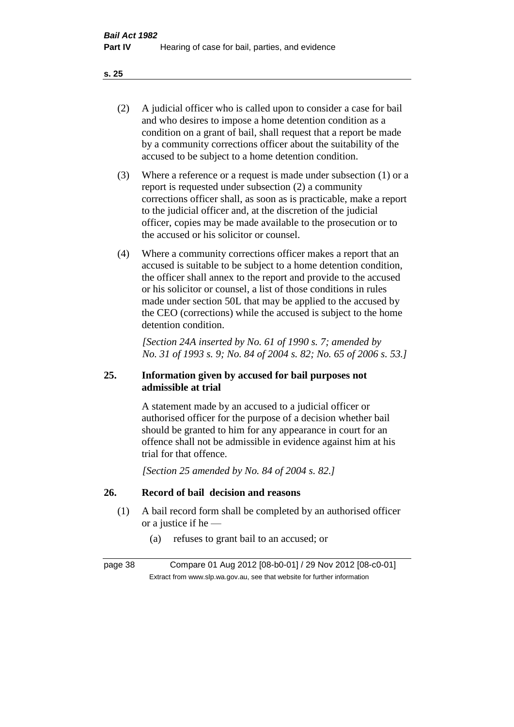- (2) A judicial officer who is called upon to consider a case for bail and who desires to impose a home detention condition as a condition on a grant of bail, shall request that a report be made by a community corrections officer about the suitability of the accused to be subject to a home detention condition.
- (3) Where a reference or a request is made under subsection (1) or a report is requested under subsection (2) a community corrections officer shall, as soon as is practicable, make a report to the judicial officer and, at the discretion of the judicial officer, copies may be made available to the prosecution or to the accused or his solicitor or counsel.
- (4) Where a community corrections officer makes a report that an accused is suitable to be subject to a home detention condition, the officer shall annex to the report and provide to the accused or his solicitor or counsel, a list of those conditions in rules made under section 50L that may be applied to the accused by the CEO (corrections) while the accused is subject to the home detention condition.

*[Section 24A inserted by No. 61 of 1990 s. 7; amended by No. 31 of 1993 s. 9; No. 84 of 2004 s. 82; No. 65 of 2006 s. 53.]* 

# **25. Information given by accused for bail purposes not admissible at trial**

A statement made by an accused to a judicial officer or authorised officer for the purpose of a decision whether bail should be granted to him for any appearance in court for an offence shall not be admissible in evidence against him at his trial for that offence.

*[Section 25 amended by No. 84 of 2004 s. 82.]* 

# **26. Record of bail decision and reasons**

- (1) A bail record form shall be completed by an authorised officer or a justice if he —
	- (a) refuses to grant bail to an accused; or

page 38 Compare 01 Aug 2012 [08-b0-01] / 29 Nov 2012 [08-c0-01] Extract from www.slp.wa.gov.au, see that website for further information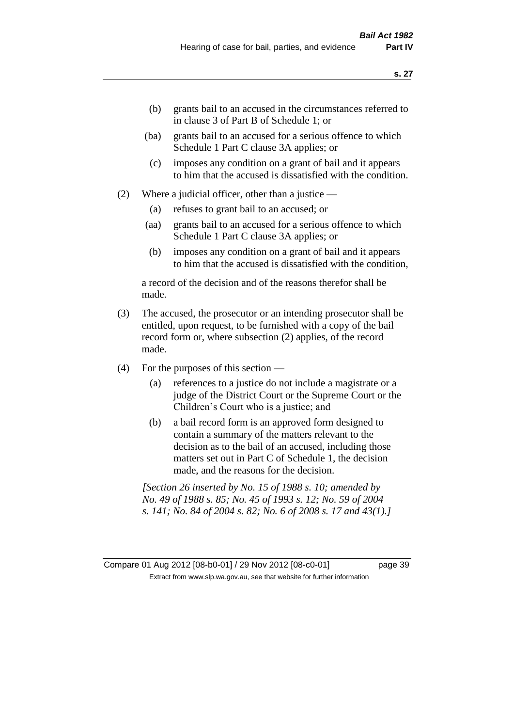- (b) grants bail to an accused in the circumstances referred to in clause 3 of Part B of Schedule 1; or
- (ba) grants bail to an accused for a serious offence to which Schedule 1 Part C clause 3A applies; or
- (c) imposes any condition on a grant of bail and it appears to him that the accused is dissatisfied with the condition.
- (2) Where a judicial officer, other than a justice
	- (a) refuses to grant bail to an accused; or
	- (aa) grants bail to an accused for a serious offence to which Schedule 1 Part C clause 3A applies; or
	- (b) imposes any condition on a grant of bail and it appears to him that the accused is dissatisfied with the condition,

a record of the decision and of the reasons therefor shall be made.

- (3) The accused, the prosecutor or an intending prosecutor shall be entitled, upon request, to be furnished with a copy of the bail record form or, where subsection (2) applies, of the record made.
- (4) For the purposes of this section
	- (a) references to a justice do not include a magistrate or a judge of the District Court or the Supreme Court or the Children's Court who is a justice; and
	- (b) a bail record form is an approved form designed to contain a summary of the matters relevant to the decision as to the bail of an accused, including those matters set out in Part C of Schedule 1, the decision made, and the reasons for the decision.

*[Section 26 inserted by No. 15 of 1988 s. 10; amended by No. 49 of 1988 s. 85; No. 45 of 1993 s. 12; No. 59 of 2004 s. 141; No. 84 of 2004 s. 82; No. 6 of 2008 s. 17 and 43(1).]*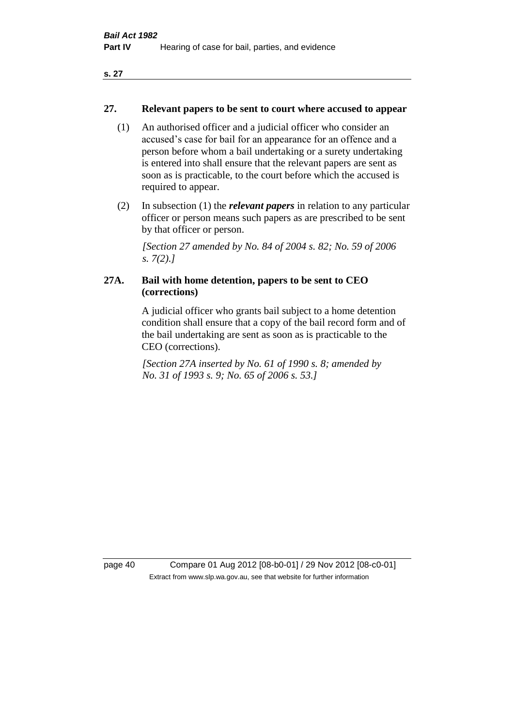### **27. Relevant papers to be sent to court where accused to appear**

- (1) An authorised officer and a judicial officer who consider an accused's case for bail for an appearance for an offence and a person before whom a bail undertaking or a surety undertaking is entered into shall ensure that the relevant papers are sent as soon as is practicable, to the court before which the accused is required to appear.
- (2) In subsection (1) the *relevant papers* in relation to any particular officer or person means such papers as are prescribed to be sent by that officer or person.

*[Section 27 amended by No. 84 of 2004 s. 82; No. 59 of 2006 s. 7(2).]* 

# **27A. Bail with home detention, papers to be sent to CEO (corrections)**

A judicial officer who grants bail subject to a home detention condition shall ensure that a copy of the bail record form and of the bail undertaking are sent as soon as is practicable to the CEO (corrections).

*[Section 27A inserted by No. 61 of 1990 s. 8; amended by No. 31 of 1993 s. 9; No. 65 of 2006 s. 53.]* 

page 40 Compare 01 Aug 2012 [08-b0-01] / 29 Nov 2012 [08-c0-01] Extract from www.slp.wa.gov.au, see that website for further information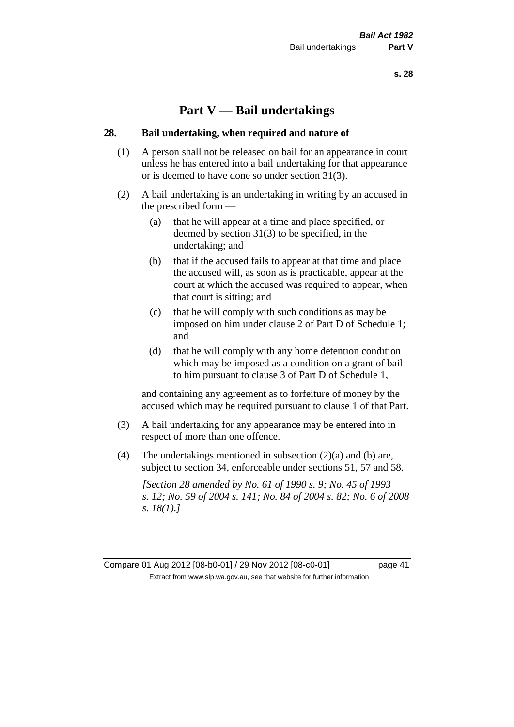# **Part V — Bail undertakings**

#### **28. Bail undertaking, when required and nature of**

- (1) A person shall not be released on bail for an appearance in court unless he has entered into a bail undertaking for that appearance or is deemed to have done so under section 31(3).
- (2) A bail undertaking is an undertaking in writing by an accused in the prescribed form —
	- (a) that he will appear at a time and place specified, or deemed by section 31(3) to be specified, in the undertaking; and
	- (b) that if the accused fails to appear at that time and place the accused will, as soon as is practicable, appear at the court at which the accused was required to appear, when that court is sitting; and
	- (c) that he will comply with such conditions as may be imposed on him under clause 2 of Part D of Schedule 1; and
	- (d) that he will comply with any home detention condition which may be imposed as a condition on a grant of bail to him pursuant to clause 3 of Part D of Schedule 1,

and containing any agreement as to forfeiture of money by the accused which may be required pursuant to clause 1 of that Part.

- (3) A bail undertaking for any appearance may be entered into in respect of more than one offence.
- (4) The undertakings mentioned in subsection  $(2)(a)$  and  $(b)$  are, subject to section 34, enforceable under sections 51, 57 and 58.

*[Section 28 amended by No. 61 of 1990 s. 9; No. 45 of 1993 s. 12; No. 59 of 2004 s. 141; No. 84 of 2004 s. 82; No. 6 of 2008 s. 18(1).]*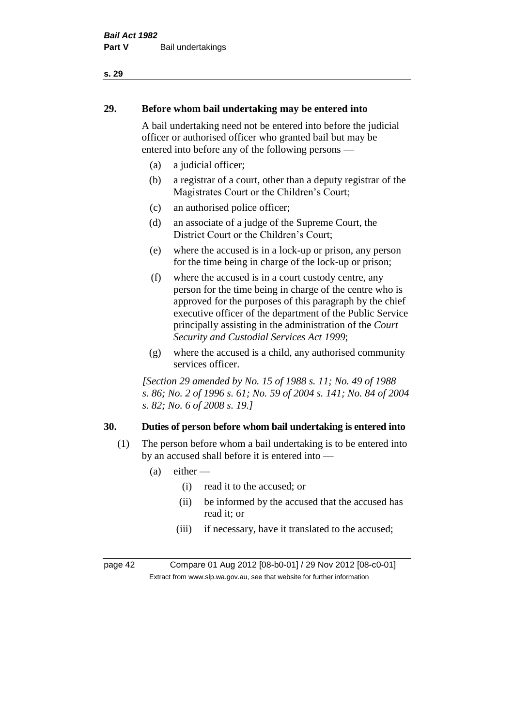# **29. Before whom bail undertaking may be entered into**

A bail undertaking need not be entered into before the judicial officer or authorised officer who granted bail but may be entered into before any of the following persons —

- (a) a judicial officer;
- (b) a registrar of a court, other than a deputy registrar of the Magistrates Court or the Children's Court;
- (c) an authorised police officer;
- (d) an associate of a judge of the Supreme Court, the District Court or the Children's Court;
- (e) where the accused is in a lock-up or prison, any person for the time being in charge of the lock-up or prison;
- (f) where the accused is in a court custody centre, any person for the time being in charge of the centre who is approved for the purposes of this paragraph by the chief executive officer of the department of the Public Service principally assisting in the administration of the *Court Security and Custodial Services Act 1999*;
- (g) where the accused is a child, any authorised community services officer.

*[Section 29 amended by No. 15 of 1988 s. 11; No. 49 of 1988 s. 86; No. 2 of 1996 s. 61; No. 59 of 2004 s. 141; No. 84 of 2004 s. 82; No. 6 of 2008 s. 19.]* 

# **30. Duties of person before whom bail undertaking is entered into**

- (1) The person before whom a bail undertaking is to be entered into by an accused shall before it is entered into —
	- $(a)$  either
		- (i) read it to the accused; or
		- (ii) be informed by the accused that the accused has read it; or
		- (iii) if necessary, have it translated to the accused;

page 42 Compare 01 Aug 2012 [08-b0-01] / 29 Nov 2012 [08-c0-01] Extract from www.slp.wa.gov.au, see that website for further information

#### **s. 29**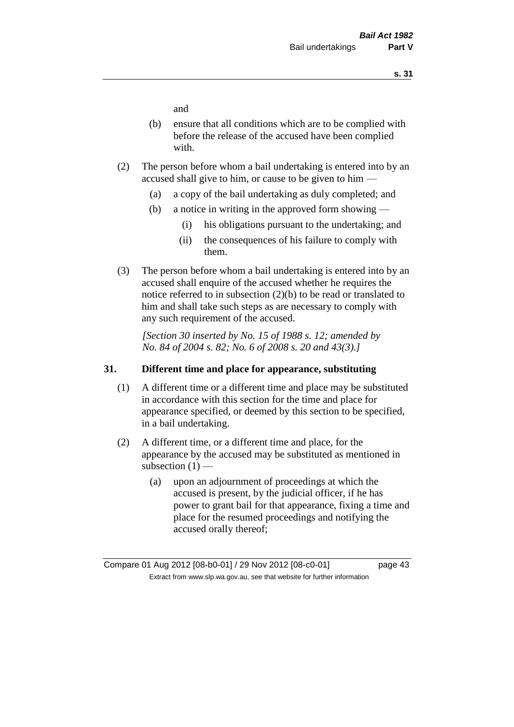and

- (b) ensure that all conditions which are to be complied with before the release of the accused have been complied with.
- (2) The person before whom a bail undertaking is entered into by an accused shall give to him, or cause to be given to him —
	- (a) a copy of the bail undertaking as duly completed; and
	- (b) a notice in writing in the approved form showing
		- (i) his obligations pursuant to the undertaking; and
		- (ii) the consequences of his failure to comply with them.
- (3) The person before whom a bail undertaking is entered into by an accused shall enquire of the accused whether he requires the notice referred to in subsection (2)(b) to be read or translated to him and shall take such steps as are necessary to comply with any such requirement of the accused.

*[Section 30 inserted by No. 15 of 1988 s. 12; amended by No. 84 of 2004 s. 82; No. 6 of 2008 s. 20 and 43(3).]* 

### **31. Different time and place for appearance, substituting**

- (1) A different time or a different time and place may be substituted in accordance with this section for the time and place for appearance specified, or deemed by this section to be specified, in a bail undertaking.
- (2) A different time, or a different time and place, for the appearance by the accused may be substituted as mentioned in subsection  $(1)$  —
	- (a) upon an adjournment of proceedings at which the accused is present, by the judicial officer, if he has power to grant bail for that appearance, fixing a time and place for the resumed proceedings and notifying the accused orally thereof;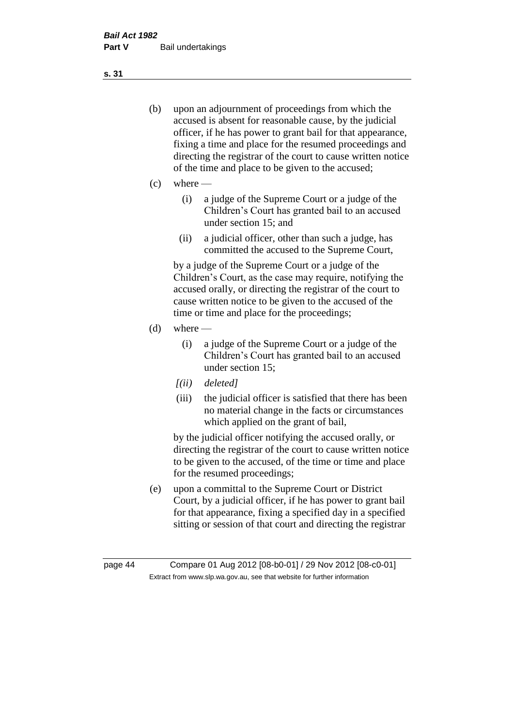- (b) upon an adjournment of proceedings from which the accused is absent for reasonable cause, by the judicial officer, if he has power to grant bail for that appearance, fixing a time and place for the resumed proceedings and directing the registrar of the court to cause written notice of the time and place to be given to the accused;
- (c) where
	- (i) a judge of the Supreme Court or a judge of the Children's Court has granted bail to an accused under section 15; and
	- (ii) a judicial officer, other than such a judge, has committed the accused to the Supreme Court,

by a judge of the Supreme Court or a judge of the Children's Court, as the case may require, notifying the accused orally, or directing the registrar of the court to cause written notice to be given to the accused of the time or time and place for the proceedings;

- $(d)$  where
	- (i) a judge of the Supreme Court or a judge of the Children's Court has granted bail to an accused under section 15;
	- *[(ii) deleted]*
	- (iii) the judicial officer is satisfied that there has been no material change in the facts or circumstances which applied on the grant of bail,

by the judicial officer notifying the accused orally, or directing the registrar of the court to cause written notice to be given to the accused, of the time or time and place for the resumed proceedings;

(e) upon a committal to the Supreme Court or District Court, by a judicial officer, if he has power to grant bail for that appearance, fixing a specified day in a specified sitting or session of that court and directing the registrar

**s. 31**

page 44 Compare 01 Aug 2012 [08-b0-01] / 29 Nov 2012 [08-c0-01] Extract from www.slp.wa.gov.au, see that website for further information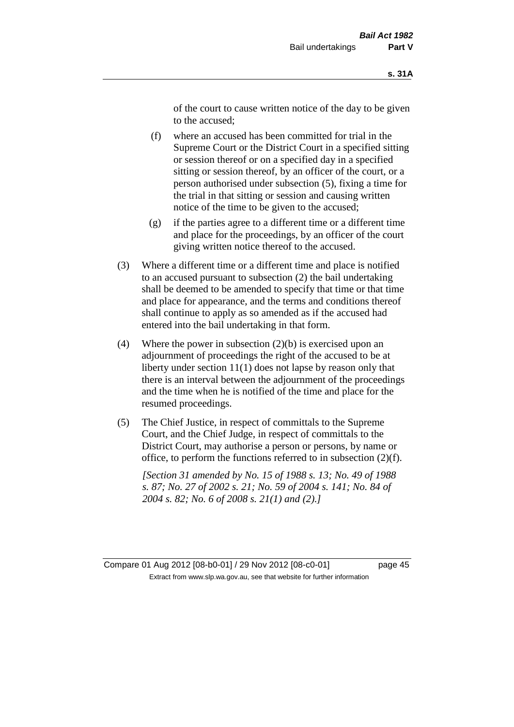of the court to cause written notice of the day to be given to the accused;

- (f) where an accused has been committed for trial in the Supreme Court or the District Court in a specified sitting or session thereof or on a specified day in a specified sitting or session thereof, by an officer of the court, or a person authorised under subsection (5), fixing a time for the trial in that sitting or session and causing written notice of the time to be given to the accused;
- (g) if the parties agree to a different time or a different time and place for the proceedings, by an officer of the court giving written notice thereof to the accused.
- (3) Where a different time or a different time and place is notified to an accused pursuant to subsection (2) the bail undertaking shall be deemed to be amended to specify that time or that time and place for appearance, and the terms and conditions thereof shall continue to apply as so amended as if the accused had entered into the bail undertaking in that form.
- (4) Where the power in subsection  $(2)(b)$  is exercised upon an adjournment of proceedings the right of the accused to be at liberty under section 11(1) does not lapse by reason only that there is an interval between the adjournment of the proceedings and the time when he is notified of the time and place for the resumed proceedings.
- (5) The Chief Justice, in respect of committals to the Supreme Court, and the Chief Judge, in respect of committals to the District Court, may authorise a person or persons, by name or office, to perform the functions referred to in subsection (2)(f).

*[Section 31 amended by No. 15 of 1988 s. 13; No. 49 of 1988 s. 87; No. 27 of 2002 s. 21; No. 59 of 2004 s. 141; No. 84 of 2004 s. 82; No. 6 of 2008 s. 21(1) and (2).]*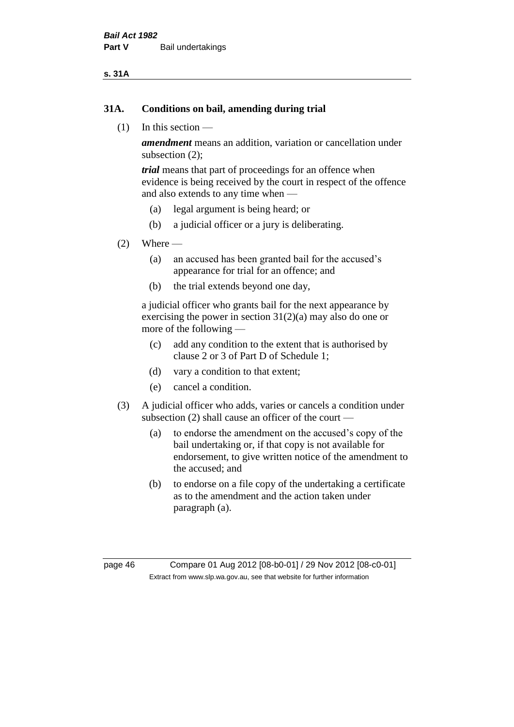#### **s. 31A**

#### **31A. Conditions on bail, amending during trial**

(1) In this section —

*amendment* means an addition, variation or cancellation under subsection (2);

*trial* means that part of proceedings for an offence when evidence is being received by the court in respect of the offence and also extends to any time when —

- (a) legal argument is being heard; or
- (b) a judicial officer or a jury is deliberating.

#### $(2)$  Where —

- (a) an accused has been granted bail for the accused's appearance for trial for an offence; and
- (b) the trial extends beyond one day,

a judicial officer who grants bail for the next appearance by exercising the power in section  $31(2)(a)$  may also do one or more of the following —

- (c) add any condition to the extent that is authorised by clause 2 or 3 of Part D of Schedule 1;
- (d) vary a condition to that extent;
- (e) cancel a condition.
- (3) A judicial officer who adds, varies or cancels a condition under subsection (2) shall cause an officer of the court —
	- (a) to endorse the amendment on the accused's copy of the bail undertaking or, if that copy is not available for endorsement, to give written notice of the amendment to the accused; and
	- (b) to endorse on a file copy of the undertaking a certificate as to the amendment and the action taken under paragraph (a).

page 46 Compare 01 Aug 2012 [08-b0-01] / 29 Nov 2012 [08-c0-01] Extract from www.slp.wa.gov.au, see that website for further information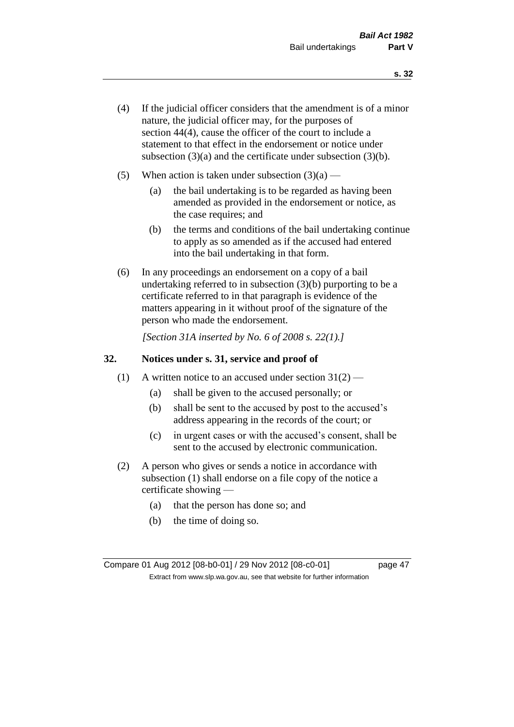- (4) If the judicial officer considers that the amendment is of a minor nature, the judicial officer may, for the purposes of section 44(4), cause the officer of the court to include a statement to that effect in the endorsement or notice under subsection (3)(a) and the certificate under subsection (3)(b).
- (5) When action is taken under subsection  $(3)(a)$ 
	- (a) the bail undertaking is to be regarded as having been amended as provided in the endorsement or notice, as the case requires; and
	- (b) the terms and conditions of the bail undertaking continue to apply as so amended as if the accused had entered into the bail undertaking in that form.
- (6) In any proceedings an endorsement on a copy of a bail undertaking referred to in subsection (3)(b) purporting to be a certificate referred to in that paragraph is evidence of the matters appearing in it without proof of the signature of the person who made the endorsement.

*[Section 31A inserted by No. 6 of 2008 s. 22(1).]*

### **32. Notices under s. 31, service and proof of**

- (1) A written notice to an accused under section  $31(2)$ 
	- (a) shall be given to the accused personally; or
	- (b) shall be sent to the accused by post to the accused's address appearing in the records of the court; or
	- (c) in urgent cases or with the accused's consent, shall be sent to the accused by electronic communication.
- (2) A person who gives or sends a notice in accordance with subsection (1) shall endorse on a file copy of the notice a certificate showing —
	- (a) that the person has done so; and
	- (b) the time of doing so.

Compare 01 Aug 2012 [08-b0-01] / 29 Nov 2012 [08-c0-01] page 47 Extract from www.slp.wa.gov.au, see that website for further information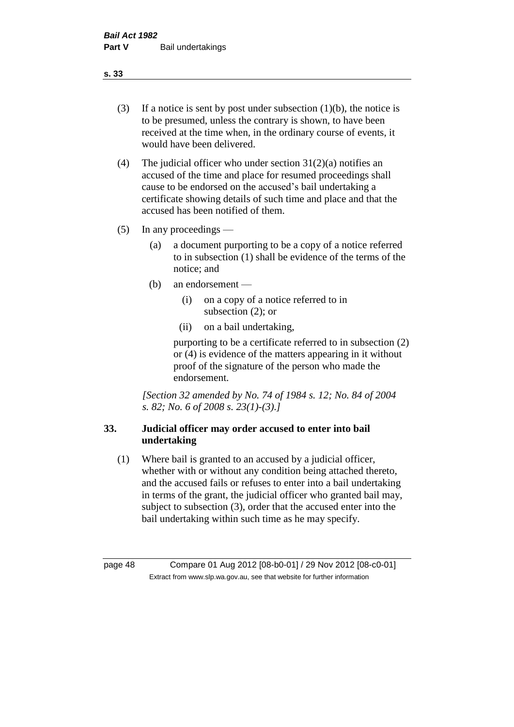- (3) If a notice is sent by post under subsection  $(1)(b)$ , the notice is to be presumed, unless the contrary is shown, to have been received at the time when, in the ordinary course of events, it would have been delivered.
- (4) The judicial officer who under section  $31(2)(a)$  notifies an accused of the time and place for resumed proceedings shall cause to be endorsed on the accused's bail undertaking a certificate showing details of such time and place and that the accused has been notified of them.
- (5) In any proceedings
	- (a) a document purporting to be a copy of a notice referred to in subsection (1) shall be evidence of the terms of the notice; and
	- (b) an endorsement
		- (i) on a copy of a notice referred to in subsection (2); or
		- (ii) on a bail undertaking,

purporting to be a certificate referred to in subsection (2) or (4) is evidence of the matters appearing in it without proof of the signature of the person who made the endorsement.

*[Section 32 amended by No. 74 of 1984 s. 12; No. 84 of 2004 s. 82; No. 6 of 2008 s. 23(1)-(3).]* 

# **33. Judicial officer may order accused to enter into bail undertaking**

(1) Where bail is granted to an accused by a judicial officer, whether with or without any condition being attached thereto, and the accused fails or refuses to enter into a bail undertaking in terms of the grant, the judicial officer who granted bail may, subject to subsection (3), order that the accused enter into the bail undertaking within such time as he may specify.

page 48 Compare 01 Aug 2012 [08-b0-01] / 29 Nov 2012 [08-c0-01] Extract from www.slp.wa.gov.au, see that website for further information

**s. 33**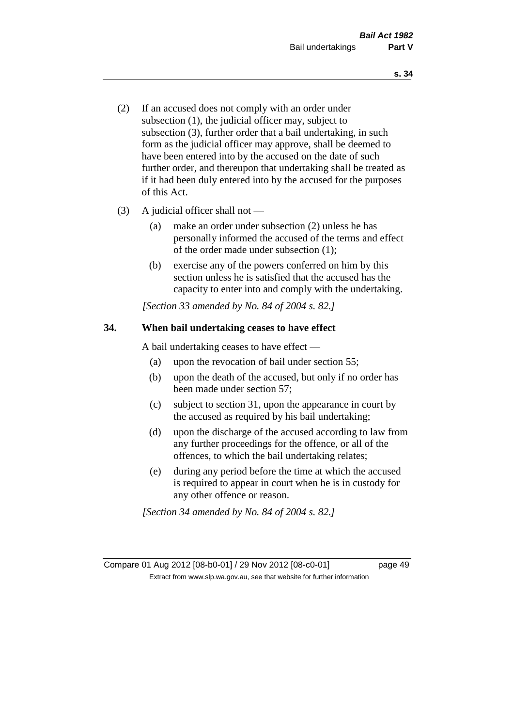- (2) If an accused does not comply with an order under subsection (1), the judicial officer may, subject to subsection (3), further order that a bail undertaking, in such form as the judicial officer may approve, shall be deemed to have been entered into by the accused on the date of such further order, and thereupon that undertaking shall be treated as if it had been duly entered into by the accused for the purposes of this Act.
- (3) A judicial officer shall not
	- (a) make an order under subsection (2) unless he has personally informed the accused of the terms and effect of the order made under subsection (1);
	- (b) exercise any of the powers conferred on him by this section unless he is satisfied that the accused has the capacity to enter into and comply with the undertaking.

*[Section 33 amended by No. 84 of 2004 s. 82.]* 

### **34. When bail undertaking ceases to have effect**

A bail undertaking ceases to have effect —

- (a) upon the revocation of bail under section 55;
- (b) upon the death of the accused, but only if no order has been made under section 57;
- (c) subject to section 31, upon the appearance in court by the accused as required by his bail undertaking;
- (d) upon the discharge of the accused according to law from any further proceedings for the offence, or all of the offences, to which the bail undertaking relates;
- (e) during any period before the time at which the accused is required to appear in court when he is in custody for any other offence or reason.

*[Section 34 amended by No. 84 of 2004 s. 82.]* 

Compare 01 Aug 2012 [08-b0-01] / 29 Nov 2012 [08-c0-01] page 49 Extract from www.slp.wa.gov.au, see that website for further information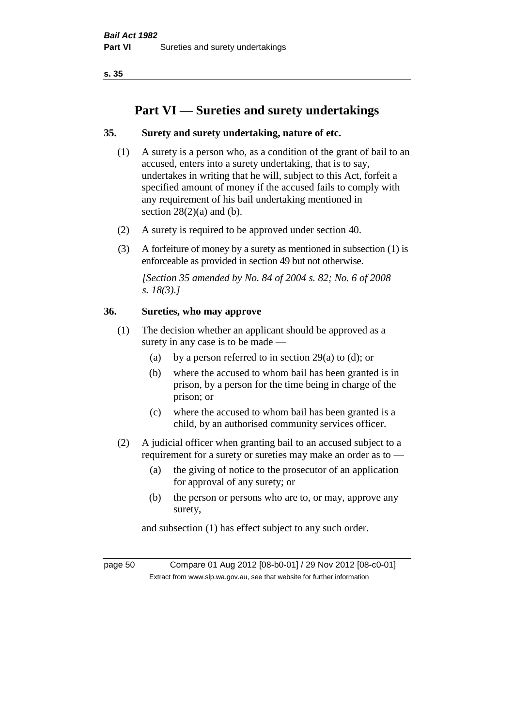# **Part VI — Sureties and surety undertakings**

## **35. Surety and surety undertaking, nature of etc.**

- (1) A surety is a person who, as a condition of the grant of bail to an accused, enters into a surety undertaking, that is to say, undertakes in writing that he will, subject to this Act, forfeit a specified amount of money if the accused fails to comply with any requirement of his bail undertaking mentioned in section  $28(2)(a)$  and (b).
- (2) A surety is required to be approved under section 40.
- (3) A forfeiture of money by a surety as mentioned in subsection (1) is enforceable as provided in section 49 but not otherwise.

*[Section 35 amended by No. 84 of 2004 s. 82; No. 6 of 2008 s. 18(3).]* 

### **36. Sureties, who may approve**

- (1) The decision whether an applicant should be approved as a surety in any case is to be made —
	- (a) by a person referred to in section 29(a) to (d); or
	- (b) where the accused to whom bail has been granted is in prison, by a person for the time being in charge of the prison; or
	- (c) where the accused to whom bail has been granted is a child, by an authorised community services officer.
- (2) A judicial officer when granting bail to an accused subject to a requirement for a surety or sureties may make an order as to —
	- (a) the giving of notice to the prosecutor of an application for approval of any surety; or
	- (b) the person or persons who are to, or may, approve any surety,

and subsection (1) has effect subject to any such order.

page 50 Compare 01 Aug 2012 [08-b0-01] / 29 Nov 2012 [08-c0-01] Extract from www.slp.wa.gov.au, see that website for further information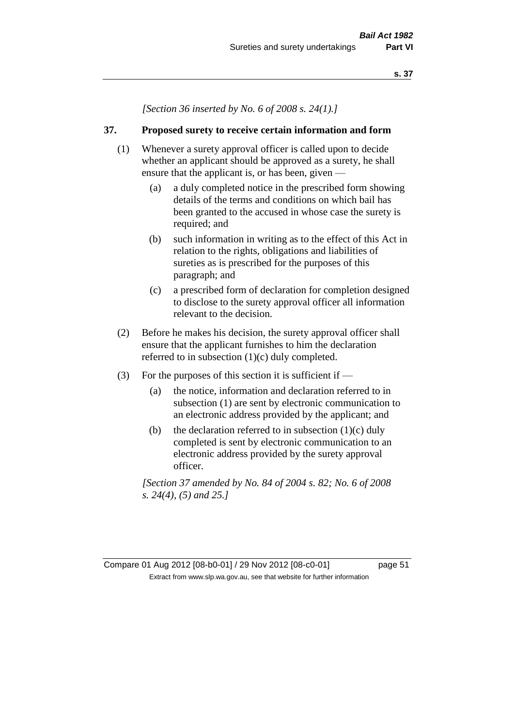*[Section 36 inserted by No. 6 of 2008 s. 24(1).]*

### **37. Proposed surety to receive certain information and form**

- (1) Whenever a surety approval officer is called upon to decide whether an applicant should be approved as a surety, he shall ensure that the applicant is, or has been, given -
	- (a) a duly completed notice in the prescribed form showing details of the terms and conditions on which bail has been granted to the accused in whose case the surety is required; and
	- (b) such information in writing as to the effect of this Act in relation to the rights, obligations and liabilities of sureties as is prescribed for the purposes of this paragraph; and
	- (c) a prescribed form of declaration for completion designed to disclose to the surety approval officer all information relevant to the decision.
- (2) Before he makes his decision, the surety approval officer shall ensure that the applicant furnishes to him the declaration referred to in subsection (1)(c) duly completed.
- (3) For the purposes of this section it is sufficient if
	- (a) the notice, information and declaration referred to in subsection (1) are sent by electronic communication to an electronic address provided by the applicant; and
	- (b) the declaration referred to in subsection  $(1)(c)$  duly completed is sent by electronic communication to an electronic address provided by the surety approval officer.

*[Section 37 amended by No. 84 of 2004 s. 82; No. 6 of 2008 s. 24(4), (5) and 25.]*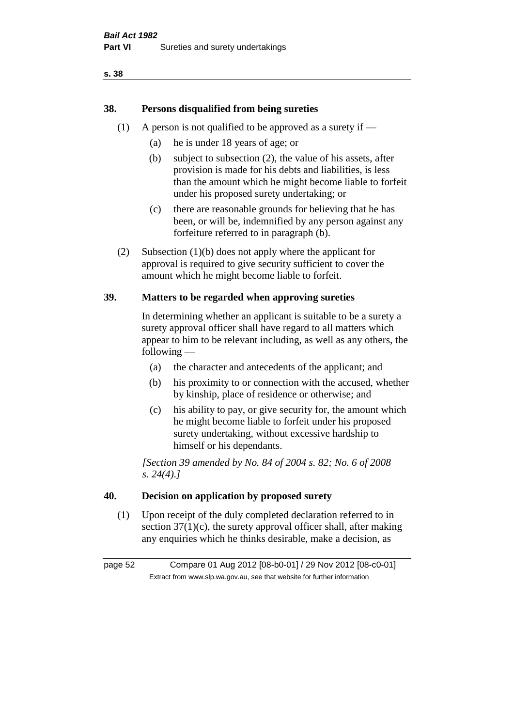# **38. Persons disqualified from being sureties**

- (1) A person is not qualified to be approved as a surety if  $-$ 
	- (a) he is under 18 years of age; or
	- (b) subject to subsection (2), the value of his assets, after provision is made for his debts and liabilities, is less than the amount which he might become liable to forfeit under his proposed surety undertaking; or
	- (c) there are reasonable grounds for believing that he has been, or will be, indemnified by any person against any forfeiture referred to in paragraph (b).
- (2) Subsection (1)(b) does not apply where the applicant for approval is required to give security sufficient to cover the amount which he might become liable to forfeit.

# **39. Matters to be regarded when approving sureties**

In determining whether an applicant is suitable to be a surety a surety approval officer shall have regard to all matters which appear to him to be relevant including, as well as any others, the following —

- (a) the character and antecedents of the applicant; and
- (b) his proximity to or connection with the accused, whether by kinship, place of residence or otherwise; and
- (c) his ability to pay, or give security for, the amount which he might become liable to forfeit under his proposed surety undertaking, without excessive hardship to himself or his dependants.

*[Section 39 amended by No. 84 of 2004 s. 82; No. 6 of 2008 s. 24(4).]* 

### **40. Decision on application by proposed surety**

(1) Upon receipt of the duly completed declaration referred to in section  $37(1)(c)$ , the surety approval officer shall, after making any enquiries which he thinks desirable, make a decision, as

page 52 Compare 01 Aug 2012 [08-b0-01] / 29 Nov 2012 [08-c0-01] Extract from www.slp.wa.gov.au, see that website for further information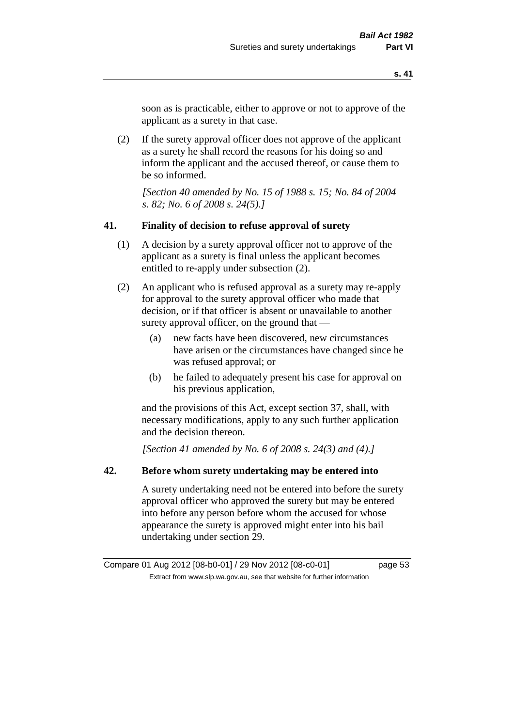soon as is practicable, either to approve or not to approve of the applicant as a surety in that case.

(2) If the surety approval officer does not approve of the applicant as a surety he shall record the reasons for his doing so and inform the applicant and the accused thereof, or cause them to be so informed.

*[Section 40 amended by No. 15 of 1988 s. 15; No. 84 of 2004 s. 82; No. 6 of 2008 s. 24(5).]* 

#### **41. Finality of decision to refuse approval of surety**

- (1) A decision by a surety approval officer not to approve of the applicant as a surety is final unless the applicant becomes entitled to re-apply under subsection (2).
- (2) An applicant who is refused approval as a surety may re-apply for approval to the surety approval officer who made that decision, or if that officer is absent or unavailable to another surety approval officer, on the ground that —
	- (a) new facts have been discovered, new circumstances have arisen or the circumstances have changed since he was refused approval; or
	- (b) he failed to adequately present his case for approval on his previous application,

and the provisions of this Act, except section 37, shall, with necessary modifications, apply to any such further application and the decision thereon.

*[Section 41 amended by No. 6 of 2008 s. 24(3) and (4).]*

### **42. Before whom surety undertaking may be entered into**

A surety undertaking need not be entered into before the surety approval officer who approved the surety but may be entered into before any person before whom the accused for whose appearance the surety is approved might enter into his bail undertaking under section 29.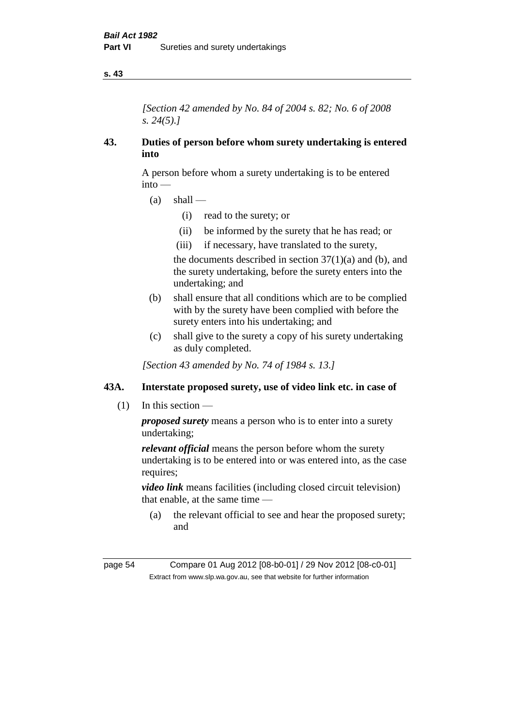*[Section 42 amended by No. 84 of 2004 s. 82; No. 6 of 2008 s. 24(5).]* 

## **43. Duties of person before whom surety undertaking is entered into**

A person before whom a surety undertaking is to be entered into —

- $(a)$  shall
	- (i) read to the surety; or
	- (ii) be informed by the surety that he has read; or
	- (iii) if necessary, have translated to the surety,

the documents described in section  $37(1)(a)$  and (b), and the surety undertaking, before the surety enters into the undertaking; and

- (b) shall ensure that all conditions which are to be complied with by the surety have been complied with before the surety enters into his undertaking; and
- (c) shall give to the surety a copy of his surety undertaking as duly completed.

*[Section 43 amended by No. 74 of 1984 s. 13.]* 

# **43A. Interstate proposed surety, use of video link etc. in case of**

(1) In this section —

*proposed surety* means a person who is to enter into a surety undertaking;

*relevant official* means the person before whom the surety undertaking is to be entered into or was entered into, as the case requires:

*video link* means facilities (including closed circuit television) that enable, at the same time —

(a) the relevant official to see and hear the proposed surety; and

page 54 Compare 01 Aug 2012 [08-b0-01] / 29 Nov 2012 [08-c0-01] Extract from www.slp.wa.gov.au, see that website for further information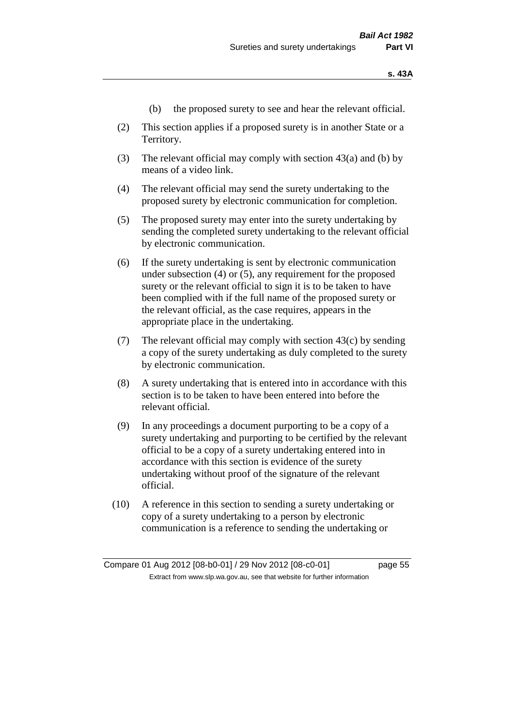- (b) the proposed surety to see and hear the relevant official.
- (2) This section applies if a proposed surety is in another State or a Territory.
- (3) The relevant official may comply with section 43(a) and (b) by means of a video link.
- (4) The relevant official may send the surety undertaking to the proposed surety by electronic communication for completion.
- (5) The proposed surety may enter into the surety undertaking by sending the completed surety undertaking to the relevant official by electronic communication.
- (6) If the surety undertaking is sent by electronic communication under subsection (4) or (5), any requirement for the proposed surety or the relevant official to sign it is to be taken to have been complied with if the full name of the proposed surety or the relevant official, as the case requires, appears in the appropriate place in the undertaking.
- (7) The relevant official may comply with section 43(c) by sending a copy of the surety undertaking as duly completed to the surety by electronic communication.
- (8) A surety undertaking that is entered into in accordance with this section is to be taken to have been entered into before the relevant official.
- (9) In any proceedings a document purporting to be a copy of a surety undertaking and purporting to be certified by the relevant official to be a copy of a surety undertaking entered into in accordance with this section is evidence of the surety undertaking without proof of the signature of the relevant official.
- (10) A reference in this section to sending a surety undertaking or copy of a surety undertaking to a person by electronic communication is a reference to sending the undertaking or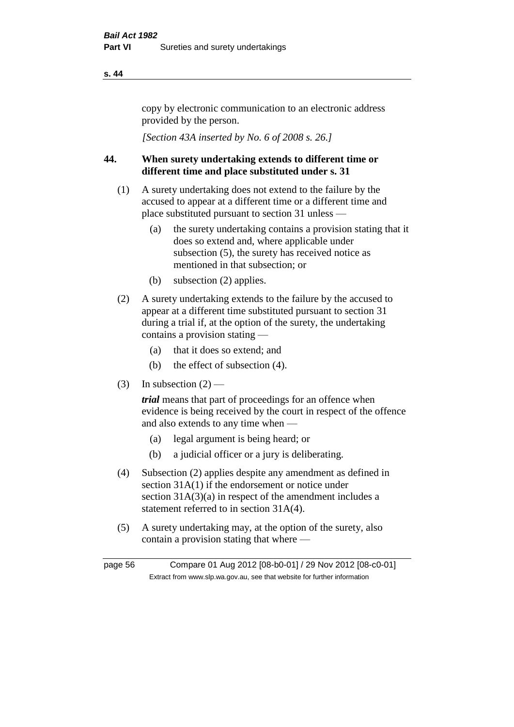copy by electronic communication to an electronic address provided by the person.

*[Section 43A inserted by No. 6 of 2008 s. 26.]*

# **44. When surety undertaking extends to different time or different time and place substituted under s. 31**

- (1) A surety undertaking does not extend to the failure by the accused to appear at a different time or a different time and place substituted pursuant to section 31 unless —
	- (a) the surety undertaking contains a provision stating that it does so extend and, where applicable under subsection (5), the surety has received notice as mentioned in that subsection; or
	- (b) subsection (2) applies.
- (2) A surety undertaking extends to the failure by the accused to appear at a different time substituted pursuant to section 31 during a trial if, at the option of the surety, the undertaking contains a provision stating —
	- (a) that it does so extend; and
	- (b) the effect of subsection (4).
- (3) In subsection  $(2)$  —

*trial* means that part of proceedings for an offence when evidence is being received by the court in respect of the offence and also extends to any time when —

- (a) legal argument is being heard; or
- (b) a judicial officer or a jury is deliberating.
- (4) Subsection (2) applies despite any amendment as defined in section 31A(1) if the endorsement or notice under section  $31A(3)(a)$  in respect of the amendment includes a statement referred to in section 31A(4).
- (5) A surety undertaking may, at the option of the surety, also contain a provision stating that where —

page 56 Compare 01 Aug 2012 [08-b0-01] / 29 Nov 2012 [08-c0-01] Extract from www.slp.wa.gov.au, see that website for further information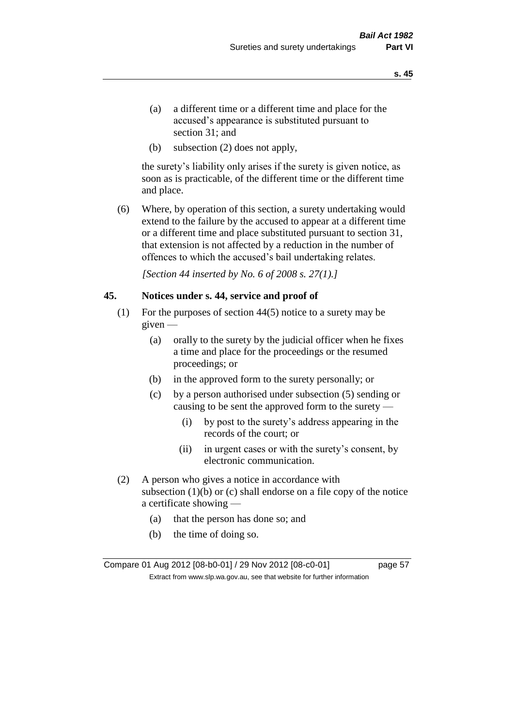- (a) a different time or a different time and place for the accused's appearance is substituted pursuant to section 31; and
- (b) subsection (2) does not apply,

the surety's liability only arises if the surety is given notice, as soon as is practicable, of the different time or the different time and place.

(6) Where, by operation of this section, a surety undertaking would extend to the failure by the accused to appear at a different time or a different time and place substituted pursuant to section 31, that extension is not affected by a reduction in the number of offences to which the accused's bail undertaking relates.

*[Section 44 inserted by No. 6 of 2008 s. 27(1).]*

#### **45. Notices under s. 44, service and proof of**

- (1) For the purposes of section 44(5) notice to a surety may be given —
	- (a) orally to the surety by the judicial officer when he fixes a time and place for the proceedings or the resumed proceedings; or
	- (b) in the approved form to the surety personally; or
	- (c) by a person authorised under subsection (5) sending or causing to be sent the approved form to the surety —
		- (i) by post to the surety's address appearing in the records of the court; or
		- (ii) in urgent cases or with the surety's consent, by electronic communication.
- (2) A person who gives a notice in accordance with subsection  $(1)(b)$  or  $(c)$  shall endorse on a file copy of the notice a certificate showing —
	- (a) that the person has done so; and
	- (b) the time of doing so.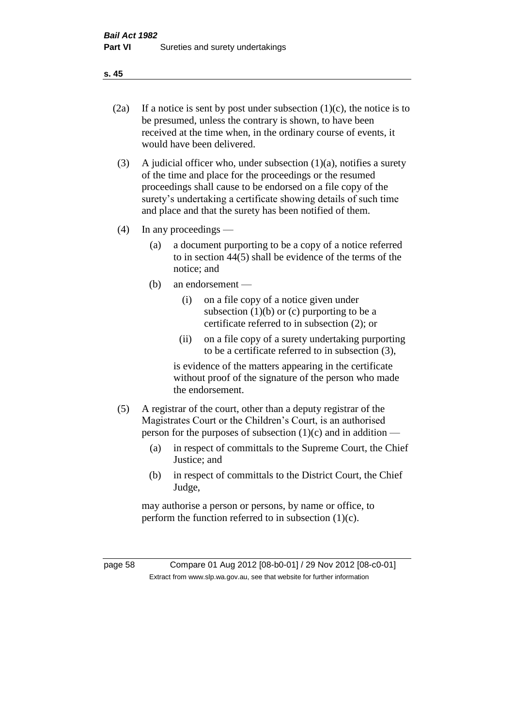- 
- (2a) If a notice is sent by post under subsection  $(1)(c)$ , the notice is to be presumed, unless the contrary is shown, to have been received at the time when, in the ordinary course of events, it would have been delivered.
- (3) A judicial officer who, under subsection  $(1)(a)$ , notifies a surety of the time and place for the proceedings or the resumed proceedings shall cause to be endorsed on a file copy of the surety's undertaking a certificate showing details of such time and place and that the surety has been notified of them.
- (4) In any proceedings
	- (a) a document purporting to be a copy of a notice referred to in section 44(5) shall be evidence of the terms of the notice; and
	- (b) an endorsement
		- (i) on a file copy of a notice given under subsection  $(1)(b)$  or  $(c)$  purporting to be a certificate referred to in subsection (2); or
		- (ii) on a file copy of a surety undertaking purporting to be a certificate referred to in subsection (3),

is evidence of the matters appearing in the certificate without proof of the signature of the person who made the endorsement.

- (5) A registrar of the court, other than a deputy registrar of the Magistrates Court or the Children's Court, is an authorised person for the purposes of subsection  $(1)(c)$  and in addition —
	- (a) in respect of committals to the Supreme Court, the Chief Justice; and
	- (b) in respect of committals to the District Court, the Chief Judge,

may authorise a person or persons, by name or office, to perform the function referred to in subsection  $(1)(c)$ .

page 58 Compare 01 Aug 2012 [08-b0-01] / 29 Nov 2012 [08-c0-01] Extract from www.slp.wa.gov.au, see that website for further information

**s. 45**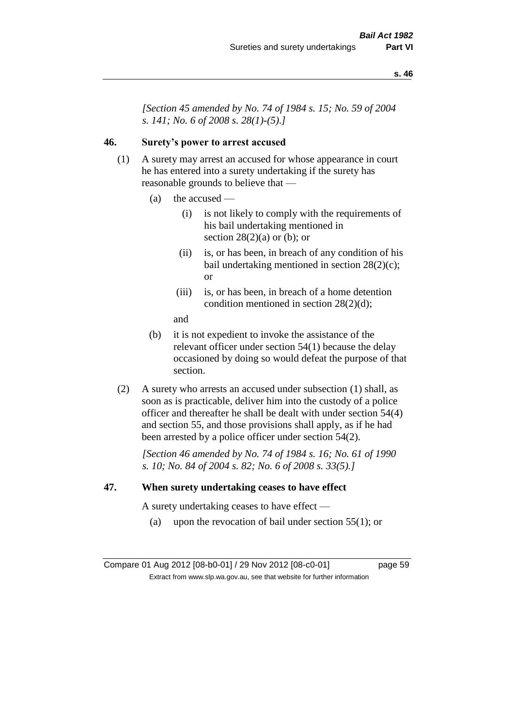*[Section 45 amended by No. 74 of 1984 s. 15; No. 59 of 2004 s. 141; No. 6 of 2008 s. 28(1)-(5).]* 

# **46. Surety's power to arrest accused**

- (1) A surety may arrest an accused for whose appearance in court he has entered into a surety undertaking if the surety has reasonable grounds to believe that —
	- (a) the accused
		- (i) is not likely to comply with the requirements of his bail undertaking mentioned in section  $28(2)(a)$  or (b); or
		- (ii) is, or has been, in breach of any condition of his bail undertaking mentioned in section 28(2)(c); or
		- (iii) is, or has been, in breach of a home detention condition mentioned in section 28(2)(d);
		- and
	- (b) it is not expedient to invoke the assistance of the relevant officer under section 54(1) because the delay occasioned by doing so would defeat the purpose of that section.
- (2) A surety who arrests an accused under subsection (1) shall, as soon as is practicable, deliver him into the custody of a police officer and thereafter he shall be dealt with under section 54(4) and section 55, and those provisions shall apply, as if he had been arrested by a police officer under section 54(2).

*[Section 46 amended by No. 74 of 1984 s. 16; No. 61 of 1990 s. 10; No. 84 of 2004 s. 82; No. 6 of 2008 s. 33(5).]* 

#### **47. When surety undertaking ceases to have effect**

A surety undertaking ceases to have effect —

(a) upon the revocation of bail under section  $55(1)$ ; or

Compare 01 Aug 2012 [08-b0-01] / 29 Nov 2012 [08-c0-01] page 59 Extract from www.slp.wa.gov.au, see that website for further information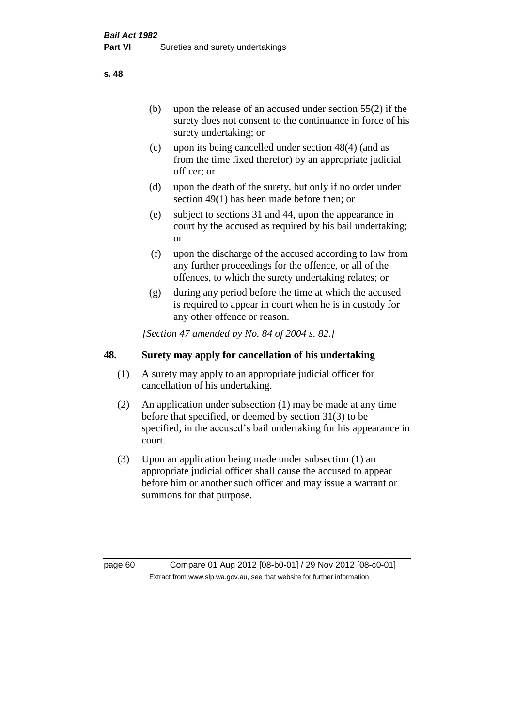(b) upon the release of an accused under section 55(2) if the surety does not consent to the continuance in force of his surety undertaking; or

- (c) upon its being cancelled under section 48(4) (and as from the time fixed therefor) by an appropriate judicial officer; or
- (d) upon the death of the surety, but only if no order under section 49(1) has been made before then; or
- (e) subject to sections 31 and 44, upon the appearance in court by the accused as required by his bail undertaking; or
- (f) upon the discharge of the accused according to law from any further proceedings for the offence, or all of the offences, to which the surety undertaking relates; or
- (g) during any period before the time at which the accused is required to appear in court when he is in custody for any other offence or reason.

*[Section 47 amended by No. 84 of 2004 s. 82.]* 

# **48. Surety may apply for cancellation of his undertaking**

- (1) A surety may apply to an appropriate judicial officer for cancellation of his undertaking.
- (2) An application under subsection (1) may be made at any time before that specified, or deemed by section 31(3) to be specified, in the accused's bail undertaking for his appearance in court.
- (3) Upon an application being made under subsection (1) an appropriate judicial officer shall cause the accused to appear before him or another such officer and may issue a warrant or summons for that purpose.

page 60 Compare 01 Aug 2012 [08-b0-01] / 29 Nov 2012 [08-c0-01] Extract from www.slp.wa.gov.au, see that website for further information

**s. 48**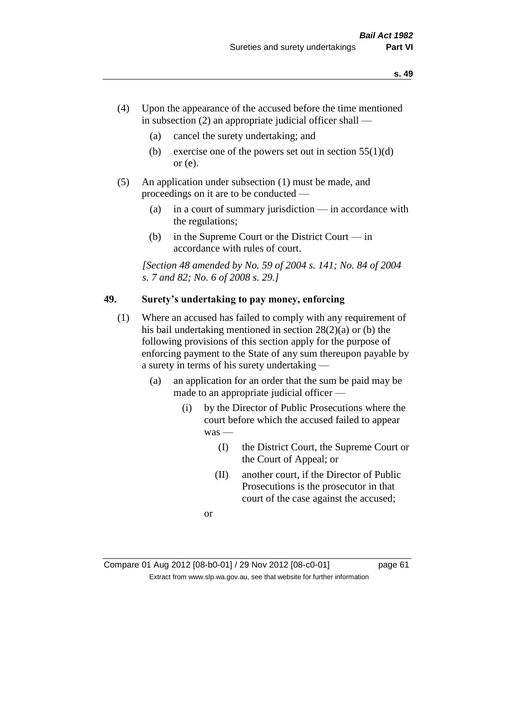- (4) Upon the appearance of the accused before the time mentioned in subsection  $(2)$  an appropriate judicial officer shall —
	- (a) cancel the surety undertaking; and
	- (b) exercise one of the powers set out in section  $55(1)(d)$ or (e).
- (5) An application under subsection (1) must be made, and proceedings on it are to be conducted —
	- (a) in a court of summary jurisdiction in accordance with the regulations;
	- (b) in the Supreme Court or the District Court in accordance with rules of court.

*[Section 48 amended by No. 59 of 2004 s. 141; No. 84 of 2004 s. 7 and 82; No. 6 of 2008 s. 29.]* 

# **49. Surety's undertaking to pay money, enforcing**

- (1) Where an accused has failed to comply with any requirement of his bail undertaking mentioned in section 28(2)(a) or (b) the following provisions of this section apply for the purpose of enforcing payment to the State of any sum thereupon payable by a surety in terms of his surety undertaking —
	- (a) an application for an order that the sum be paid may be made to an appropriate judicial officer —
		- (i) by the Director of Public Prosecutions where the court before which the accused failed to appear was —
			- (I) the District Court, the Supreme Court or the Court of Appeal; or
			- (II) another court, if the Director of Public Prosecutions is the prosecutor in that court of the case against the accused;

or

Compare 01 Aug 2012 [08-b0-01] / 29 Nov 2012 [08-c0-01] page 61 Extract from www.slp.wa.gov.au, see that website for further information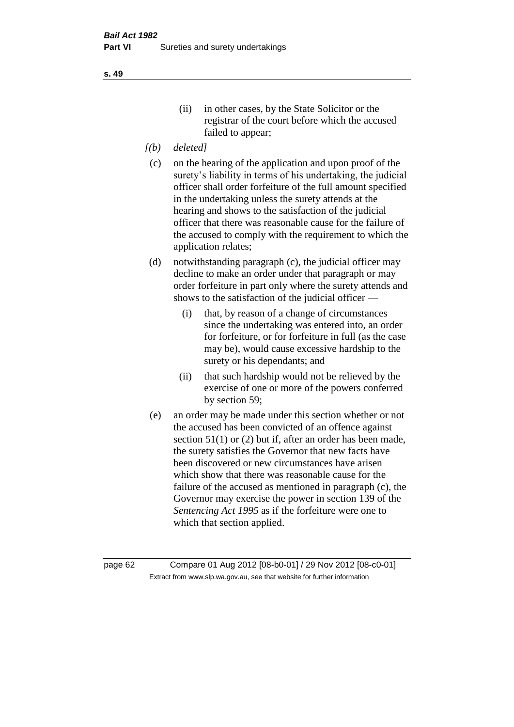- *[(b) deleted]*
- (c) on the hearing of the application and upon proof of the surety's liability in terms of his undertaking, the judicial officer shall order forfeiture of the full amount specified in the undertaking unless the surety attends at the hearing and shows to the satisfaction of the judicial officer that there was reasonable cause for the failure of the accused to comply with the requirement to which the application relates;
- (d) notwithstanding paragraph (c), the judicial officer may decline to make an order under that paragraph or may order forfeiture in part only where the surety attends and shows to the satisfaction of the judicial officer —
	- (i) that, by reason of a change of circumstances since the undertaking was entered into, an order for forfeiture, or for forfeiture in full (as the case may be), would cause excessive hardship to the surety or his dependants; and
	- (ii) that such hardship would not be relieved by the exercise of one or more of the powers conferred by section 59;
- (e) an order may be made under this section whether or not the accused has been convicted of an offence against section 51(1) or (2) but if, after an order has been made, the surety satisfies the Governor that new facts have been discovered or new circumstances have arisen which show that there was reasonable cause for the failure of the accused as mentioned in paragraph (c), the Governor may exercise the power in section 139 of the *Sentencing Act 1995* as if the forfeiture were one to which that section applied.

page 62 Compare 01 Aug 2012 [08-b0-01] / 29 Nov 2012 [08-c0-01] Extract from www.slp.wa.gov.au, see that website for further information

**s. 49**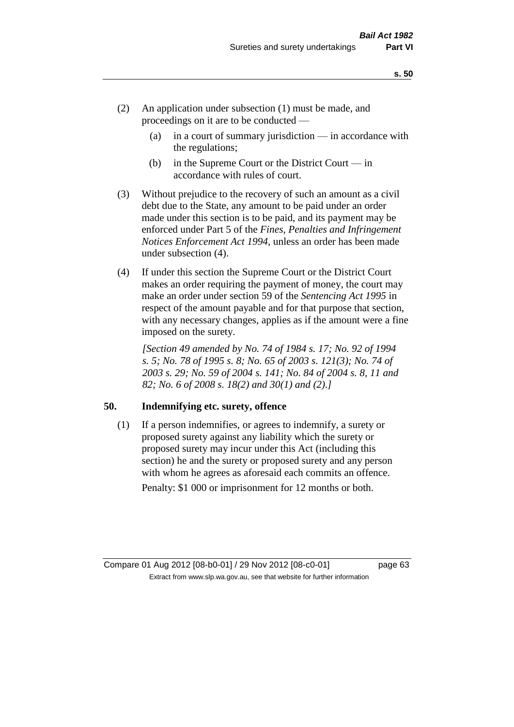- (2) An application under subsection (1) must be made, and proceedings on it are to be conducted —
	- (a) in a court of summary jurisdiction in accordance with the regulations;
	- (b) in the Supreme Court or the District Court  $-\text{in}$ accordance with rules of court.
- (3) Without prejudice to the recovery of such an amount as a civil debt due to the State, any amount to be paid under an order made under this section is to be paid, and its payment may be enforced under Part 5 of the *Fines, Penalties and Infringement Notices Enforcement Act 1994*, unless an order has been made under subsection (4).
- (4) If under this section the Supreme Court or the District Court makes an order requiring the payment of money, the court may make an order under section 59 of the *Sentencing Act 1995* in respect of the amount payable and for that purpose that section, with any necessary changes, applies as if the amount were a fine imposed on the surety.

*[Section 49 amended by No. 74 of 1984 s. 17; No. 92 of 1994 s. 5; No. 78 of 1995 s. 8; No. 65 of 2003 s. 121(3); No. 74 of 2003 s. 29; No. 59 of 2004 s. 141; No. 84 of 2004 s. 8, 11 and 82; No. 6 of 2008 s. 18(2) and 30(1) and (2).]* 

### **50. Indemnifying etc. surety, offence**

(1) If a person indemnifies, or agrees to indemnify, a surety or proposed surety against any liability which the surety or proposed surety may incur under this Act (including this section) he and the surety or proposed surety and any person with whom he agrees as aforesaid each commits an offence. Penalty: \$1 000 or imprisonment for 12 months or both.

Compare 01 Aug 2012 [08-b0-01] / 29 Nov 2012 [08-c0-01] page 63 Extract from www.slp.wa.gov.au, see that website for further information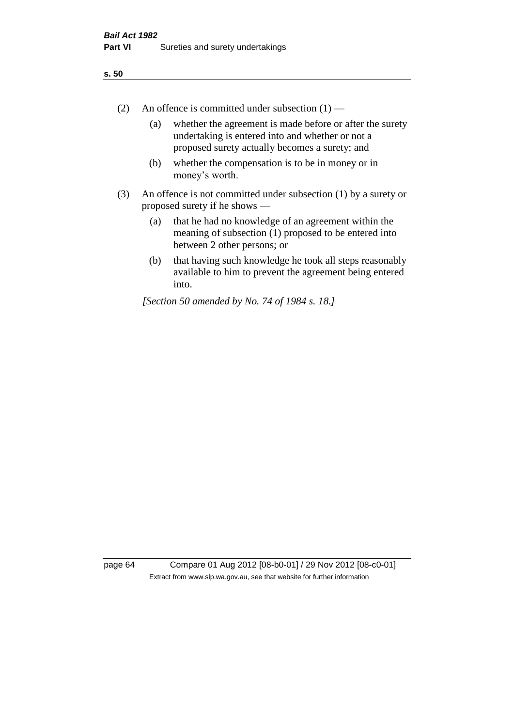- (2) An offence is committed under subsection  $(1)$ 
	- (a) whether the agreement is made before or after the surety undertaking is entered into and whether or not a proposed surety actually becomes a surety; and
	- (b) whether the compensation is to be in money or in money's worth.
- (3) An offence is not committed under subsection (1) by a surety or proposed surety if he shows —
	- (a) that he had no knowledge of an agreement within the meaning of subsection (1) proposed to be entered into between 2 other persons; or
	- (b) that having such knowledge he took all steps reasonably available to him to prevent the agreement being entered into.

*[Section 50 amended by No. 74 of 1984 s. 18.]* 

page 64 Compare 01 Aug 2012 [08-b0-01] / 29 Nov 2012 [08-c0-01] Extract from www.slp.wa.gov.au, see that website for further information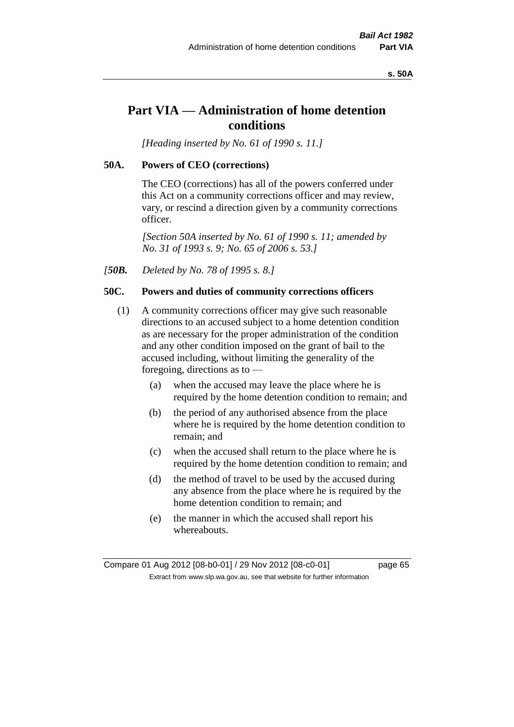#### **s. 50A**

# **Part VIA — Administration of home detention conditions**

*[Heading inserted by No. 61 of 1990 s. 11.]* 

#### **50A. Powers of CEO (corrections)**

The CEO (corrections) has all of the powers conferred under this Act on a community corrections officer and may review, vary, or rescind a direction given by a community corrections officer.

*[Section 50A inserted by No. 61 of 1990 s. 11; amended by No. 31 of 1993 s. 9; No. 65 of 2006 s. 53.]* 

*[50B. Deleted by No. 78 of 1995 s. 8.]* 

# **50C. Powers and duties of community corrections officers**

- (1) A community corrections officer may give such reasonable directions to an accused subject to a home detention condition as are necessary for the proper administration of the condition and any other condition imposed on the grant of bail to the accused including, without limiting the generality of the foregoing, directions as to —
	- (a) when the accused may leave the place where he is required by the home detention condition to remain; and
	- (b) the period of any authorised absence from the place where he is required by the home detention condition to remain; and
	- (c) when the accused shall return to the place where he is required by the home detention condition to remain; and
	- (d) the method of travel to be used by the accused during any absence from the place where he is required by the home detention condition to remain; and
	- (e) the manner in which the accused shall report his whereabouts.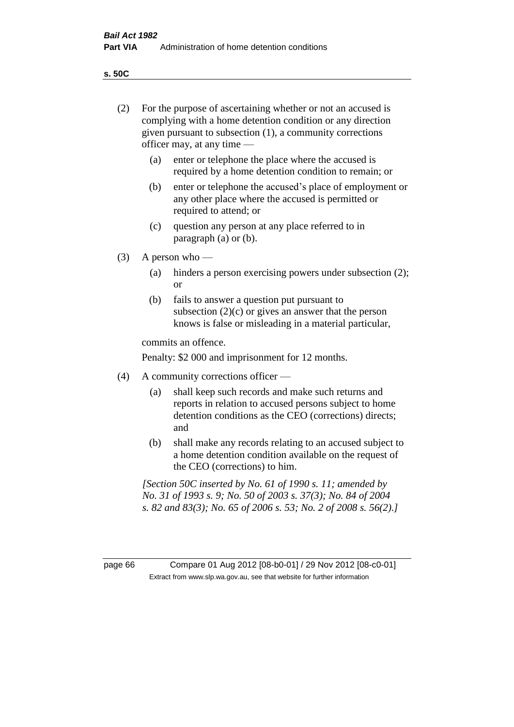**s. 50C**

| (2)     | For the purpose of ascertaining whether or not an accused is<br>complying with a home detention condition or any direction<br>given pursuant to subsection (1), a community corrections<br>officer may, at any time — |                                                                                                                                                                                              |  |
|---------|-----------------------------------------------------------------------------------------------------------------------------------------------------------------------------------------------------------------------|----------------------------------------------------------------------------------------------------------------------------------------------------------------------------------------------|--|
|         | (a)                                                                                                                                                                                                                   | enter or telephone the place where the accused is<br>required by a home detention condition to remain; or                                                                                    |  |
|         | (b)                                                                                                                                                                                                                   | enter or telephone the accused's place of employment or<br>any other place where the accused is permitted or<br>required to attend; or                                                       |  |
|         | (c)                                                                                                                                                                                                                   | question any person at any place referred to in<br>paragraph $(a)$ or $(b)$ .                                                                                                                |  |
| (3)     | A person who $-$                                                                                                                                                                                                      |                                                                                                                                                                                              |  |
|         | (a)                                                                                                                                                                                                                   | hinders a person exercising powers under subsection (2);<br><sub>or</sub>                                                                                                                    |  |
|         | (b)                                                                                                                                                                                                                   | fails to answer a question put pursuant to<br>subsection $(2)(c)$ or gives an answer that the person<br>knows is false or misleading in a material particular,                               |  |
|         |                                                                                                                                                                                                                       | commits an offence.                                                                                                                                                                          |  |
|         |                                                                                                                                                                                                                       | Penalty: \$2 000 and imprisonment for 12 months.                                                                                                                                             |  |
| (4)     | A community corrections officer —                                                                                                                                                                                     |                                                                                                                                                                                              |  |
|         | (a)                                                                                                                                                                                                                   | shall keep such records and make such returns and<br>reports in relation to accused persons subject to home<br>detention conditions as the CEO (corrections) directs;<br>and                 |  |
|         | (b)                                                                                                                                                                                                                   | shall make any records relating to an accused subject to<br>a home detention condition available on the request of<br>the CEO (corrections) to him.                                          |  |
|         |                                                                                                                                                                                                                       | [Section 50C inserted by No. 61 of 1990 s. 11; amended by<br>No. 31 of 1993 s. 9; No. 50 of 2003 s. 37(3); No. 84 of 2004<br>s. 82 and 83(3); No. 65 of 2006 s. 53; No. 2 of 2008 s. 56(2).] |  |
|         |                                                                                                                                                                                                                       |                                                                                                                                                                                              |  |
| page 66 |                                                                                                                                                                                                                       | Compare 01 Aug 2012 [08-b0-01] / 29 Nov 2012 [08-c0-01]<br>Extract from www.slp.wa.gov.au, see that website for further information                                                          |  |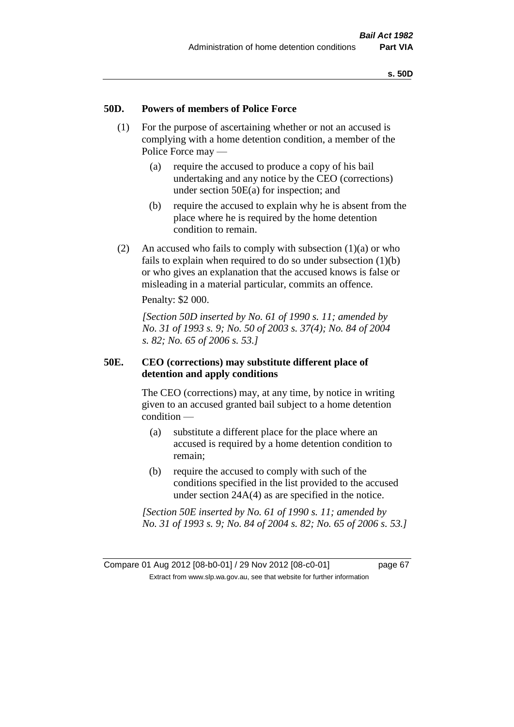#### **50D. Powers of members of Police Force**

- (1) For the purpose of ascertaining whether or not an accused is complying with a home detention condition, a member of the Police Force may —
	- (a) require the accused to produce a copy of his bail undertaking and any notice by the CEO (corrections) under section 50E(a) for inspection; and
	- (b) require the accused to explain why he is absent from the place where he is required by the home detention condition to remain.
- (2) An accused who fails to comply with subsection  $(1)(a)$  or who fails to explain when required to do so under subsection (1)(b) or who gives an explanation that the accused knows is false or misleading in a material particular, commits an offence.

Penalty: \$2 000.

*[Section 50D inserted by No. 61 of 1990 s. 11; amended by No. 31 of 1993 s. 9; No. 50 of 2003 s. 37(4); No. 84 of 2004 s. 82; No. 65 of 2006 s. 53.]* 

#### **50E. CEO (corrections) may substitute different place of detention and apply conditions**

The CEO (corrections) may, at any time, by notice in writing given to an accused granted bail subject to a home detention condition —

- (a) substitute a different place for the place where an accused is required by a home detention condition to remain;
- (b) require the accused to comply with such of the conditions specified in the list provided to the accused under section 24A(4) as are specified in the notice.

*[Section 50E inserted by No. 61 of 1990 s. 11; amended by No. 31 of 1993 s. 9; No. 84 of 2004 s. 82; No. 65 of 2006 s. 53.]*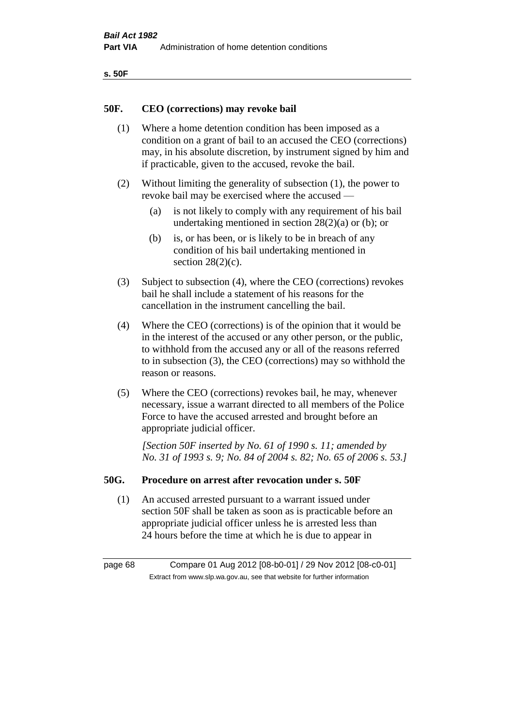| ۰.<br>×<br>-<br>۰.<br>× |  |
|-------------------------|--|
|-------------------------|--|

#### **50F. CEO (corrections) may revoke bail**

- (1) Where a home detention condition has been imposed as a condition on a grant of bail to an accused the CEO (corrections) may, in his absolute discretion, by instrument signed by him and if practicable, given to the accused, revoke the bail.
- (2) Without limiting the generality of subsection (1), the power to revoke bail may be exercised where the accused —
	- (a) is not likely to comply with any requirement of his bail undertaking mentioned in section 28(2)(a) or (b); or
	- (b) is, or has been, or is likely to be in breach of any condition of his bail undertaking mentioned in section  $28(2)(c)$ .
- (3) Subject to subsection (4), where the CEO (corrections) revokes bail he shall include a statement of his reasons for the cancellation in the instrument cancelling the bail.
- (4) Where the CEO (corrections) is of the opinion that it would be in the interest of the accused or any other person, or the public, to withhold from the accused any or all of the reasons referred to in subsection (3), the CEO (corrections) may so withhold the reason or reasons.
- (5) Where the CEO (corrections) revokes bail, he may, whenever necessary, issue a warrant directed to all members of the Police Force to have the accused arrested and brought before an appropriate judicial officer.

*[Section 50F inserted by No. 61 of 1990 s. 11; amended by No. 31 of 1993 s. 9; No. 84 of 2004 s. 82; No. 65 of 2006 s. 53.]* 

#### **50G. Procedure on arrest after revocation under s. 50F**

(1) An accused arrested pursuant to a warrant issued under section 50F shall be taken as soon as is practicable before an appropriate judicial officer unless he is arrested less than 24 hours before the time at which he is due to appear in

page 68 Compare 01 Aug 2012 [08-b0-01] / 29 Nov 2012 [08-c0-01] Extract from www.slp.wa.gov.au, see that website for further information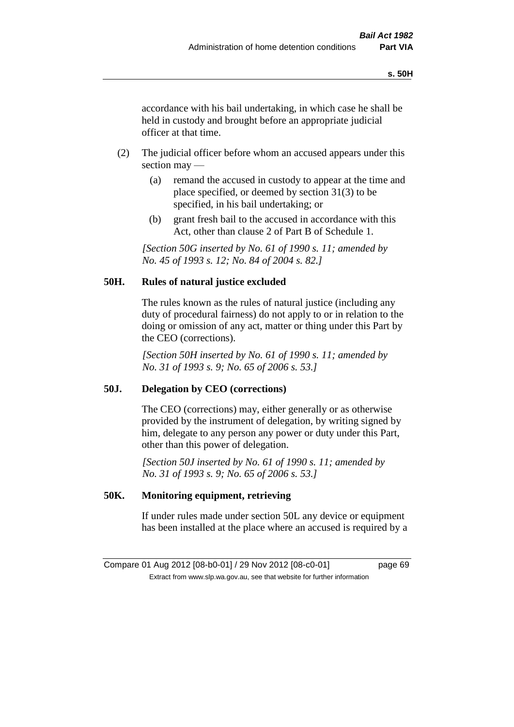accordance with his bail undertaking, in which case he shall be held in custody and brought before an appropriate judicial officer at that time.

- (2) The judicial officer before whom an accused appears under this section may —
	- (a) remand the accused in custody to appear at the time and place specified, or deemed by section 31(3) to be specified, in his bail undertaking; or
	- (b) grant fresh bail to the accused in accordance with this Act, other than clause 2 of Part B of Schedule 1.

*[Section 50G inserted by No. 61 of 1990 s. 11; amended by No. 45 of 1993 s. 12; No. 84 of 2004 s. 82.]* 

# **50H. Rules of natural justice excluded**

The rules known as the rules of natural justice (including any duty of procedural fairness) do not apply to or in relation to the doing or omission of any act, matter or thing under this Part by the CEO (corrections).

*[Section 50H inserted by No. 61 of 1990 s. 11; amended by No. 31 of 1993 s. 9; No. 65 of 2006 s. 53.]* 

### **50J. Delegation by CEO (corrections)**

The CEO (corrections) may, either generally or as otherwise provided by the instrument of delegation, by writing signed by him, delegate to any person any power or duty under this Part, other than this power of delegation.

*[Section 50J inserted by No. 61 of 1990 s. 11; amended by No. 31 of 1993 s. 9; No. 65 of 2006 s. 53.]* 

### **50K. Monitoring equipment, retrieving**

If under rules made under section 50L any device or equipment has been installed at the place where an accused is required by a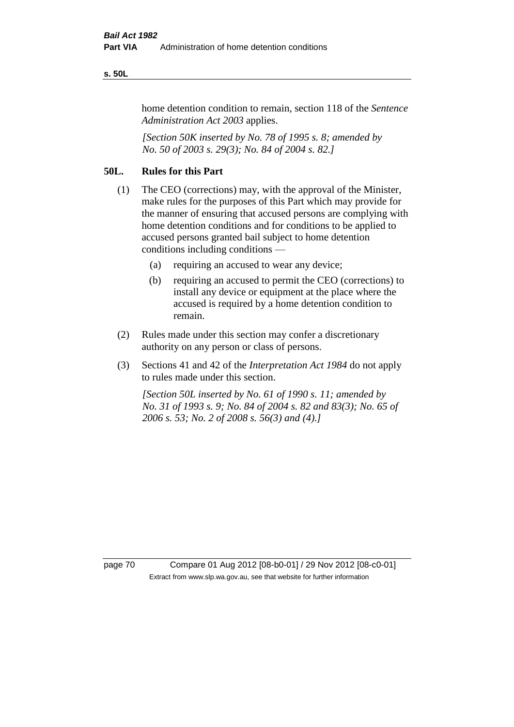#### **s. 50L**

home detention condition to remain, section 118 of the *Sentence Administration Act 2003* applies.

*[Section 50K inserted by No. 78 of 1995 s. 8; amended by No. 50 of 2003 s. 29(3); No. 84 of 2004 s. 82.]* 

# **50L. Rules for this Part**

- (1) The CEO (corrections) may, with the approval of the Minister, make rules for the purposes of this Part which may provide for the manner of ensuring that accused persons are complying with home detention conditions and for conditions to be applied to accused persons granted bail subject to home detention conditions including conditions —
	- (a) requiring an accused to wear any device;
	- (b) requiring an accused to permit the CEO (corrections) to install any device or equipment at the place where the accused is required by a home detention condition to remain.
- (2) Rules made under this section may confer a discretionary authority on any person or class of persons.
- (3) Sections 41 and 42 of the *Interpretation Act 1984* do not apply to rules made under this section.

*[Section 50L inserted by No. 61 of 1990 s. 11; amended by No. 31 of 1993 s. 9; No. 84 of 2004 s. 82 and 83(3); No. 65 of 2006 s. 53; No. 2 of 2008 s. 56(3) and (4).]* 

page 70 Compare 01 Aug 2012 [08-b0-01] / 29 Nov 2012 [08-c0-01] Extract from www.slp.wa.gov.au, see that website for further information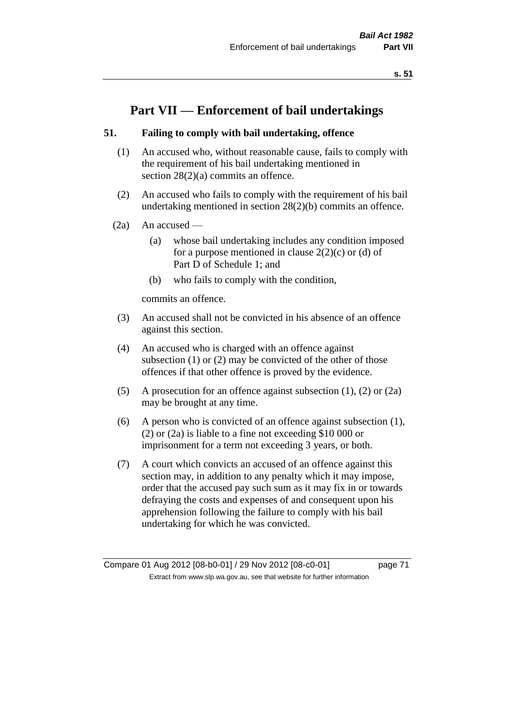# **Part VII — Enforcement of bail undertakings**

### **51. Failing to comply with bail undertaking, offence**

- (1) An accused who, without reasonable cause, fails to comply with the requirement of his bail undertaking mentioned in section 28(2)(a) commits an offence.
- (2) An accused who fails to comply with the requirement of his bail undertaking mentioned in section 28(2)(b) commits an offence.
- $(2a)$  An accused
	- (a) whose bail undertaking includes any condition imposed for a purpose mentioned in clause  $2(2)(c)$  or (d) of Part D of Schedule 1; and
	- (b) who fails to comply with the condition,

commits an offence.

- (3) An accused shall not be convicted in his absence of an offence against this section.
- (4) An accused who is charged with an offence against subsection (1) or (2) may be convicted of the other of those offences if that other offence is proved by the evidence.
- (5) A prosecution for an offence against subsection (1), (2) or (2a) may be brought at any time.
- (6) A person who is convicted of an offence against subsection (1), (2) or (2a) is liable to a fine not exceeding \$10 000 or imprisonment for a term not exceeding 3 years, or both.
- (7) A court which convicts an accused of an offence against this section may, in addition to any penalty which it may impose, order that the accused pay such sum as it may fix in or towards defraying the costs and expenses of and consequent upon his apprehension following the failure to comply with his bail undertaking for which he was convicted.

Compare 01 Aug 2012 [08-b0-01] / 29 Nov 2012 [08-c0-01] page 71 Extract from www.slp.wa.gov.au, see that website for further information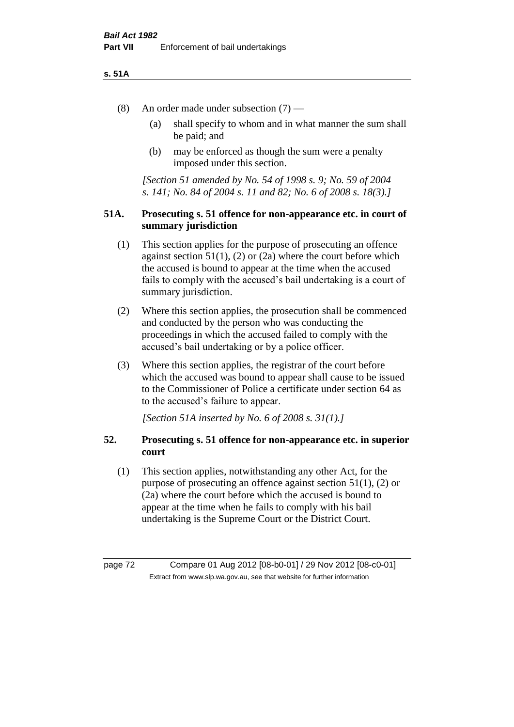### **s. 51A**

- (8) An order made under subsection (7)
	- (a) shall specify to whom and in what manner the sum shall be paid; and
	- (b) may be enforced as though the sum were a penalty imposed under this section.

*[Section 51 amended by No. 54 of 1998 s. 9; No. 59 of 2004 s. 141; No. 84 of 2004 s. 11 and 82; No. 6 of 2008 s. 18(3).]*

### **51A. Prosecuting s. 51 offence for non-appearance etc. in court of summary jurisdiction**

- (1) This section applies for the purpose of prosecuting an offence against section  $51(1)$ ,  $(2)$  or  $(2a)$  where the court before which the accused is bound to appear at the time when the accused fails to comply with the accused's bail undertaking is a court of summary jurisdiction.
- (2) Where this section applies, the prosecution shall be commenced and conducted by the person who was conducting the proceedings in which the accused failed to comply with the accused's bail undertaking or by a police officer.
- (3) Where this section applies, the registrar of the court before which the accused was bound to appear shall cause to be issued to the Commissioner of Police a certificate under section 64 as to the accused's failure to appear.

*[Section 51A inserted by No. 6 of 2008 s. 31(1).]*

# **52. Prosecuting s. 51 offence for non-appearance etc. in superior court**

(1) This section applies, notwithstanding any other Act, for the purpose of prosecuting an offence against section 51(1), (2) or (2a) where the court before which the accused is bound to appear at the time when he fails to comply with his bail undertaking is the Supreme Court or the District Court.

page 72 Compare 01 Aug 2012 [08-b0-01] / 29 Nov 2012 [08-c0-01] Extract from www.slp.wa.gov.au, see that website for further information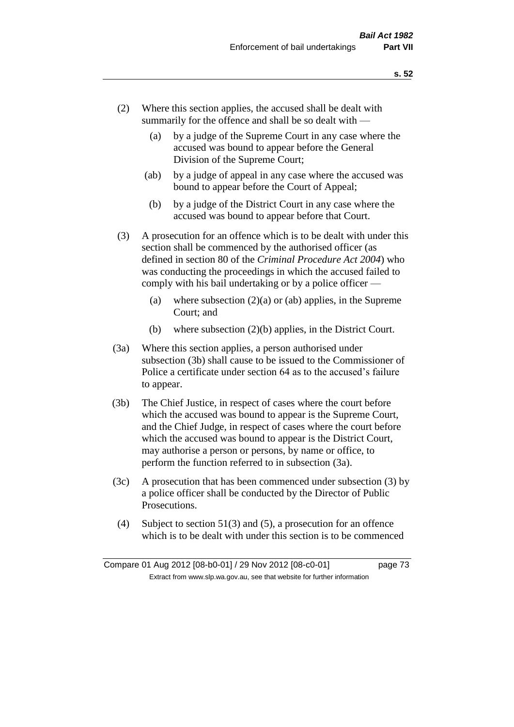- (2) Where this section applies, the accused shall be dealt with summarily for the offence and shall be so dealt with —
	- (a) by a judge of the Supreme Court in any case where the accused was bound to appear before the General Division of the Supreme Court;
	- (ab) by a judge of appeal in any case where the accused was bound to appear before the Court of Appeal;
	- (b) by a judge of the District Court in any case where the accused was bound to appear before that Court.
- (3) A prosecution for an offence which is to be dealt with under this section shall be commenced by the authorised officer (as defined in section 80 of the *Criminal Procedure Act 2004*) who was conducting the proceedings in which the accused failed to comply with his bail undertaking or by a police officer —
	- (a) where subsection  $(2)(a)$  or (ab) applies, in the Supreme Court; and
	- (b) where subsection (2)(b) applies, in the District Court.
- (3a) Where this section applies, a person authorised under subsection (3b) shall cause to be issued to the Commissioner of Police a certificate under section 64 as to the accused's failure to appear.
- (3b) The Chief Justice, in respect of cases where the court before which the accused was bound to appear is the Supreme Court, and the Chief Judge, in respect of cases where the court before which the accused was bound to appear is the District Court, may authorise a person or persons, by name or office, to perform the function referred to in subsection (3a).
- (3c) A prosecution that has been commenced under subsection (3) by a police officer shall be conducted by the Director of Public Prosecutions.
- (4) Subject to section 51(3) and (5), a prosecution for an offence which is to be dealt with under this section is to be commenced

Compare 01 Aug 2012 [08-b0-01] / 29 Nov 2012 [08-c0-01] page 73 Extract from www.slp.wa.gov.au, see that website for further information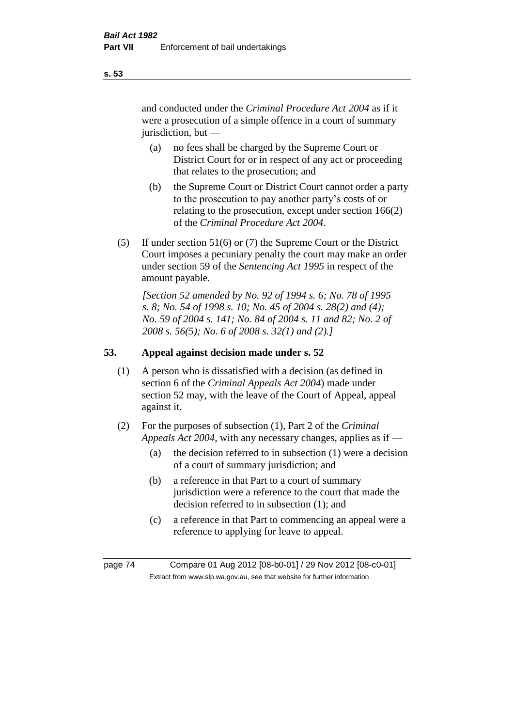and conducted under the *Criminal Procedure Act 2004* as if it were a prosecution of a simple offence in a court of summary jurisdiction, but —

- (a) no fees shall be charged by the Supreme Court or District Court for or in respect of any act or proceeding that relates to the prosecution; and
- (b) the Supreme Court or District Court cannot order a party to the prosecution to pay another party's costs of or relating to the prosecution, except under section 166(2) of the *Criminal Procedure Act 2004*.
- (5) If under section 51(6) or (7) the Supreme Court or the District Court imposes a pecuniary penalty the court may make an order under section 59 of the *Sentencing Act 1995* in respect of the amount payable.

*[Section 52 amended by No. 92 of 1994 s. 6; No. 78 of 1995 s. 8; No. 54 of 1998 s. 10; No. 45 of 2004 s. 28(2) and (4); No. 59 of 2004 s. 141; No. 84 of 2004 s. 11 and 82; No. 2 of 2008 s. 56(5); No. 6 of 2008 s. 32(1) and (2).]* 

# **53. Appeal against decision made under s. 52**

- (1) A person who is dissatisfied with a decision (as defined in section 6 of the *Criminal Appeals Act 2004*) made under section 52 may, with the leave of the Court of Appeal, appeal against it.
- (2) For the purposes of subsection (1), Part 2 of the *Criminal Appeals Act 2004*, with any necessary changes, applies as if —
	- (a) the decision referred to in subsection (1) were a decision of a court of summary jurisdiction; and
	- (b) a reference in that Part to a court of summary jurisdiction were a reference to the court that made the decision referred to in subsection (1); and
	- (c) a reference in that Part to commencing an appeal were a reference to applying for leave to appeal.

page 74 Compare 01 Aug 2012 [08-b0-01] / 29 Nov 2012 [08-c0-01] Extract from www.slp.wa.gov.au, see that website for further information

**s. 53**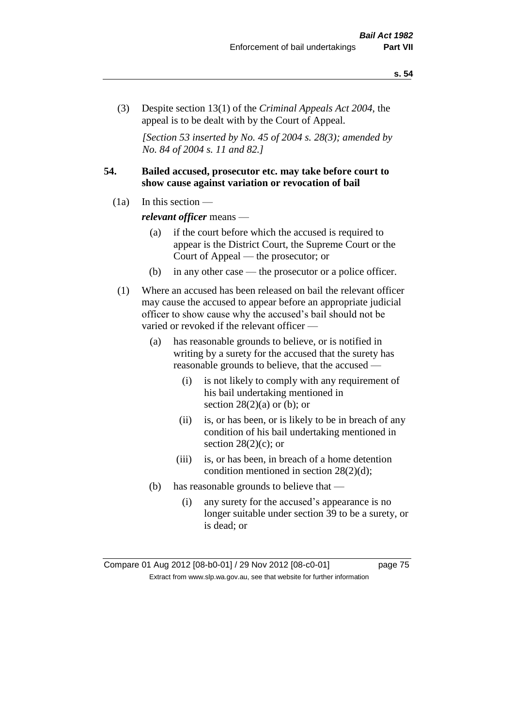(3) Despite section 13(1) of the *Criminal Appeals Act 2004*, the appeal is to be dealt with by the Court of Appeal.

*[Section 53 inserted by No. 45 of 2004 s. 28(3); amended by No. 84 of 2004 s. 11 and 82.]*

# **54. Bailed accused, prosecutor etc. may take before court to show cause against variation or revocation of bail**

 $(1a)$  In this section —

*relevant officer* means —

- (a) if the court before which the accused is required to appear is the District Court, the Supreme Court or the Court of Appeal — the prosecutor; or
- (b) in any other case the prosecutor or a police officer.
- (1) Where an accused has been released on bail the relevant officer may cause the accused to appear before an appropriate judicial officer to show cause why the accused's bail should not be varied or revoked if the relevant officer —
	- (a) has reasonable grounds to believe, or is notified in writing by a surety for the accused that the surety has reasonable grounds to believe, that the accused —
		- (i) is not likely to comply with any requirement of his bail undertaking mentioned in section  $28(2)(a)$  or (b); or
		- (ii) is, or has been, or is likely to be in breach of any condition of his bail undertaking mentioned in section  $28(2)(c)$ ; or
		- (iii) is, or has been, in breach of a home detention condition mentioned in section 28(2)(d);
	- (b) has reasonable grounds to believe that
		- (i) any surety for the accused's appearance is no longer suitable under section 39 to be a surety, or is dead; or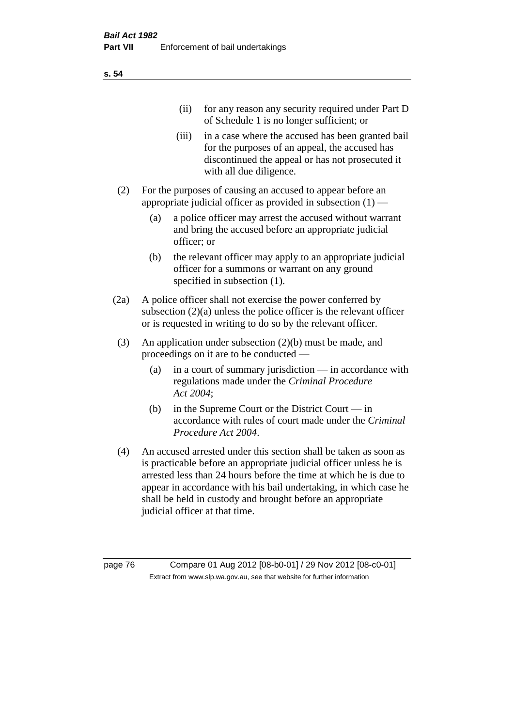| (11)  | for any reason any security required under Part D<br>of Schedule 1 is no longer sufficient; or                                                                                     |
|-------|------------------------------------------------------------------------------------------------------------------------------------------------------------------------------------|
| (iii) | in a case where the accused has been granted bail<br>for the purposes of an appeal, the accused has<br>discontinued the appeal or has not prosecuted it<br>with all due diligence. |

- (2) For the purposes of causing an accused to appear before an appropriate judicial officer as provided in subsection  $(1)$  —
	- (a) a police officer may arrest the accused without warrant and bring the accused before an appropriate judicial officer; or
	- (b) the relevant officer may apply to an appropriate judicial officer for a summons or warrant on any ground specified in subsection  $(1)$ .
- (2a) A police officer shall not exercise the power conferred by subsection (2)(a) unless the police officer is the relevant officer or is requested in writing to do so by the relevant officer.
- (3) An application under subsection (2)(b) must be made, and proceedings on it are to be conducted —
	- (a) in a court of summary jurisdiction in accordance with regulations made under the *Criminal Procedure Act 2004*;
	- (b) in the Supreme Court or the District Court in accordance with rules of court made under the *Criminal Procedure Act 2004*.
- (4) An accused arrested under this section shall be taken as soon as is practicable before an appropriate judicial officer unless he is arrested less than 24 hours before the time at which he is due to appear in accordance with his bail undertaking, in which case he shall be held in custody and brought before an appropriate judicial officer at that time.

page 76 Compare 01 Aug 2012 [08-b0-01] / 29 Nov 2012 [08-c0-01] Extract from www.slp.wa.gov.au, see that website for further information

**s. 54**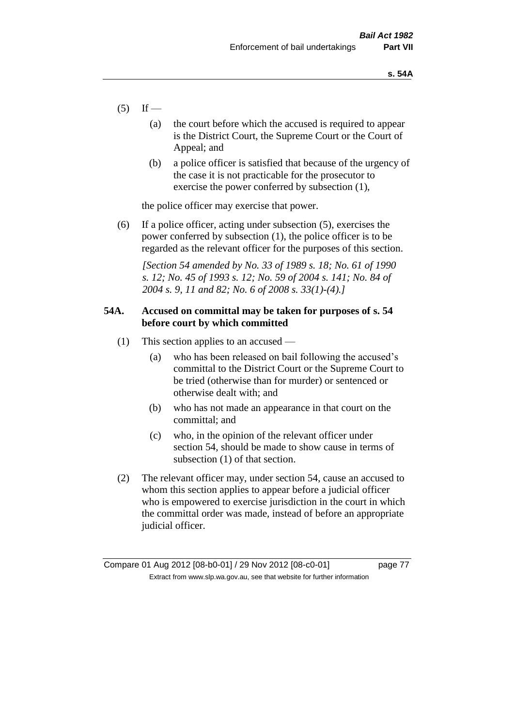- $(5)$  If
	- (a) the court before which the accused is required to appear is the District Court, the Supreme Court or the Court of Appeal; and
	- (b) a police officer is satisfied that because of the urgency of the case it is not practicable for the prosecutor to exercise the power conferred by subsection (1),

the police officer may exercise that power.

(6) If a police officer, acting under subsection (5), exercises the power conferred by subsection (1), the police officer is to be regarded as the relevant officer for the purposes of this section.

*[Section 54 amended by No. 33 of 1989 s. 18; No. 61 of 1990 s. 12; No. 45 of 1993 s. 12; No. 59 of 2004 s. 141; No. 84 of 2004 s. 9, 11 and 82; No. 6 of 2008 s. 33(1)-(4).]* 

# **54A. Accused on committal may be taken for purposes of s. 54 before court by which committed**

- (1) This section applies to an accused
	- (a) who has been released on bail following the accused's committal to the District Court or the Supreme Court to be tried (otherwise than for murder) or sentenced or otherwise dealt with; and
	- (b) who has not made an appearance in that court on the committal; and
	- (c) who, in the opinion of the relevant officer under section 54, should be made to show cause in terms of subsection (1) of that section.
- (2) The relevant officer may, under section 54, cause an accused to whom this section applies to appear before a judicial officer who is empowered to exercise jurisdiction in the court in which the committal order was made, instead of before an appropriate judicial officer.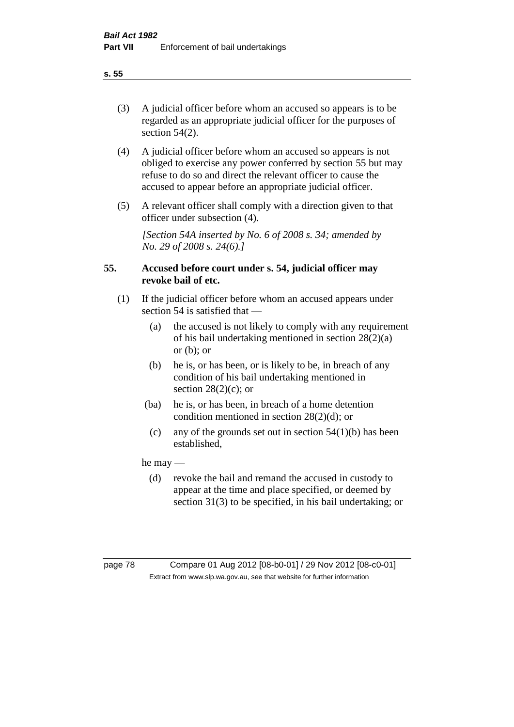(3) A judicial officer before whom an accused so appears is to be regarded as an appropriate judicial officer for the purposes of section 54(2).

- (4) A judicial officer before whom an accused so appears is not obliged to exercise any power conferred by section 55 but may refuse to do so and direct the relevant officer to cause the accused to appear before an appropriate judicial officer.
- (5) A relevant officer shall comply with a direction given to that officer under subsection (4).

*[Section 54A inserted by No. 6 of 2008 s. 34; amended by No. 29 of 2008 s. 24(6).]*

# **55. Accused before court under s. 54, judicial officer may revoke bail of etc.**

- (1) If the judicial officer before whom an accused appears under section 54 is satisfied that —
	- (a) the accused is not likely to comply with any requirement of his bail undertaking mentioned in section 28(2)(a) or  $(b)$ ; or
	- (b) he is, or has been, or is likely to be, in breach of any condition of his bail undertaking mentioned in section  $28(2)(c)$ ; or
	- (ba) he is, or has been, in breach of a home detention condition mentioned in section 28(2)(d); or
		- (c) any of the grounds set out in section  $54(1)(b)$  has been established,

he may —

(d) revoke the bail and remand the accused in custody to appear at the time and place specified, or deemed by section 31(3) to be specified, in his bail undertaking; or

page 78 Compare 01 Aug 2012 [08-b0-01] / 29 Nov 2012 [08-c0-01] Extract from www.slp.wa.gov.au, see that website for further information

**s. 55**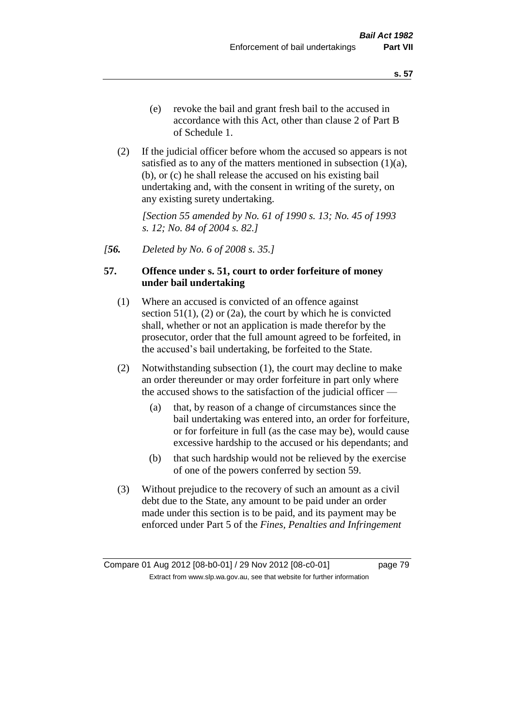(2) If the judicial officer before whom the accused so appears is not satisfied as to any of the matters mentioned in subsection  $(1)(a)$ , (b), or (c) he shall release the accused on his existing bail undertaking and, with the consent in writing of the surety, on any existing surety undertaking.

*[Section 55 amended by No. 61 of 1990 s. 13; No. 45 of 1993 s. 12; No. 84 of 2004 s. 82.]* 

*[56. Deleted by No. 6 of 2008 s. 35.]*

# **57. Offence under s. 51, court to order forfeiture of money under bail undertaking**

- (1) Where an accused is convicted of an offence against section  $51(1)$ ,  $(2)$  or  $(2a)$ , the court by which he is convicted shall, whether or not an application is made therefor by the prosecutor, order that the full amount agreed to be forfeited, in the accused's bail undertaking, be forfeited to the State.
- (2) Notwithstanding subsection (1), the court may decline to make an order thereunder or may order forfeiture in part only where the accused shows to the satisfaction of the judicial officer —
	- (a) that, by reason of a change of circumstances since the bail undertaking was entered into, an order for forfeiture, or for forfeiture in full (as the case may be), would cause excessive hardship to the accused or his dependants; and
	- (b) that such hardship would not be relieved by the exercise of one of the powers conferred by section 59.
- (3) Without prejudice to the recovery of such an amount as a civil debt due to the State, any amount to be paid under an order made under this section is to be paid, and its payment may be enforced under Part 5 of the *Fines, Penalties and Infringement*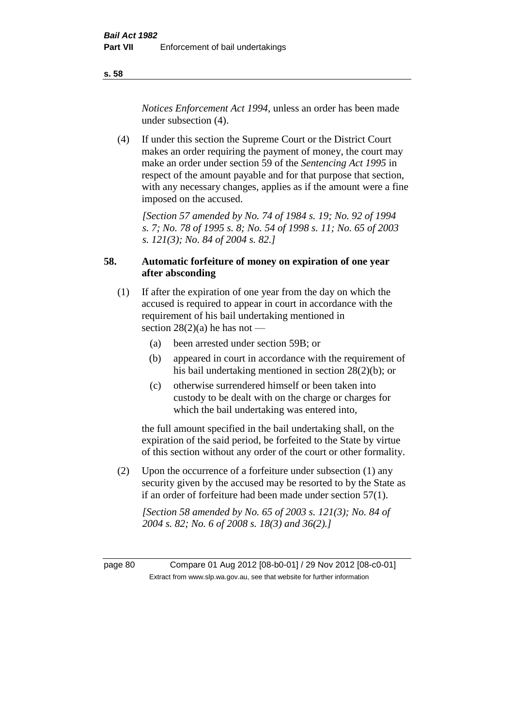*Notices Enforcement Act 1994*, unless an order has been made under subsection (4).

(4) If under this section the Supreme Court or the District Court makes an order requiring the payment of money, the court may make an order under section 59 of the *Sentencing Act 1995* in respect of the amount payable and for that purpose that section, with any necessary changes, applies as if the amount were a fine imposed on the accused.

*[Section 57 amended by No. 74 of 1984 s. 19; No. 92 of 1994 s. 7; No. 78 of 1995 s. 8; No. 54 of 1998 s. 11; No. 65 of 2003 s. 121(3); No. 84 of 2004 s. 82.]* 

# **58. Automatic forfeiture of money on expiration of one year after absconding**

- (1) If after the expiration of one year from the day on which the accused is required to appear in court in accordance with the requirement of his bail undertaking mentioned in section  $28(2)(a)$  he has not —
	- (a) been arrested under section 59B; or
	- (b) appeared in court in accordance with the requirement of his bail undertaking mentioned in section 28(2)(b); or
	- (c) otherwise surrendered himself or been taken into custody to be dealt with on the charge or charges for which the bail undertaking was entered into,

the full amount specified in the bail undertaking shall, on the expiration of the said period, be forfeited to the State by virtue of this section without any order of the court or other formality.

(2) Upon the occurrence of a forfeiture under subsection (1) any security given by the accused may be resorted to by the State as if an order of forfeiture had been made under section 57(1).

*[Section 58 amended by No. 65 of 2003 s. 121(3); No. 84 of 2004 s. 82; No. 6 of 2008 s. 18(3) and 36(2).]*

page 80 Compare 01 Aug 2012 [08-b0-01] / 29 Nov 2012 [08-c0-01] Extract from www.slp.wa.gov.au, see that website for further information

**s. 58**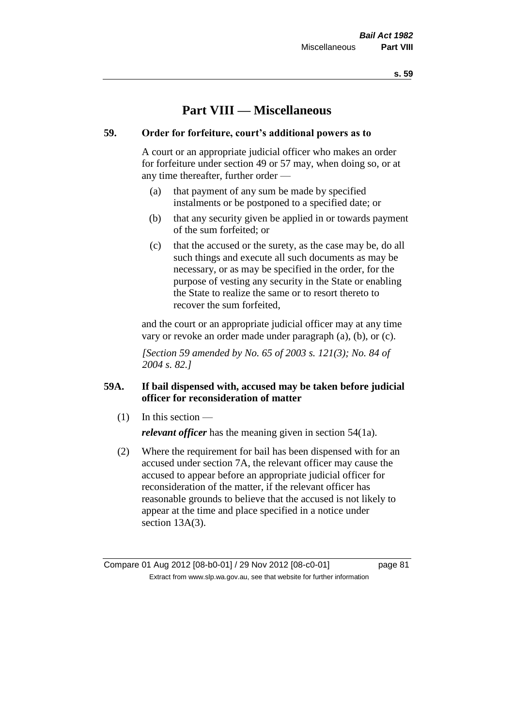# **Part VIII — Miscellaneous**

# **59. Order for forfeiture, court's additional powers as to**

A court or an appropriate judicial officer who makes an order for forfeiture under section 49 or 57 may, when doing so, or at any time thereafter, further order —

- (a) that payment of any sum be made by specified instalments or be postponed to a specified date; or
- (b) that any security given be applied in or towards payment of the sum forfeited; or
- (c) that the accused or the surety, as the case may be, do all such things and execute all such documents as may be necessary, or as may be specified in the order, for the purpose of vesting any security in the State or enabling the State to realize the same or to resort thereto to recover the sum forfeited,

and the court or an appropriate judicial officer may at any time vary or revoke an order made under paragraph (a), (b), or (c).

*[Section 59 amended by No. 65 of 2003 s. 121(3); No. 84 of 2004 s. 82.]*

# **59A. If bail dispensed with, accused may be taken before judicial officer for reconsideration of matter**

(1) In this section —

*relevant officer* has the meaning given in section 54(1a).

(2) Where the requirement for bail has been dispensed with for an accused under section 7A, the relevant officer may cause the accused to appear before an appropriate judicial officer for reconsideration of the matter, if the relevant officer has reasonable grounds to believe that the accused is not likely to appear at the time and place specified in a notice under section 13A(3).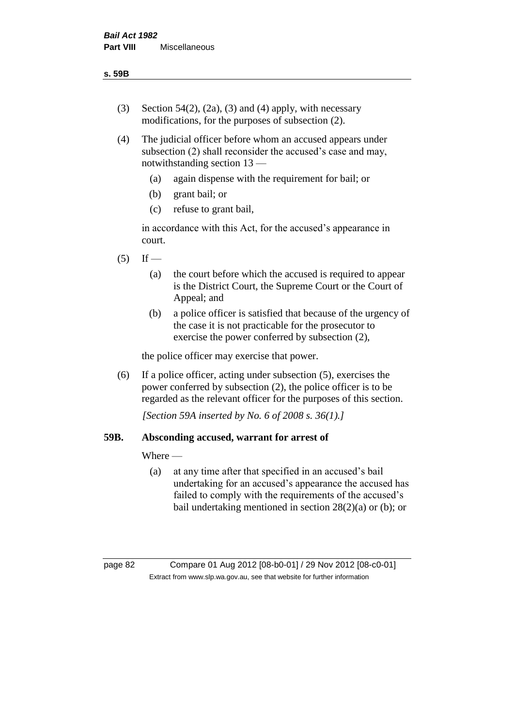- (3) Section 54(2), (2a), (3) and (4) apply, with necessary modifications, for the purposes of subsection (2).
- (4) The judicial officer before whom an accused appears under subsection (2) shall reconsider the accused's case and may, notwithstanding section 13 —
	- (a) again dispense with the requirement for bail; or
	- (b) grant bail; or
	- (c) refuse to grant bail,

in accordance with this Act, for the accused's appearance in court.

- $(5)$  If
	- (a) the court before which the accused is required to appear is the District Court, the Supreme Court or the Court of Appeal; and
	- (b) a police officer is satisfied that because of the urgency of the case it is not practicable for the prosecutor to exercise the power conferred by subsection (2),

the police officer may exercise that power.

(6) If a police officer, acting under subsection (5), exercises the power conferred by subsection (2), the police officer is to be regarded as the relevant officer for the purposes of this section.

*[Section 59A inserted by No. 6 of 2008 s. 36(1).]*

# **59B. Absconding accused, warrant for arrest of**

Where —

(a) at any time after that specified in an accused's bail undertaking for an accused's appearance the accused has failed to comply with the requirements of the accused's bail undertaking mentioned in section 28(2)(a) or (b); or

page 82 Compare 01 Aug 2012 [08-b0-01] / 29 Nov 2012 [08-c0-01] Extract from www.slp.wa.gov.au, see that website for further information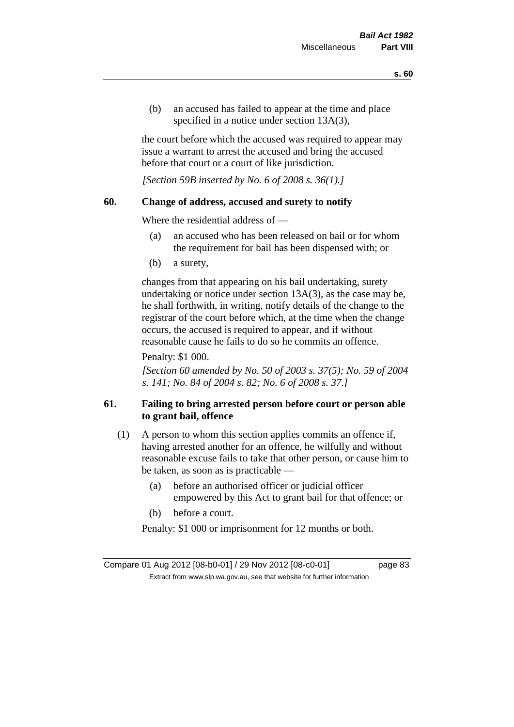(b) an accused has failed to appear at the time and place specified in a notice under section 13A(3).

the court before which the accused was required to appear may issue a warrant to arrest the accused and bring the accused before that court or a court of like jurisdiction.

*[Section 59B inserted by No. 6 of 2008 s. 36(1).]*

### **60. Change of address, accused and surety to notify**

Where the residential address of —

- (a) an accused who has been released on bail or for whom the requirement for bail has been dispensed with; or
- (b) a surety,

changes from that appearing on his bail undertaking, surety undertaking or notice under section 13A(3), as the case may be, he shall forthwith, in writing, notify details of the change to the registrar of the court before which, at the time when the change occurs, the accused is required to appear, and if without reasonable cause he fails to do so he commits an offence.

Penalty: \$1 000.

*[Section 60 amended by No. 50 of 2003 s. 37(5); No. 59 of 2004 s. 141; No. 84 of 2004 s. 82; No. 6 of 2008 s. 37.]*

# **61. Failing to bring arrested person before court or person able to grant bail, offence**

- (1) A person to whom this section applies commits an offence if, having arrested another for an offence, he wilfully and without reasonable excuse fails to take that other person, or cause him to be taken, as soon as is practicable —
	- (a) before an authorised officer or judicial officer empowered by this Act to grant bail for that offence; or
	- (b) before a court.

Penalty: \$1 000 or imprisonment for 12 months or both.

Compare 01 Aug 2012 [08-b0-01] / 29 Nov 2012 [08-c0-01] page 83 Extract from www.slp.wa.gov.au, see that website for further information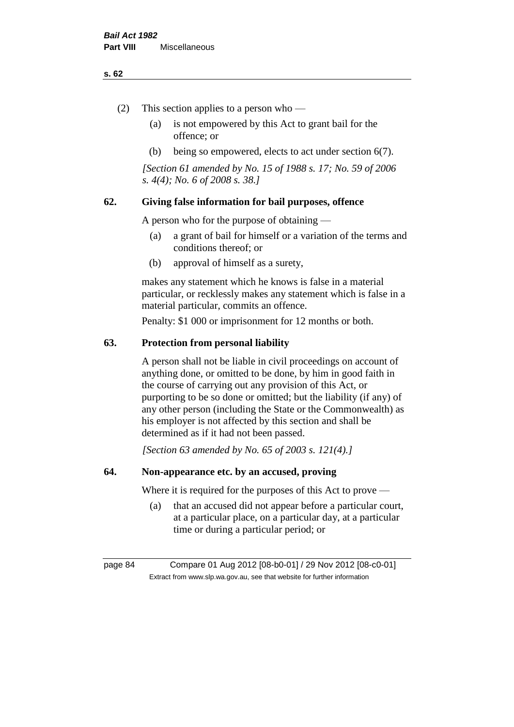#### **s. 62**

- (2) This section applies to a person who
	- (a) is not empowered by this Act to grant bail for the offence; or
	- (b) being so empowered, elects to act under section 6(7).

*[Section 61 amended by No. 15 of 1988 s. 17; No. 59 of 2006 s. 4(4); No. 6 of 2008 s. 38.]* 

# **62. Giving false information for bail purposes, offence**

A person who for the purpose of obtaining —

- (a) a grant of bail for himself or a variation of the terms and conditions thereof; or
- (b) approval of himself as a surety,

makes any statement which he knows is false in a material particular, or recklessly makes any statement which is false in a material particular, commits an offence.

Penalty: \$1 000 or imprisonment for 12 months or both.

#### **63. Protection from personal liability**

A person shall not be liable in civil proceedings on account of anything done, or omitted to be done, by him in good faith in the course of carrying out any provision of this Act, or purporting to be so done or omitted; but the liability (if any) of any other person (including the State or the Commonwealth) as his employer is not affected by this section and shall be determined as if it had not been passed.

*[Section 63 amended by No. 65 of 2003 s. 121(4).]*

# **64. Non-appearance etc. by an accused, proving**

Where it is required for the purposes of this Act to prove —

(a) that an accused did not appear before a particular court, at a particular place, on a particular day, at a particular time or during a particular period; or

page 84 Compare 01 Aug 2012 [08-b0-01] / 29 Nov 2012 [08-c0-01] Extract from www.slp.wa.gov.au, see that website for further information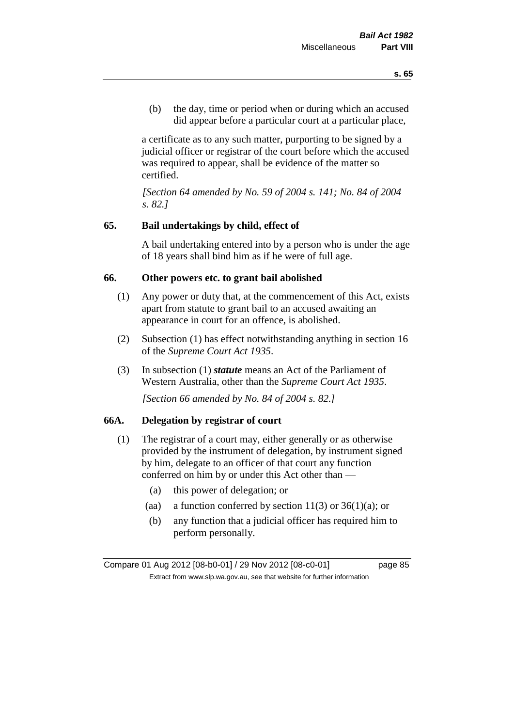(b) the day, time or period when or during which an accused did appear before a particular court at a particular place,

a certificate as to any such matter, purporting to be signed by a judicial officer or registrar of the court before which the accused was required to appear, shall be evidence of the matter so certified.

*[Section 64 amended by No. 59 of 2004 s. 141; No. 84 of 2004 s. 82.]* 

### **65. Bail undertakings by child, effect of**

A bail undertaking entered into by a person who is under the age of 18 years shall bind him as if he were of full age.

### **66. Other powers etc. to grant bail abolished**

- (1) Any power or duty that, at the commencement of this Act, exists apart from statute to grant bail to an accused awaiting an appearance in court for an offence, is abolished.
- (2) Subsection (1) has effect notwithstanding anything in section 16 of the *Supreme Court Act 1935*.
- (3) In subsection (1) *statute* means an Act of the Parliament of Western Australia, other than the *Supreme Court Act 1935*.

*[Section 66 amended by No. 84 of 2004 s. 82.]*

# **66A. Delegation by registrar of court**

- (1) The registrar of a court may, either generally or as otherwise provided by the instrument of delegation, by instrument signed by him, delegate to an officer of that court any function conferred on him by or under this Act other than —
	- (a) this power of delegation; or
	- (aa) a function conferred by section  $11(3)$  or  $36(1)(a)$ ; or
	- (b) any function that a judicial officer has required him to perform personally.

Compare 01 Aug 2012 [08-b0-01] / 29 Nov 2012 [08-c0-01] page 85 Extract from www.slp.wa.gov.au, see that website for further information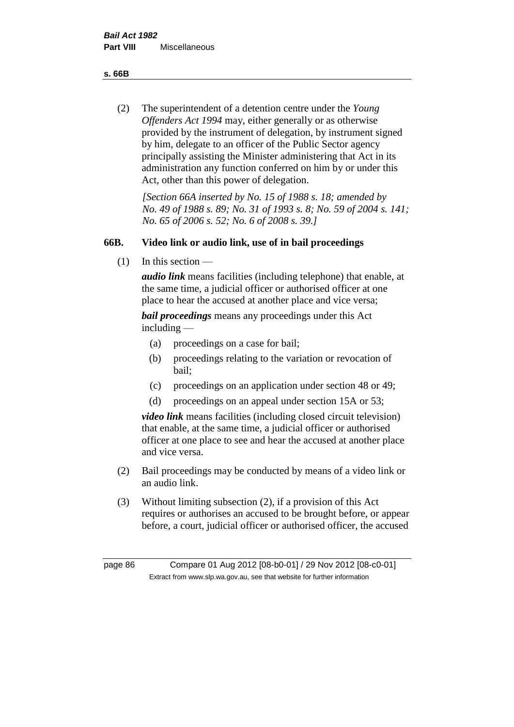**s. 66B**

(2) The superintendent of a detention centre under the *Young Offenders Act 1994* may, either generally or as otherwise provided by the instrument of delegation, by instrument signed by him, delegate to an officer of the Public Sector agency principally assisting the Minister administering that Act in its administration any function conferred on him by or under this Act, other than this power of delegation.

*[Section 66A inserted by No. 15 of 1988 s. 18; amended by No. 49 of 1988 s. 89; No. 31 of 1993 s. 8; No. 59 of 2004 s. 141; No. 65 of 2006 s. 52; No. 6 of 2008 s. 39.]* 

# **66B. Video link or audio link, use of in bail proceedings**

(1) In this section —

*audio link* means facilities (including telephone) that enable, at the same time, a judicial officer or authorised officer at one place to hear the accused at another place and vice versa;

*bail proceedings* means any proceedings under this Act including —

- (a) proceedings on a case for bail;
- (b) proceedings relating to the variation or revocation of bail;
- (c) proceedings on an application under section 48 or 49;
- (d) proceedings on an appeal under section 15A or 53;

*video link* means facilities (including closed circuit television) that enable, at the same time, a judicial officer or authorised officer at one place to see and hear the accused at another place and vice versa.

- (2) Bail proceedings may be conducted by means of a video link or an audio link.
- (3) Without limiting subsection (2), if a provision of this Act requires or authorises an accused to be brought before, or appear before, a court, judicial officer or authorised officer, the accused

page 86 Compare 01 Aug 2012 [08-b0-01] / 29 Nov 2012 [08-c0-01] Extract from www.slp.wa.gov.au, see that website for further information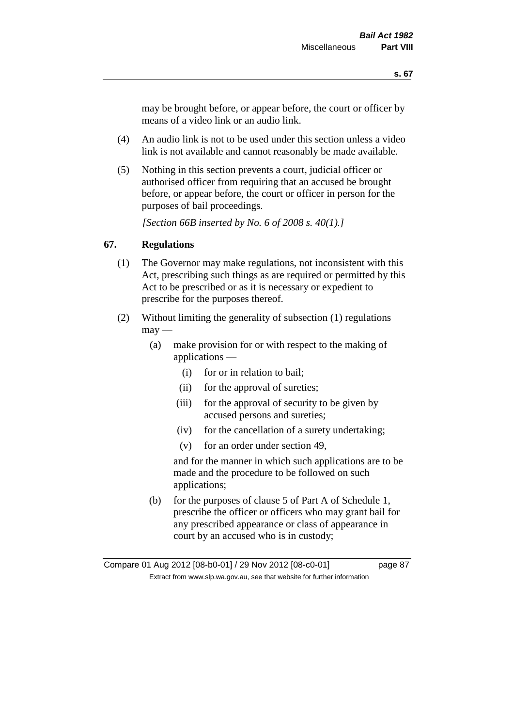may be brought before, or appear before, the court or officer by means of a video link or an audio link.

- (4) An audio link is not to be used under this section unless a video link is not available and cannot reasonably be made available.
- (5) Nothing in this section prevents a court, judicial officer or authorised officer from requiring that an accused be brought before, or appear before, the court or officer in person for the purposes of bail proceedings.

*[Section 66B inserted by No. 6 of 2008 s. 40(1).]*

# **67. Regulations**

- (1) The Governor may make regulations, not inconsistent with this Act, prescribing such things as are required or permitted by this Act to be prescribed or as it is necessary or expedient to prescribe for the purposes thereof.
- (2) Without limiting the generality of subsection (1) regulations  $\text{max}$  —
	- (a) make provision for or with respect to the making of applications —
		- (i) for or in relation to bail;
		- (ii) for the approval of sureties;
		- (iii) for the approval of security to be given by accused persons and sureties;
		- (iv) for the cancellation of a surety undertaking;
		- (v) for an order under section 49,

and for the manner in which such applications are to be made and the procedure to be followed on such applications;

(b) for the purposes of clause 5 of Part A of Schedule 1, prescribe the officer or officers who may grant bail for any prescribed appearance or class of appearance in court by an accused who is in custody;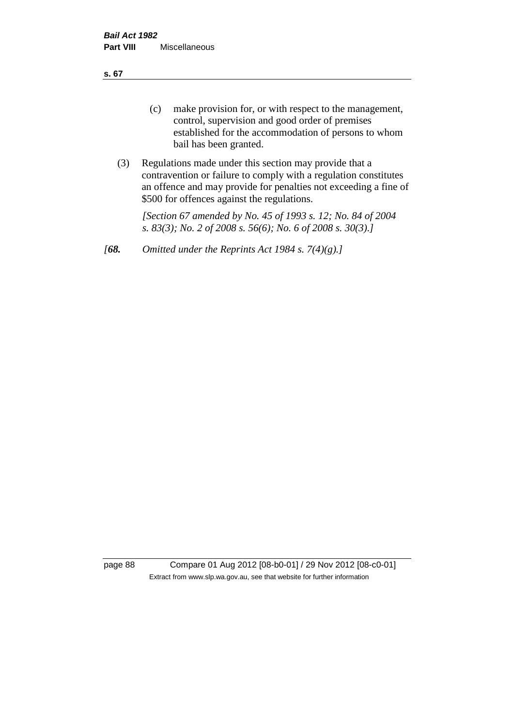**s. 67**

- (c) make provision for, or with respect to the management, control, supervision and good order of premises established for the accommodation of persons to whom bail has been granted.
- (3) Regulations made under this section may provide that a contravention or failure to comply with a regulation constitutes an offence and may provide for penalties not exceeding a fine of \$500 for offences against the regulations.

*[Section 67 amended by No. 45 of 1993 s. 12; No. 84 of 2004 s. 83(3); No. 2 of 2008 s. 56(6); No. 6 of 2008 s. 30(3).]* 

*[68. Omitted under the Reprints Act 1984 s. 7(4)(g).]*

page 88 Compare 01 Aug 2012 [08-b0-01] / 29 Nov 2012 [08-c0-01] Extract from www.slp.wa.gov.au, see that website for further information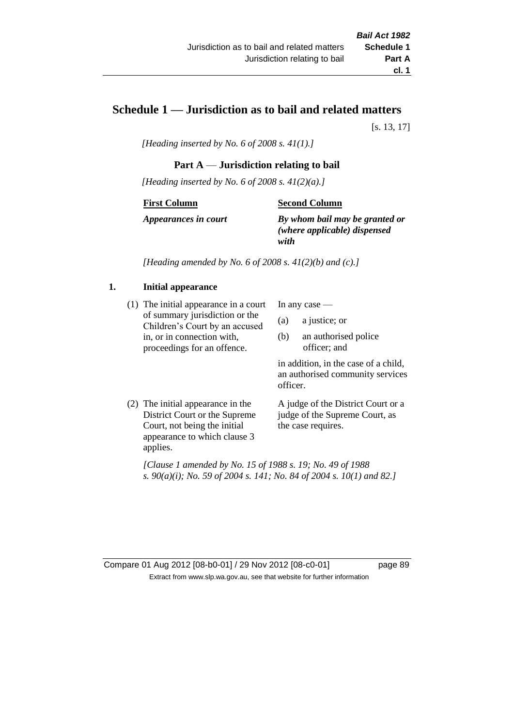# **Schedule 1 — Jurisdiction as to bail and related matters**

[s. 13, 17]

*[Heading inserted by No. 6 of 2008 s. 41(1).]*

# **Part A** — **Jurisdiction relating to bail**

*[Heading inserted by No. 6 of 2008 s. 41(2)(a).]*

### **First Column**

### **Second Column**

*Appearances in court*

*By whom bail may be granted or (where applicable) dispensed with*

*[Heading amended by No. 6 of 2008 s. 41(2)(b) and (c).]*

# **1. Initial appearance**

(1) The initial appearance in a court of summary jurisdiction or the Children's Court by an accused in, or in connection with, proceedings for an offence.

In any case —

- (a) a justice; or
- (b) an authorised police officer; and

in addition, in the case of a child, an authorised community services officer.

(2) The initial appearance in the District Court or the Supreme Court, not being the initial appearance to which clause 3 applies.

A judge of the District Court or a judge of the Supreme Court, as the case requires.

*[Clause 1 amended by No. 15 of 1988 s. 19; No. 49 of 1988 s. 90(a)(i); No. 59 of 2004 s. 141; No. 84 of 2004 s. 10(1) and 82.]*

Compare 01 Aug 2012 [08-b0-01] / 29 Nov 2012 [08-c0-01] page 89 Extract from www.slp.wa.gov.au, see that website for further information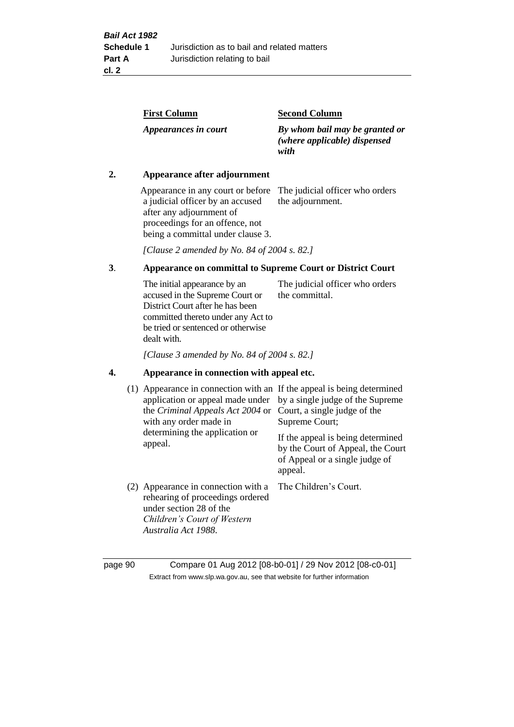| <b>First Column</b>  | <b>Second Column</b>                                                   |
|----------------------|------------------------------------------------------------------------|
| Appearances in court | By whom bail may be granted or<br>(where applicable) dispensed<br>with |

### **2. Appearance after adjournment**

Appearance in any court or before The judicial officer who orders a judicial officer by an accused after any adjournment of proceedings for an offence, not being a committal under clause 3.

the adjournment.

*[Clause 2 amended by No. 84 of 2004 s. 82.]*

# **3**. **Appearance on committal to Supreme Court or District Court**

The initial appearance by an accused in the Supreme Court or District Court after he has been committed thereto under any Act to be tried or sentenced or otherwise dealt with. The judicial officer who orders the committal.

*[Clause 3 amended by No. 84 of 2004 s. 82.]*

### **4. Appearance in connection with appeal etc.**

| (1) Appearance in connection with an If the appeal is being determined<br>application or appeal made under<br>the <i>Criminal Appeals Act 2004</i> or Court, a single judge of the<br>with any order made in<br>determining the application or<br>appeal. | by a single judge of the Supreme<br>Supreme Court;<br>If the appeal is being determined<br>by the Court of Appeal, the Court<br>of Appeal or a single judge of<br>appeal. |
|-----------------------------------------------------------------------------------------------------------------------------------------------------------------------------------------------------------------------------------------------------------|---------------------------------------------------------------------------------------------------------------------------------------------------------------------------|
| (2) Appearance in connection with a<br>rehearing of proceedings ordered<br>under section 28 of the<br>Children's Court of Western<br>Australia Act 1988.                                                                                                  | The Children's Court.                                                                                                                                                     |

page 90 Compare 01 Aug 2012 [08-b0-01] / 29 Nov 2012 [08-c0-01] Extract from www.slp.wa.gov.au, see that website for further information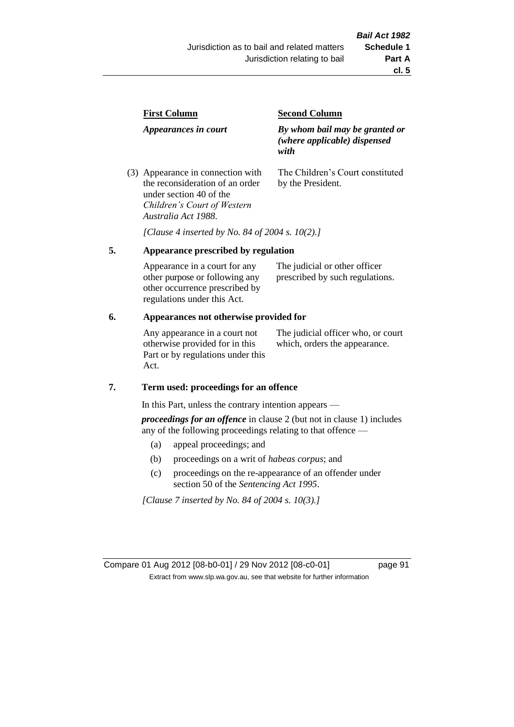| <b>First Column</b>                                                  | <b>Second Column</b>                                                   |  |
|----------------------------------------------------------------------|------------------------------------------------------------------------|--|
| Appearances in court                                                 | By whom bail may be granted or<br>(where applicable) dispensed<br>with |  |
| (3) Appearance in connection with<br>the reconsideration of an order | The Children's Court constituted<br>by the President.                  |  |

*[Clause 4 inserted by No. 84 of 2004 s. 10(2).]*

#### **5. Appearance prescribed by regulation**

under section 40 of the *Children's Court of Western* 

*Australia Act 1988*.

| Appearance in a court for any  | The judicial or other officer   |
|--------------------------------|---------------------------------|
| other purpose or following any | prescribed by such regulations. |
| other occurrence prescribed by |                                 |
| regulations under this Act.    |                                 |

### **6. Appearances not otherwise provided for**

Any appearance in a court not otherwise provided for in this Part or by regulations under this Act.

The judicial officer who, or court which, orders the appearance.

#### **7. Term used: proceedings for an offence**

In this Part, unless the contrary intention appears —

*proceedings for an offence* in clause 2 (but not in clause 1) includes any of the following proceedings relating to that offence —

- (a) appeal proceedings; and
- (b) proceedings on a writ of *habeas corpus*; and
- (c) proceedings on the re-appearance of an offender under section 50 of the *Sentencing Act 1995*.

*[Clause 7 inserted by No. 84 of 2004 s. 10(3).]*

Compare 01 Aug 2012 [08-b0-01] / 29 Nov 2012 [08-c0-01] page 91 Extract from www.slp.wa.gov.au, see that website for further information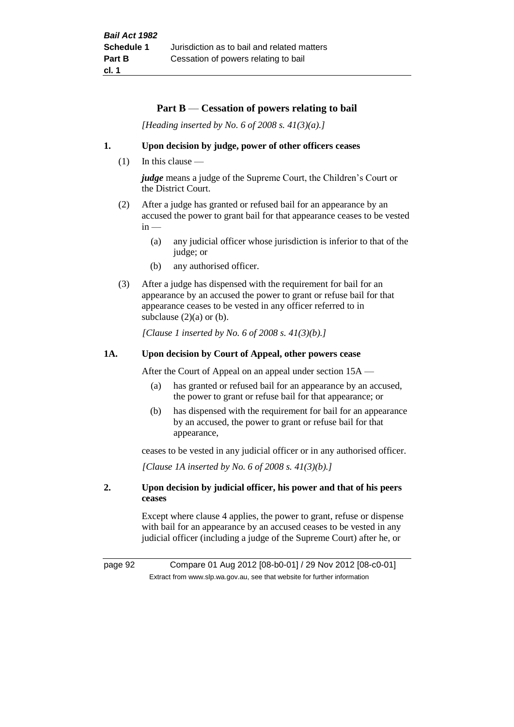### **Part B** — **Cessation of powers relating to bail**

*[Heading inserted by No. 6 of 2008 s. 41(3)(a).]*

#### **1. Upon decision by judge, power of other officers ceases**

 $(1)$  In this clause —

*judge* means a judge of the Supreme Court, the Children's Court or the District Court.

- (2) After a judge has granted or refused bail for an appearance by an accused the power to grant bail for that appearance ceases to be vested  $in -$ 
	- (a) any judicial officer whose jurisdiction is inferior to that of the judge; or
	- (b) any authorised officer.
- (3) After a judge has dispensed with the requirement for bail for an appearance by an accused the power to grant or refuse bail for that appearance ceases to be vested in any officer referred to in subclause  $(2)(a)$  or  $(b)$ .

*[Clause 1 inserted by No. 6 of 2008 s. 41(3)(b).]*

### **1A. Upon decision by Court of Appeal, other powers cease**

After the Court of Appeal on an appeal under section 15A —

- (a) has granted or refused bail for an appearance by an accused, the power to grant or refuse bail for that appearance; or
- (b) has dispensed with the requirement for bail for an appearance by an accused, the power to grant or refuse bail for that appearance,

ceases to be vested in any judicial officer or in any authorised officer.

*[Clause 1A inserted by No. 6 of 2008 s. 41(3)(b).]*

### **2. Upon decision by judicial officer, his power and that of his peers ceases**

Except where clause 4 applies, the power to grant, refuse or dispense with bail for an appearance by an accused ceases to be vested in any judicial officer (including a judge of the Supreme Court) after he, or

page 92 Compare 01 Aug 2012 [08-b0-01] / 29 Nov 2012 [08-c0-01] Extract from www.slp.wa.gov.au, see that website for further information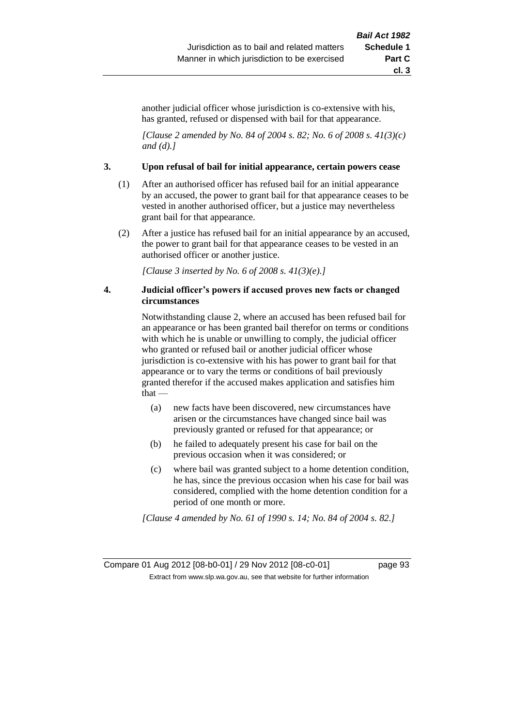another judicial officer whose jurisdiction is co-extensive with his, has granted, refused or dispensed with bail for that appearance.

*[Clause 2 amended by No. 84 of 2004 s. 82; No. 6 of 2008 s. 41(3)(c) and (d).]*

#### **3. Upon refusal of bail for initial appearance, certain powers cease**

- (1) After an authorised officer has refused bail for an initial appearance by an accused, the power to grant bail for that appearance ceases to be vested in another authorised officer, but a justice may nevertheless grant bail for that appearance.
- (2) After a justice has refused bail for an initial appearance by an accused, the power to grant bail for that appearance ceases to be vested in an authorised officer or another justice.

*[Clause 3 inserted by No. 6 of 2008 s. 41(3)(e).]*

### **4. Judicial officer's powers if accused proves new facts or changed circumstances**

Notwithstanding clause 2, where an accused has been refused bail for an appearance or has been granted bail therefor on terms or conditions with which he is unable or unwilling to comply, the judicial officer who granted or refused bail or another judicial officer whose jurisdiction is co-extensive with his has power to grant bail for that appearance or to vary the terms or conditions of bail previously granted therefor if the accused makes application and satisfies him that —

- (a) new facts have been discovered, new circumstances have arisen or the circumstances have changed since bail was previously granted or refused for that appearance; or
- (b) he failed to adequately present his case for bail on the previous occasion when it was considered; or
- (c) where bail was granted subject to a home detention condition, he has, since the previous occasion when his case for bail was considered, complied with the home detention condition for a period of one month or more.

*[Clause 4 amended by No. 61 of 1990 s. 14; No. 84 of 2004 s. 82.]*

Compare 01 Aug 2012 [08-b0-01] / 29 Nov 2012 [08-c0-01] page 93 Extract from www.slp.wa.gov.au, see that website for further information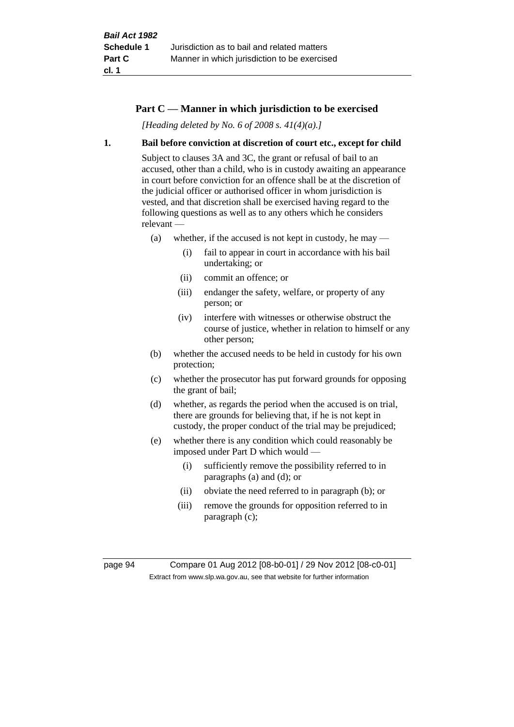### **Part C — Manner in which jurisdiction to be exercised**

*[Heading deleted by No. 6 of 2008 s. 41(4)(a).]*

### **1. Bail before conviction at discretion of court etc., except for child**

Subject to clauses 3A and 3C, the grant or refusal of bail to an accused, other than a child, who is in custody awaiting an appearance in court before conviction for an offence shall be at the discretion of the judicial officer or authorised officer in whom jurisdiction is vested, and that discretion shall be exercised having regard to the following questions as well as to any others which he considers relevant —

- (a) whether, if the accused is not kept in custody, he may
	- (i) fail to appear in court in accordance with his bail undertaking; or
	- (ii) commit an offence; or
	- (iii) endanger the safety, welfare, or property of any person; or
	- (iv) interfere with witnesses or otherwise obstruct the course of justice, whether in relation to himself or any other person;
- (b) whether the accused needs to be held in custody for his own protection;
- (c) whether the prosecutor has put forward grounds for opposing the grant of bail;
- (d) whether, as regards the period when the accused is on trial, there are grounds for believing that, if he is not kept in custody, the proper conduct of the trial may be prejudiced;
- (e) whether there is any condition which could reasonably be imposed under Part D which would —
	- (i) sufficiently remove the possibility referred to in paragraphs (a) and (d); or
	- (ii) obviate the need referred to in paragraph (b); or
	- (iii) remove the grounds for opposition referred to in paragraph (c);

page 94 Compare 01 Aug 2012 [08-b0-01] / 29 Nov 2012 [08-c0-01] Extract from www.slp.wa.gov.au, see that website for further information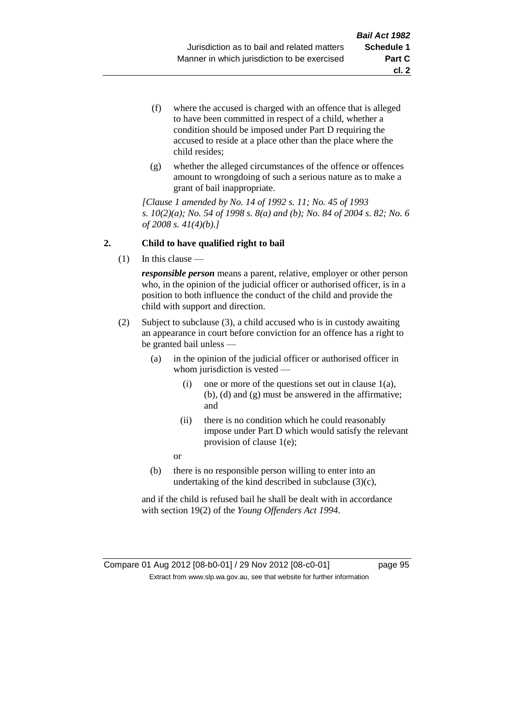- (f) where the accused is charged with an offence that is alleged to have been committed in respect of a child, whether a condition should be imposed under Part D requiring the accused to reside at a place other than the place where the child resides;
- (g) whether the alleged circumstances of the offence or offences amount to wrongdoing of such a serious nature as to make a grant of bail inappropriate.

*[Clause 1 amended by No. 14 of 1992 s. 11; No. 45 of 1993 s. 10(2)(a); No. 54 of 1998 s. 8(a) and (b); No. 84 of 2004 s. 82; No. 6 of 2008 s. 41(4)(b).]*

### **2. Child to have qualified right to bail**

(1) In this clause —

*responsible person* means a parent, relative, employer or other person who, in the opinion of the judicial officer or authorised officer, is in a position to both influence the conduct of the child and provide the child with support and direction.

- (2) Subject to subclause (3), a child accused who is in custody awaiting an appearance in court before conviction for an offence has a right to be granted bail unless —
	- (a) in the opinion of the judicial officer or authorised officer in whom jurisdiction is vested —
		- (i) one or more of the questions set out in clause 1(a), (b), (d) and (g) must be answered in the affirmative; and
		- (ii) there is no condition which he could reasonably impose under Part D which would satisfy the relevant provision of clause 1(e);
		- or
	- (b) there is no responsible person willing to enter into an undertaking of the kind described in subclause (3)(c),

and if the child is refused bail he shall be dealt with in accordance with section 19(2) of the *Young Offenders Act 1994*.

### Compare 01 Aug 2012 [08-b0-01] / 29 Nov 2012 [08-c0-01] page 95 Extract from www.slp.wa.gov.au, see that website for further information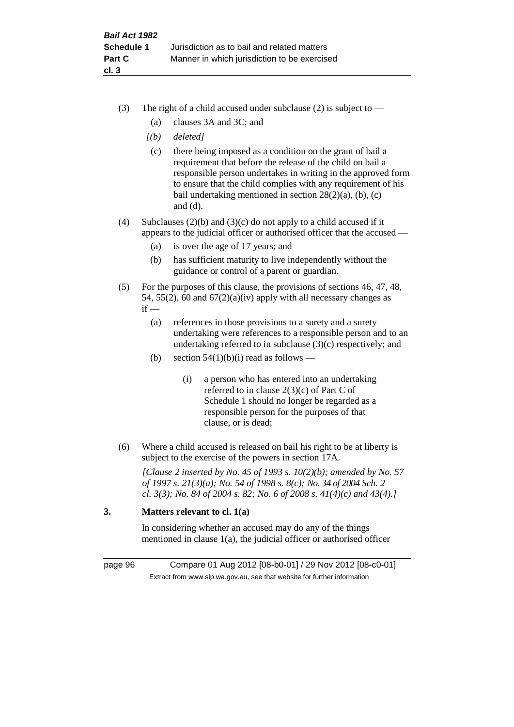- (3) The right of a child accused under subclause (2) is subject to  $-$ 
	- (a) clauses 3A and 3C; and
	- *[(b) deleted]*
	- (c) there being imposed as a condition on the grant of bail a requirement that before the release of the child on bail a responsible person undertakes in writing in the approved form to ensure that the child complies with any requirement of his bail undertaking mentioned in section 28(2)(a), (b), (c) and (d).
- (4) Subclauses (2)(b) and (3)(c) do not apply to a child accused if it appears to the judicial officer or authorised officer that the accused —
	- (a) is over the age of 17 years; and
	- (b) has sufficient maturity to live independently without the guidance or control of a parent or guardian.
- (5) For the purposes of this clause, the provisions of sections 46, 47, 48, 54, 55(2), 60 and  $67(2)(a)(iv)$  apply with all necessary changes as  $if -$ 
	- (a) references in those provisions to a surety and a surety undertaking were references to a responsible person and to an undertaking referred to in subclause (3)(c) respectively; and
	- (b) section  $54(1)(b)(i)$  read as follows
		- (i) a person who has entered into an undertaking referred to in clause 2(3)(c) of Part C of Schedule 1 should no longer be regarded as a responsible person for the purposes of that clause, or is dead;
- (6) Where a child accused is released on bail his right to be at liberty is subject to the exercise of the powers in section 17A.

*[Clause 2 inserted by No. 45 of 1993 s. 10(2)(b); amended by No. 57 of 1997 s. 21(3)(a); No. 54 of 1998 s. 8(c); No. 34 of 2004 Sch. 2 cl. 3(3); No. 84 of 2004 s. 82; No. 6 of 2008 s. 41(4)(c) and 43(4).]*

# **3. Matters relevant to cl. 1(a)**

In considering whether an accused may do any of the things mentioned in clause 1(a), the judicial officer or authorised officer

page 96 Compare 01 Aug 2012 [08-b0-01] / 29 Nov 2012 [08-c0-01] Extract from www.slp.wa.gov.au, see that website for further information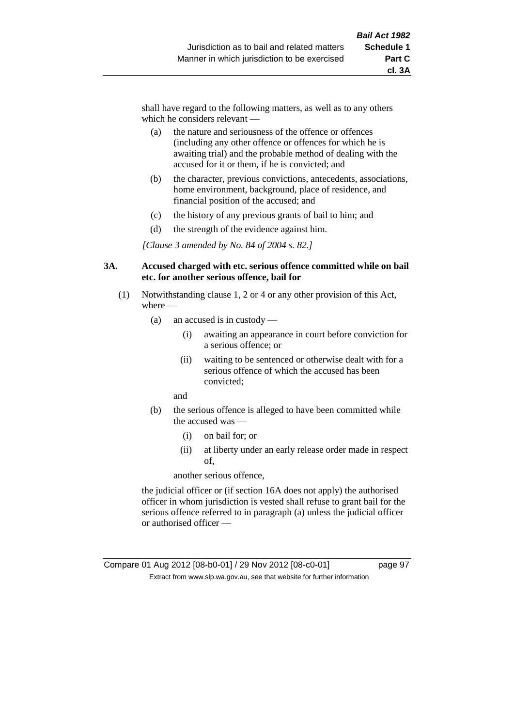shall have regard to the following matters, as well as to any others which he considers relevant —

- (a) the nature and seriousness of the offence or offences (including any other offence or offences for which he is awaiting trial) and the probable method of dealing with the accused for it or them, if he is convicted; and
- (b) the character, previous convictions, antecedents, associations, home environment, background, place of residence, and financial position of the accused; and
- (c) the history of any previous grants of bail to him; and
- (d) the strength of the evidence against him.

*[Clause 3 amended by No. 84 of 2004 s. 82.]*

#### **3A. Accused charged with etc. serious offence committed while on bail etc. for another serious offence, bail for**

- (1) Notwithstanding clause 1, 2 or 4 or any other provision of this Act, where —
	- (a) an accused is in custody
		- (i) awaiting an appearance in court before conviction for a serious offence; or
		- (ii) waiting to be sentenced or otherwise dealt with for a serious offence of which the accused has been convicted;

and

- (b) the serious offence is alleged to have been committed while the accused was —
	- (i) on bail for; or
	- (ii) at liberty under an early release order made in respect of,

another serious offence,

the judicial officer or (if section 16A does not apply) the authorised officer in whom jurisdiction is vested shall refuse to grant bail for the serious offence referred to in paragraph (a) unless the judicial officer or authorised officer —

### Compare 01 Aug 2012 [08-b0-01] / 29 Nov 2012 [08-c0-01] page 97 Extract from www.slp.wa.gov.au, see that website for further information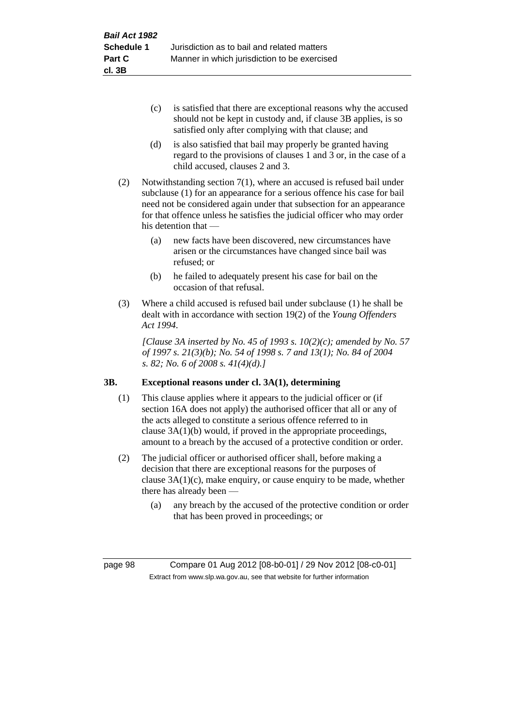- (c) is satisfied that there are exceptional reasons why the accused should not be kept in custody and, if clause 3B applies, is so satisfied only after complying with that clause; and
- (d) is also satisfied that bail may properly be granted having regard to the provisions of clauses 1 and 3 or, in the case of a child accused, clauses 2 and 3.
- (2) Notwithstanding section 7(1), where an accused is refused bail under subclause (1) for an appearance for a serious offence his case for bail need not be considered again under that subsection for an appearance for that offence unless he satisfies the judicial officer who may order his detention that —
	- (a) new facts have been discovered, new circumstances have arisen or the circumstances have changed since bail was refused; or
	- (b) he failed to adequately present his case for bail on the occasion of that refusal.
- (3) Where a child accused is refused bail under subclause (1) he shall be dealt with in accordance with section 19(2) of the *Young Offenders Act 1994*.

*[Clause 3A inserted by No. 45 of 1993 s. 10(2)(c); amended by No. 57 of 1997 s. 21(3)(b); No. 54 of 1998 s. 7 and 13(1); No. 84 of 2004 s. 82; No. 6 of 2008 s. 41(4)(d).]*

# **3B. Exceptional reasons under cl. 3A(1), determining**

- (1) This clause applies where it appears to the judicial officer or (if section 16A does not apply) the authorised officer that all or any of the acts alleged to constitute a serious offence referred to in clause 3A(1)(b) would, if proved in the appropriate proceedings, amount to a breach by the accused of a protective condition or order.
- (2) The judicial officer or authorised officer shall, before making a decision that there are exceptional reasons for the purposes of clause  $3A(1)(c)$ , make enquiry, or cause enquiry to be made, whether there has already been —
	- (a) any breach by the accused of the protective condition or order that has been proved in proceedings; or

page 98 Compare 01 Aug 2012 [08-b0-01] / 29 Nov 2012 [08-c0-01] Extract from www.slp.wa.gov.au, see that website for further information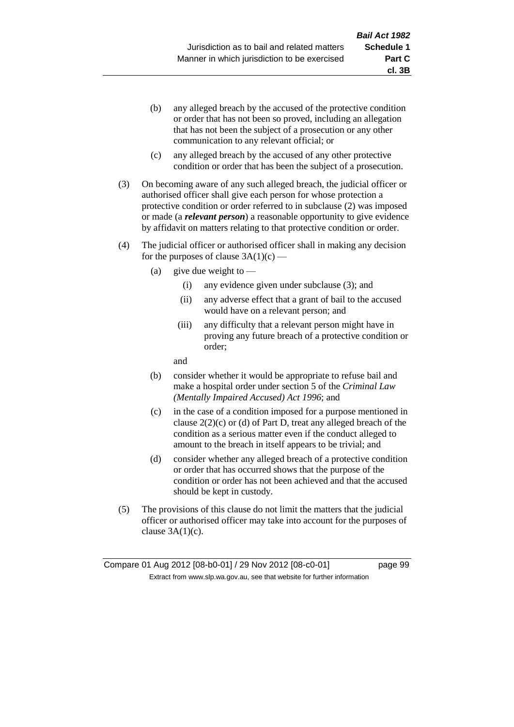- (b) any alleged breach by the accused of the protective condition or order that has not been so proved, including an allegation that has not been the subject of a prosecution or any other communication to any relevant official; or
- (c) any alleged breach by the accused of any other protective condition or order that has been the subject of a prosecution.
- (3) On becoming aware of any such alleged breach, the judicial officer or authorised officer shall give each person for whose protection a protective condition or order referred to in subclause (2) was imposed or made (a *relevant person*) a reasonable opportunity to give evidence by affidavit on matters relating to that protective condition or order.
- (4) The judicial officer or authorised officer shall in making any decision for the purposes of clause  $3A(1)(c)$  —
	- (a) give due weight to  $-$ 
		- (i) any evidence given under subclause (3); and
		- (ii) any adverse effect that a grant of bail to the accused would have on a relevant person; and
		- (iii) any difficulty that a relevant person might have in proving any future breach of a protective condition or order;

and

- (b) consider whether it would be appropriate to refuse bail and make a hospital order under section 5 of the *Criminal Law (Mentally Impaired Accused) Act 1996*; and
- (c) in the case of a condition imposed for a purpose mentioned in clause 2(2)(c) or (d) of Part D, treat any alleged breach of the condition as a serious matter even if the conduct alleged to amount to the breach in itself appears to be trivial; and
- (d) consider whether any alleged breach of a protective condition or order that has occurred shows that the purpose of the condition or order has not been achieved and that the accused should be kept in custody.
- (5) The provisions of this clause do not limit the matters that the judicial officer or authorised officer may take into account for the purposes of clause  $3A(1)(c)$ .

**cl. 3B**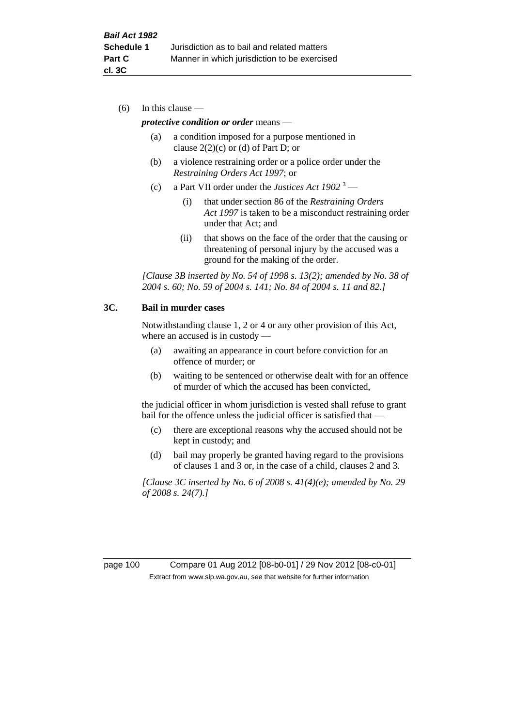(6) In this clause —

#### *protective condition or order* means —

- (a) a condition imposed for a purpose mentioned in clause  $2(2)(c)$  or (d) of Part D; or
- (b) a violence restraining order or a police order under the *Restraining Orders Act 1997*; or
- (c) a Part VII order under the *Justices Act 1902* <sup>3</sup>
	- (i) that under section 86 of the *Restraining Orders Act 1997* is taken to be a misconduct restraining order under that Act; and
	- (ii) that shows on the face of the order that the causing or threatening of personal injury by the accused was a ground for the making of the order.

*[Clause 3B inserted by No. 54 of 1998 s. 13(2); amended by No. 38 of 2004 s. 60; No. 59 of 2004 s. 141; No. 84 of 2004 s. 11 and 82.]*

### **3C. Bail in murder cases**

Notwithstanding clause 1, 2 or 4 or any other provision of this Act, where an accused is in custody —

- (a) awaiting an appearance in court before conviction for an offence of murder; or
- (b) waiting to be sentenced or otherwise dealt with for an offence of murder of which the accused has been convicted,

the judicial officer in whom jurisdiction is vested shall refuse to grant bail for the offence unless the judicial officer is satisfied that -

- (c) there are exceptional reasons why the accused should not be kept in custody; and
- (d) bail may properly be granted having regard to the provisions of clauses 1 and 3 or, in the case of a child, clauses 2 and 3.

*[Clause 3C inserted by No. 6 of 2008 s. 41(4)(e); amended by No. 29 of 2008 s. 24(7).]*

page 100 Compare 01 Aug 2012 [08-b0-01] / 29 Nov 2012 [08-c0-01] Extract from www.slp.wa.gov.au, see that website for further information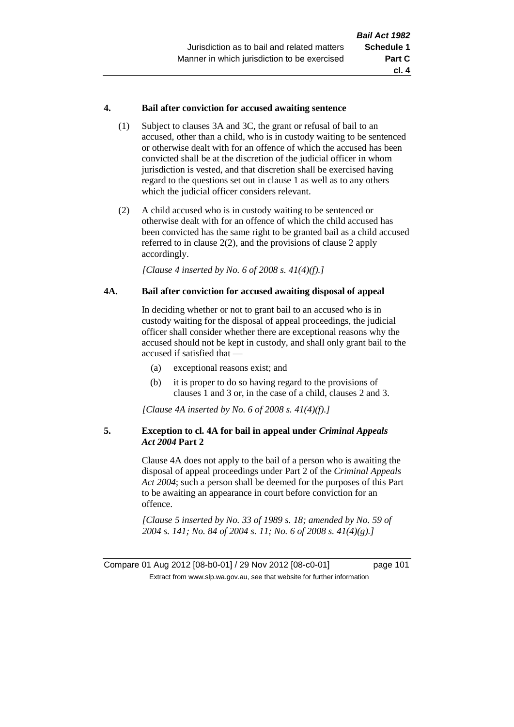### **4. Bail after conviction for accused awaiting sentence**

- (1) Subject to clauses 3A and 3C, the grant or refusal of bail to an accused, other than a child, who is in custody waiting to be sentenced or otherwise dealt with for an offence of which the accused has been convicted shall be at the discretion of the judicial officer in whom jurisdiction is vested, and that discretion shall be exercised having regard to the questions set out in clause 1 as well as to any others which the judicial officer considers relevant.
- (2) A child accused who is in custody waiting to be sentenced or otherwise dealt with for an offence of which the child accused has been convicted has the same right to be granted bail as a child accused referred to in clause 2(2), and the provisions of clause 2 apply accordingly.

*[Clause 4 inserted by No. 6 of 2008 s. 41(4)(f).]*

### **4A. Bail after conviction for accused awaiting disposal of appeal**

In deciding whether or not to grant bail to an accused who is in custody waiting for the disposal of appeal proceedings, the judicial officer shall consider whether there are exceptional reasons why the accused should not be kept in custody, and shall only grant bail to the accused if satisfied that —

- (a) exceptional reasons exist; and
- (b) it is proper to do so having regard to the provisions of clauses 1 and 3 or, in the case of a child, clauses 2 and 3.

*[Clause 4A inserted by No. 6 of 2008 s. 41(4)(f).]*

### **5. Exception to cl. 4A for bail in appeal under** *Criminal Appeals Act 2004* **Part 2**

Clause 4A does not apply to the bail of a person who is awaiting the disposal of appeal proceedings under Part 2 of the *Criminal Appeals Act 2004*; such a person shall be deemed for the purposes of this Part to be awaiting an appearance in court before conviction for an offence.

*[Clause 5 inserted by No. 33 of 1989 s. 18; amended by No. 59 of 2004 s. 141; No. 84 of 2004 s. 11; No. 6 of 2008 s. 41(4)(g).]*

Compare 01 Aug 2012 [08-b0-01] / 29 Nov 2012 [08-c0-01] page 101 Extract from www.slp.wa.gov.au, see that website for further information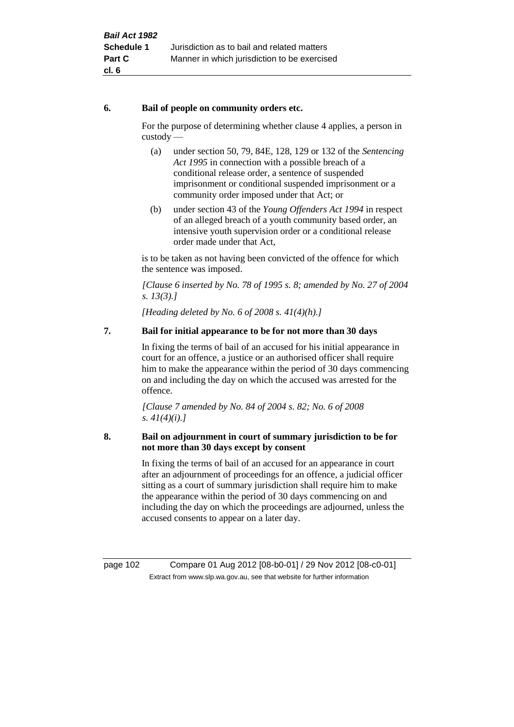### **6. Bail of people on community orders etc.**

For the purpose of determining whether clause 4 applies, a person in custody —

- (a) under section 50, 79, 84E, 128, 129 or 132 of the *Sentencing Act 1995* in connection with a possible breach of a conditional release order, a sentence of suspended imprisonment or conditional suspended imprisonment or a community order imposed under that Act; or
- (b) under section 43 of the *Young Offenders Act 1994* in respect of an alleged breach of a youth community based order, an intensive youth supervision order or a conditional release order made under that Act,

is to be taken as not having been convicted of the offence for which the sentence was imposed.

*[Clause 6 inserted by No. 78 of 1995 s. 8; amended by No. 27 of 2004 s. 13(3).]*

*[Heading deleted by No. 6 of 2008 s. 41(4)(h).]*

# **7. Bail for initial appearance to be for not more than 30 days**

In fixing the terms of bail of an accused for his initial appearance in court for an offence, a justice or an authorised officer shall require him to make the appearance within the period of 30 days commencing on and including the day on which the accused was arrested for the offence.

*[Clause 7 amended by No. 84 of 2004 s. 82; No. 6 of 2008 s. 41(4)(i).]*

### **8. Bail on adjournment in court of summary jurisdiction to be for not more than 30 days except by consent**

In fixing the terms of bail of an accused for an appearance in court after an adjournment of proceedings for an offence, a judicial officer sitting as a court of summary jurisdiction shall require him to make the appearance within the period of 30 days commencing on and including the day on which the proceedings are adjourned, unless the accused consents to appear on a later day.

page 102 Compare 01 Aug 2012 [08-b0-01] / 29 Nov 2012 [08-c0-01] Extract from www.slp.wa.gov.au, see that website for further information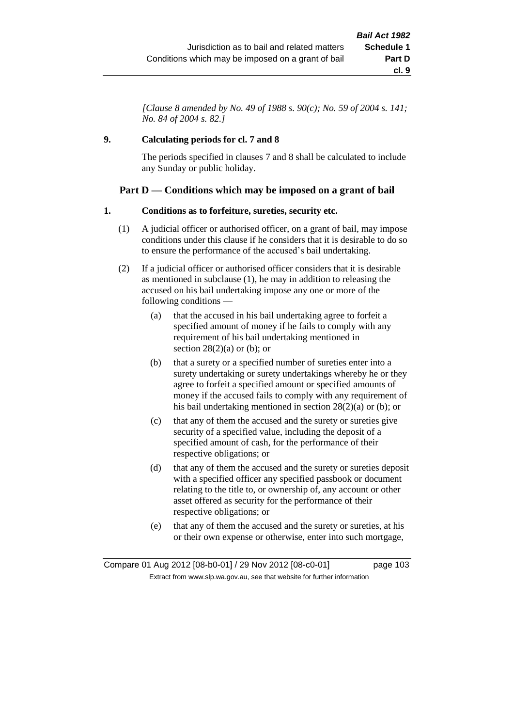*[Clause 8 amended by No. 49 of 1988 s. 90(c); No. 59 of 2004 s. 141; No. 84 of 2004 s. 82.]*

# **9. Calculating periods for cl. 7 and 8**

The periods specified in clauses 7 and 8 shall be calculated to include any Sunday or public holiday.

# **Part D — Conditions which may be imposed on a grant of bail**

### **1. Conditions as to forfeiture, sureties, security etc.**

- (1) A judicial officer or authorised officer, on a grant of bail, may impose conditions under this clause if he considers that it is desirable to do so to ensure the performance of the accused's bail undertaking.
- (2) If a judicial officer or authorised officer considers that it is desirable as mentioned in subclause (1), he may in addition to releasing the accused on his bail undertaking impose any one or more of the following conditions —
	- (a) that the accused in his bail undertaking agree to forfeit a specified amount of money if he fails to comply with any requirement of his bail undertaking mentioned in section  $28(2)(a)$  or (b); or
	- (b) that a surety or a specified number of sureties enter into a surety undertaking or surety undertakings whereby he or they agree to forfeit a specified amount or specified amounts of money if the accused fails to comply with any requirement of his bail undertaking mentioned in section 28(2)(a) or (b); or
	- (c) that any of them the accused and the surety or sureties give security of a specified value, including the deposit of a specified amount of cash, for the performance of their respective obligations; or
	- (d) that any of them the accused and the surety or sureties deposit with a specified officer any specified passbook or document relating to the title to, or ownership of, any account or other asset offered as security for the performance of their respective obligations; or
	- (e) that any of them the accused and the surety or sureties, at his or their own expense or otherwise, enter into such mortgage,

Compare 01 Aug 2012 [08-b0-01] / 29 Nov 2012 [08-c0-01] page 103 Extract from www.slp.wa.gov.au, see that website for further information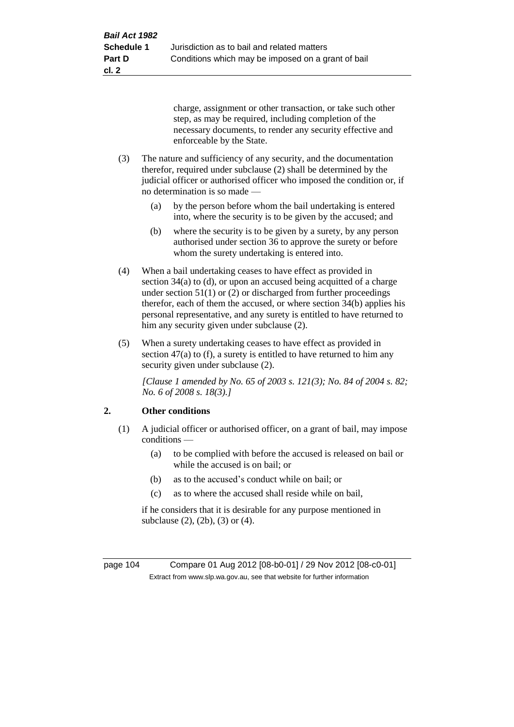charge, assignment or other transaction, or take such other step, as may be required, including completion of the necessary documents, to render any security effective and enforceable by the State.

- (3) The nature and sufficiency of any security, and the documentation therefor, required under subclause (2) shall be determined by the judicial officer or authorised officer who imposed the condition or, if no determination is so made —
	- (a) by the person before whom the bail undertaking is entered into, where the security is to be given by the accused; and
	- (b) where the security is to be given by a surety, by any person authorised under section 36 to approve the surety or before whom the surety undertaking is entered into.
- (4) When a bail undertaking ceases to have effect as provided in section 34(a) to (d), or upon an accused being acquitted of a charge under section  $51(1)$  or (2) or discharged from further proceedings therefor, each of them the accused, or where section 34(b) applies his personal representative, and any surety is entitled to have returned to him any security given under subclause (2).
- (5) When a surety undertaking ceases to have effect as provided in section 47(a) to (f), a surety is entitled to have returned to him any security given under subclause (2).

*[Clause 1 amended by No. 65 of 2003 s. 121(3); No. 84 of 2004 s. 82; No. 6 of 2008 s. 18(3).]*

# **2. Other conditions**

- (1) A judicial officer or authorised officer, on a grant of bail, may impose conditions —
	- (a) to be complied with before the accused is released on bail or while the accused is on bail; or
	- (b) as to the accused's conduct while on bail; or
	- (c) as to where the accused shall reside while on bail,

if he considers that it is desirable for any purpose mentioned in subclause (2), (2b), (3) or (4).

page 104 Compare 01 Aug 2012 [08-b0-01] / 29 Nov 2012 [08-c0-01] Extract from www.slp.wa.gov.au, see that website for further information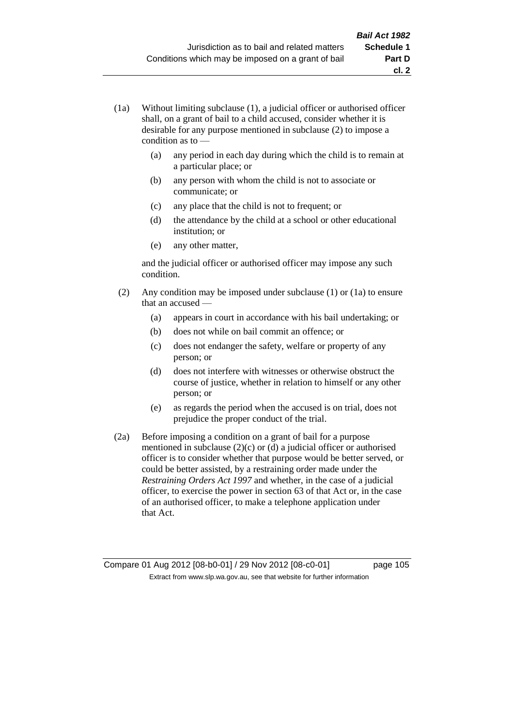- (1a) Without limiting subclause (1), a judicial officer or authorised officer shall, on a grant of bail to a child accused, consider whether it is desirable for any purpose mentioned in subclause (2) to impose a condition as to —
	- (a) any period in each day during which the child is to remain at a particular place; or
	- (b) any person with whom the child is not to associate or communicate; or
	- (c) any place that the child is not to frequent; or
	- (d) the attendance by the child at a school or other educational institution; or
	- (e) any other matter,

and the judicial officer or authorised officer may impose any such condition.

- (2) Any condition may be imposed under subclause (1) or (1a) to ensure that an accused —
	- (a) appears in court in accordance with his bail undertaking; or
	- (b) does not while on bail commit an offence; or
	- (c) does not endanger the safety, welfare or property of any person; or
	- (d) does not interfere with witnesses or otherwise obstruct the course of justice, whether in relation to himself or any other person; or
	- (e) as regards the period when the accused is on trial, does not prejudice the proper conduct of the trial.
- (2a) Before imposing a condition on a grant of bail for a purpose mentioned in subclause (2)(c) or (d) a judicial officer or authorised officer is to consider whether that purpose would be better served, or could be better assisted, by a restraining order made under the *Restraining Orders Act 1997* and whether, in the case of a judicial officer, to exercise the power in section 63 of that Act or, in the case of an authorised officer, to make a telephone application under that Act.

Compare 01 Aug 2012 [08-b0-01] / 29 Nov 2012 [08-c0-01] page 105 Extract from www.slp.wa.gov.au, see that website for further information

**cl. 2**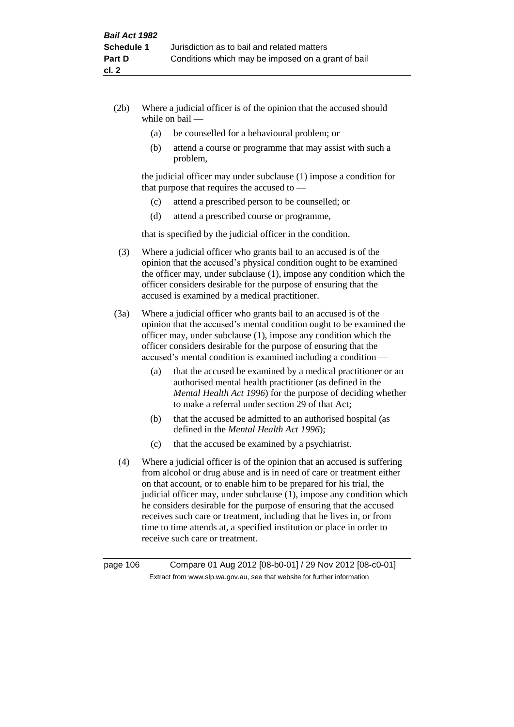- (2b) Where a judicial officer is of the opinion that the accused should while on bail —
	- (a) be counselled for a behavioural problem; or
	- (b) attend a course or programme that may assist with such a problem,

the judicial officer may under subclause (1) impose a condition for that purpose that requires the accused to —

- (c) attend a prescribed person to be counselled; or
- (d) attend a prescribed course or programme,

that is specified by the judicial officer in the condition.

- (3) Where a judicial officer who grants bail to an accused is of the opinion that the accused's physical condition ought to be examined the officer may, under subclause (1), impose any condition which the officer considers desirable for the purpose of ensuring that the accused is examined by a medical practitioner.
- (3a) Where a judicial officer who grants bail to an accused is of the opinion that the accused's mental condition ought to be examined the officer may, under subclause (1), impose any condition which the officer considers desirable for the purpose of ensuring that the accused's mental condition is examined including a condition —
	- (a) that the accused be examined by a medical practitioner or an authorised mental health practitioner (as defined in the *Mental Health Act 1996*) for the purpose of deciding whether to make a referral under section 29 of that Act;
	- (b) that the accused be admitted to an authorised hospital (as defined in the *Mental Health Act 1996*);
	- (c) that the accused be examined by a psychiatrist.
- (4) Where a judicial officer is of the opinion that an accused is suffering from alcohol or drug abuse and is in need of care or treatment either on that account, or to enable him to be prepared for his trial, the judicial officer may, under subclause (1), impose any condition which he considers desirable for the purpose of ensuring that the accused receives such care or treatment, including that he lives in, or from time to time attends at, a specified institution or place in order to receive such care or treatment.

page 106 Compare 01 Aug 2012 [08-b0-01] / 29 Nov 2012 [08-c0-01] Extract from www.slp.wa.gov.au, see that website for further information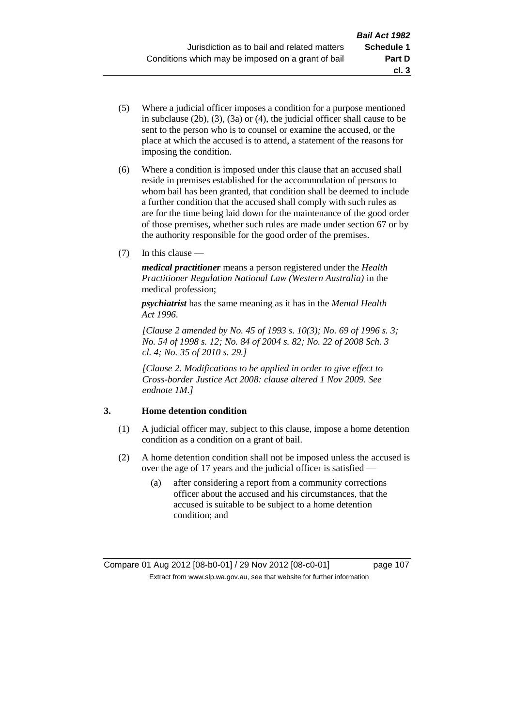- (5) Where a judicial officer imposes a condition for a purpose mentioned in subclause (2b), (3), (3a) or (4), the judicial officer shall cause to be sent to the person who is to counsel or examine the accused, or the place at which the accused is to attend, a statement of the reasons for imposing the condition.
- (6) Where a condition is imposed under this clause that an accused shall reside in premises established for the accommodation of persons to whom bail has been granted, that condition shall be deemed to include a further condition that the accused shall comply with such rules as are for the time being laid down for the maintenance of the good order of those premises, whether such rules are made under section 67 or by the authority responsible for the good order of the premises.
- (7) In this clause —

*medical practitioner* means a person registered under the *Health Practitioner Regulation National Law (Western Australia)* in the medical profession;

*psychiatrist* has the same meaning as it has in the *Mental Health Act 1996*.

*[Clause 2 amended by No. 45 of 1993 s. 10(3); No. 69 of 1996 s. 3; No. 54 of 1998 s. 12; No. 84 of 2004 s. 82; No. 22 of 2008 Sch. 3 cl. 4; No. 35 of 2010 s. 29.]*

*[Clause 2. Modifications to be applied in order to give effect to Cross-border Justice Act 2008: clause altered 1 Nov 2009. See endnote 1M.]*

# **3. Home detention condition**

- (1) A judicial officer may, subject to this clause, impose a home detention condition as a condition on a grant of bail.
- (2) A home detention condition shall not be imposed unless the accused is over the age of 17 years and the judicial officer is satisfied —
	- (a) after considering a report from a community corrections officer about the accused and his circumstances, that the accused is suitable to be subject to a home detention condition; and

**cl. 3**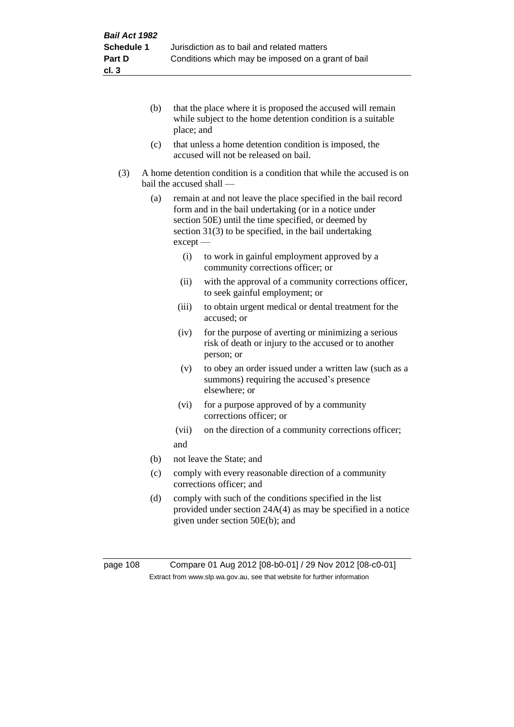- (b) that the place where it is proposed the accused will remain while subject to the home detention condition is a suitable place; and
- (c) that unless a home detention condition is imposed, the accused will not be released on bail.
- (3) A home detention condition is a condition that while the accused is on bail the accused shall —
	- (a) remain at and not leave the place specified in the bail record form and in the bail undertaking (or in a notice under section 50E) until the time specified, or deemed by section 31(3) to be specified, in the bail undertaking except —
		- (i) to work in gainful employment approved by a community corrections officer; or
		- (ii) with the approval of a community corrections officer, to seek gainful employment; or
		- (iii) to obtain urgent medical or dental treatment for the accused; or
		- (iv) for the purpose of averting or minimizing a serious risk of death or injury to the accused or to another person; or
		- (v) to obey an order issued under a written law (such as a summons) requiring the accused's presence elsewhere; or
		- (vi) for a purpose approved of by a community corrections officer; or
		- (vii) on the direction of a community corrections officer; and
	- (b) not leave the State; and
	- (c) comply with every reasonable direction of a community corrections officer; and
	- (d) comply with such of the conditions specified in the list provided under section 24A(4) as may be specified in a notice given under section 50E(b); and

page 108 Compare 01 Aug 2012 [08-b0-01] / 29 Nov 2012 [08-c0-01] Extract from www.slp.wa.gov.au, see that website for further information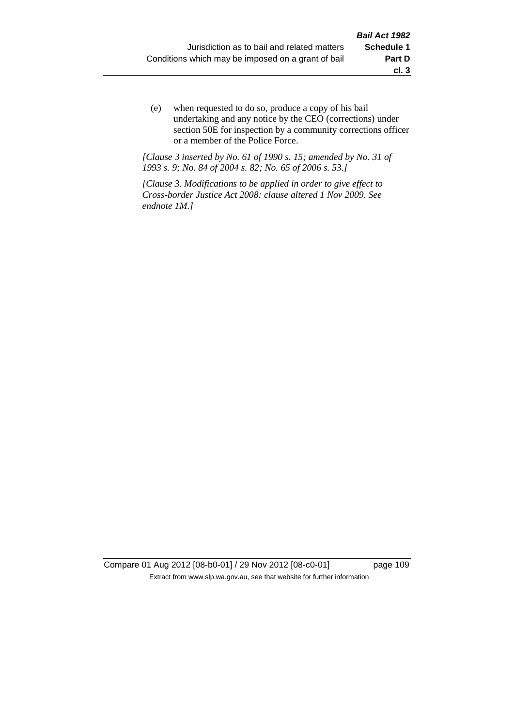(e) when requested to do so, produce a copy of his bail undertaking and any notice by the CEO (corrections) under section 50E for inspection by a community corrections officer or a member of the Police Force.

*[Clause 3 inserted by No. 61 of 1990 s. 15; amended by No. 31 of 1993 s. 9; No. 84 of 2004 s. 82; No. 65 of 2006 s. 53.]*

*[Clause 3. Modifications to be applied in order to give effect to Cross-border Justice Act 2008: clause altered 1 Nov 2009. See endnote 1M.]*

Compare 01 Aug 2012 [08-b0-01] / 29 Nov 2012 [08-c0-01] page 109 Extract from www.slp.wa.gov.au, see that website for further information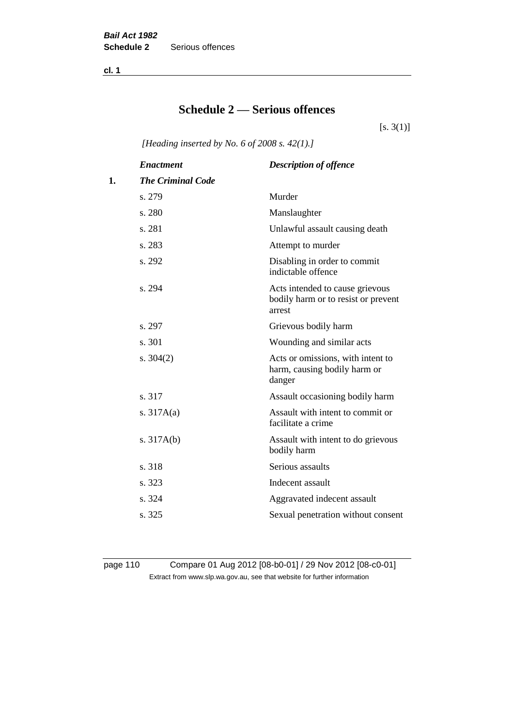**cl. 1**

# **Schedule 2 — Serious offences**

 $[s. 3(1)]$ 

*[Heading inserted by No. 6 of 2008 s. 42(1).]*

| <b>Enactment</b>         | <b>Description of offence</b>                                                    |
|--------------------------|----------------------------------------------------------------------------------|
| <b>The Criminal Code</b> |                                                                                  |
| s. 279                   | Murder                                                                           |
| s. 280                   | Manslaughter                                                                     |
| s. 281                   | Unlawful assault causing death                                                   |
| s. 283                   | Attempt to murder                                                                |
| s. 292                   | Disabling in order to commit<br>indictable offence                               |
| s. 294                   | Acts intended to cause grievous<br>bodily harm or to resist or prevent<br>arrest |
| s. 297                   | Grievous bodily harm                                                             |
| s. 301                   | Wounding and similar acts                                                        |
| s. $304(2)$              | Acts or omissions, with intent to<br>harm, causing bodily harm or<br>danger      |
| s. 317                   | Assault occasioning bodily harm                                                  |
| s. $317A(a)$             | Assault with intent to commit or<br>facilitate a crime                           |
| s. $317A(b)$             | Assault with intent to do grievous<br>bodily harm                                |
| s. 318                   | Serious assaults                                                                 |
| s. 323                   | Indecent assault                                                                 |
| s. 324                   | Aggravated indecent assault                                                      |
| s. 325                   | Sexual penetration without consent                                               |
|                          |                                                                                  |

page 110 Compare 01 Aug 2012 [08-b0-01] / 29 Nov 2012 [08-c0-01] Extract from www.slp.wa.gov.au, see that website for further information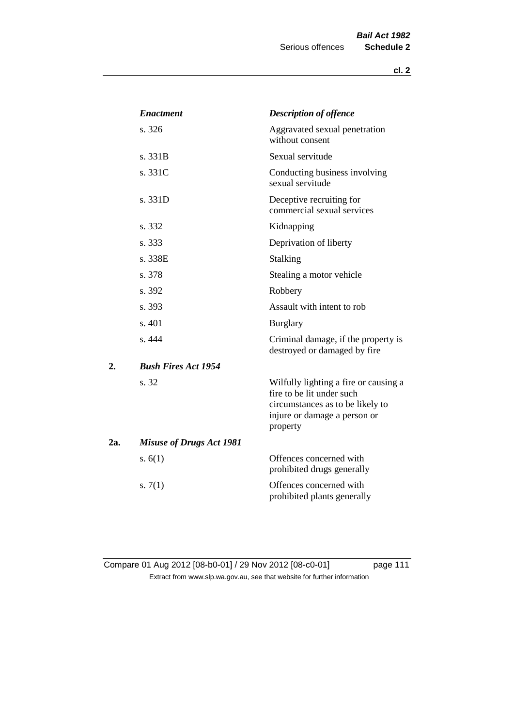|     | <i><b>Enactment</b></i>         | <b>Description of offence</b>                                                                                                                      |
|-----|---------------------------------|----------------------------------------------------------------------------------------------------------------------------------------------------|
|     | s. 326                          | Aggravated sexual penetration<br>without consent                                                                                                   |
|     | s. 331B                         | Sexual servitude                                                                                                                                   |
|     | s. 331C                         | Conducting business involving<br>sexual servitude                                                                                                  |
|     | s. 331D                         | Deceptive recruiting for<br>commercial sexual services                                                                                             |
|     | s. 332                          | Kidnapping                                                                                                                                         |
|     | s. 333                          | Deprivation of liberty                                                                                                                             |
|     | s. 338E                         | <b>Stalking</b>                                                                                                                                    |
|     | s. 378                          | Stealing a motor vehicle                                                                                                                           |
|     | s. 392                          | Robbery                                                                                                                                            |
|     | s. 393                          | Assault with intent to rob                                                                                                                         |
|     | s. 401                          | <b>Burglary</b>                                                                                                                                    |
|     | s. 444                          | Criminal damage, if the property is<br>destroyed or damaged by fire                                                                                |
| 2.  | <b>Bush Fires Act 1954</b>      |                                                                                                                                                    |
|     | s. 32                           | Wilfully lighting a fire or causing a<br>fire to be lit under such<br>circumstances as to be likely to<br>injure or damage a person or<br>property |
| 2a. | <b>Misuse of Drugs Act 1981</b> |                                                                                                                                                    |
|     | s. $6(1)$                       | Offences concerned with<br>prohibited drugs generally                                                                                              |
|     | s. $7(1)$                       | Offences concerned with<br>prohibited plants generally                                                                                             |

Compare 01 Aug 2012 [08-b0-01] / 29 Nov 2012 [08-c0-01] page 111 Extract from www.slp.wa.gov.au, see that website for further information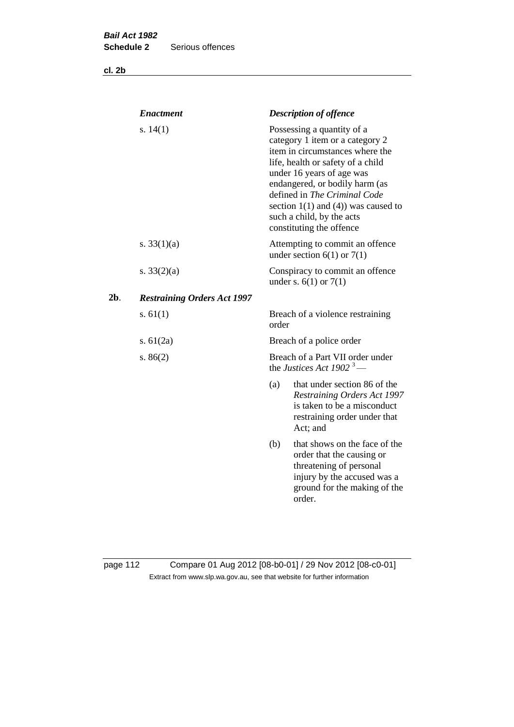**cl. 2b**

|        | <b>Enactment</b>                   | <b>Description of offence</b>                                                                                                                                                                                                                                                                                                             |
|--------|------------------------------------|-------------------------------------------------------------------------------------------------------------------------------------------------------------------------------------------------------------------------------------------------------------------------------------------------------------------------------------------|
|        | s. $14(1)$                         | Possessing a quantity of a<br>category 1 item or a category 2<br>item in circumstances where the<br>life, health or safety of a child<br>under 16 years of age was<br>endangered, or bodily harm (as<br>defined in The Criminal Code<br>section $1(1)$ and $(4)$ ) was caused to<br>such a child, by the acts<br>constituting the offence |
|        | s. $33(1)(a)$                      | Attempting to commit an offence<br>under section $6(1)$ or $7(1)$                                                                                                                                                                                                                                                                         |
|        | s. $33(2)(a)$                      | Conspiracy to commit an offence<br>under s. $6(1)$ or $7(1)$                                                                                                                                                                                                                                                                              |
| $2b$ . | <b>Restraining Orders Act 1997</b> |                                                                                                                                                                                                                                                                                                                                           |
|        | s. $61(1)$                         | Breach of a violence restraining<br>order                                                                                                                                                                                                                                                                                                 |
|        | s. $61(2a)$                        | Breach of a police order                                                                                                                                                                                                                                                                                                                  |
|        | s. $86(2)$                         | Breach of a Part VII order under<br>the Justices Act 1902 <sup>3</sup> —                                                                                                                                                                                                                                                                  |
|        |                                    | that under section 86 of the<br>(a)<br><b>Restraining Orders Act 1997</b><br>is taken to be a misconduct<br>restraining order under that<br>Act; and                                                                                                                                                                                      |
|        |                                    | that shows on the face of the<br>(b)<br>order that the causing or<br>threatening of personal<br>injury by the accused was a<br>ground for the making of the<br>order.                                                                                                                                                                     |
|        |                                    |                                                                                                                                                                                                                                                                                                                                           |

page 112 Compare 01 Aug 2012 [08-b0-01] / 29 Nov 2012 [08-c0-01] Extract from www.slp.wa.gov.au, see that website for further information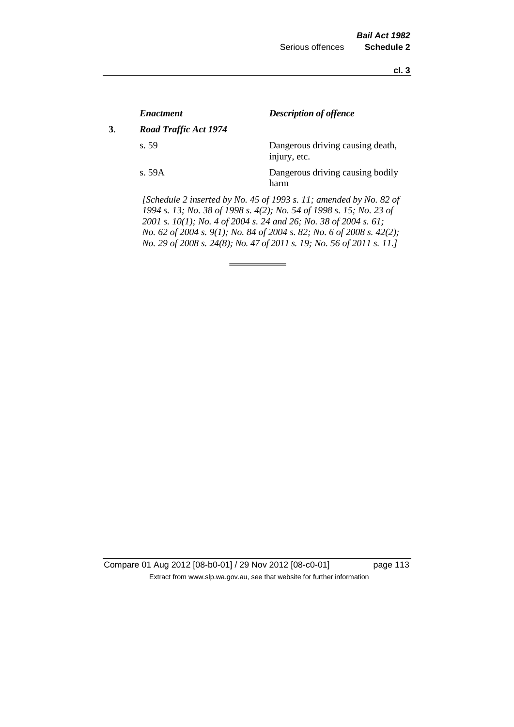**cl. 3**

|    | <b>Enactment</b>      | <b>Description of offence</b>                                                                                                                                                                                 |
|----|-----------------------|---------------------------------------------------------------------------------------------------------------------------------------------------------------------------------------------------------------|
| 3. | Road Traffic Act 1974 |                                                                                                                                                                                                               |
|    | s.59                  | Dangerous driving causing death,<br>injury, etc.                                                                                                                                                              |
|    | s.59A                 | Dangerous driving causing bodily<br>harm                                                                                                                                                                      |
|    |                       | [Schedule 2 inserted by No. 45 of 1993 s. 11; amended by No. 82 of<br>1994 s. 13; No. 38 of 1998 s. 4(2); No. 54 of 1998 s. 15; No. 23 of<br>2001 s. 10(1); No. 4 of 2004 s. 24 and 26; No. 38 of 2004 s. 61; |

*No. 62 of 2004 s. 9(1); No. 84 of 2004 s. 82; No. 6 of 2008 s. 42(2); No. 29 of 2008 s. 24(8); No. 47 of 2011 s. 19; No. 56 of 2011 s. 11.]* 

Compare 01 Aug 2012 [08-b0-01] / 29 Nov 2012 [08-c0-01] page 113 Extract from www.slp.wa.gov.au, see that website for further information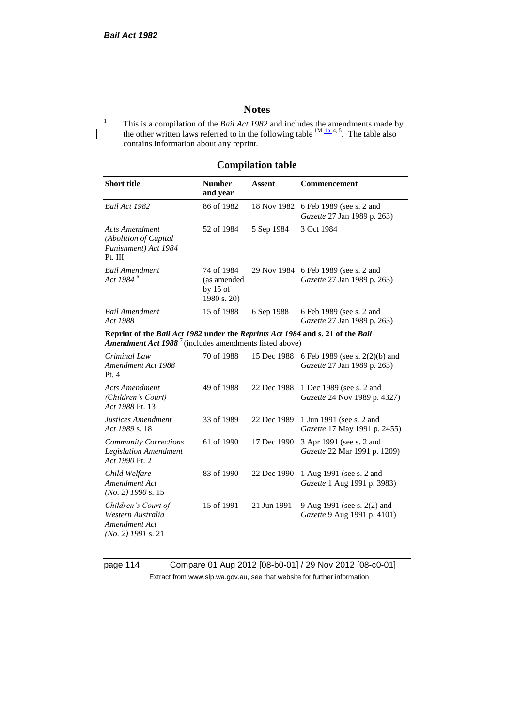## **Notes**

<sup>1</sup> This is a compilation of the *Bail Act 1982* and includes the amendments made by the other written laws referred to in the following table  $^{1M, 1a, 4, 5}$ . The table also contains information about any reprint.

# **Compilation table**

| <b>Short title</b>                                                                                                                                          | <b>Number</b><br>and year                              | <b>Assent</b> | <b>Commencement</b>                                           |
|-------------------------------------------------------------------------------------------------------------------------------------------------------------|--------------------------------------------------------|---------------|---------------------------------------------------------------|
| Bail Act 1982                                                                                                                                               | 86 of 1982                                             | 18 Nov 1982   | 6 Feb 1989 (see s. 2 and<br>Gazette 27 Jan 1989 p. 263)       |
| <b>Acts Amendment</b><br>(Abolition of Capital<br>Punishment) Act 1984<br>Pt. III                                                                           | 52 of 1984                                             | 5 Sep 1984    | 3 Oct 1984                                                    |
| <b>Bail Amendment</b><br>Act 1984 <sup>6</sup>                                                                                                              | 74 of 1984<br>(as amended<br>by $15$ of<br>1980 s. 20) | 29 Nov 1984   | 6 Feb 1989 (see s. 2 and<br>Gazette 27 Jan 1989 p. 263)       |
| <b>Bail Amendment</b><br>Act 1988                                                                                                                           | 15 of 1988                                             | 6 Sep 1988    | 6 Feb 1989 (see s. 2 and<br>Gazette 27 Jan 1989 p. 263)       |
| Reprint of the Bail Act 1982 under the Reprints Act 1984 and s. 21 of the Bail<br><b>Amendment Act 1988</b> <sup>7</sup> (includes amendments listed above) |                                                        |               |                                                               |
| Criminal Law<br>Amendment Act 1988<br>Pt.4                                                                                                                  | 70 of 1988                                             | 15 Dec 1988   | 6 Feb 1989 (see s. 2(2)(b) and<br>Gazette 27 Jan 1989 p. 263) |
| <b>Acts Amendment</b><br>(Children's Court)<br>Act 1988 Pt. 13                                                                                              | 49 of 1988                                             | 22 Dec 1988   | 1 Dec 1989 (see s. 2 and<br>Gazette 24 Nov 1989 p. 4327)      |
| Justices Amendment<br>Act 1989 s. 18                                                                                                                        | 33 of 1989                                             | 22 Dec 1989   | 1 Jun 1991 (see s. 2 and<br>Gazette 17 May 1991 p. 2455)      |
| <b>Community Corrections</b><br><b>Legislation Amendment</b><br>Act 1990 Pt. 2                                                                              | 61 of 1990                                             | 17 Dec 1990   | 3 Apr 1991 (see s. 2 and<br>Gazette 22 Mar 1991 p. 1209)      |
| Child Welfare<br>Amendment Act<br>$(No. 2)$ 1990 s. 15                                                                                                      | 83 of 1990                                             | 22 Dec 1990   | 1 Aug 1991 (see s. 2 and<br>Gazette 1 Aug 1991 p. 3983)       |
| Children's Court of<br>Western Australia<br>Amendment Act<br>$(No. 2)$ 1991 s. 21                                                                           | 15 of 1991                                             | 21 Jun 1991   | 9 Aug 1991 (see s. 2(2) and<br>Gazette 9 Aug 1991 p. 4101)    |

page 114 Compare 01 Aug 2012 [08-b0-01] / 29 Nov 2012 [08-c0-01] Extract from www.slp.wa.gov.au, see that website for further information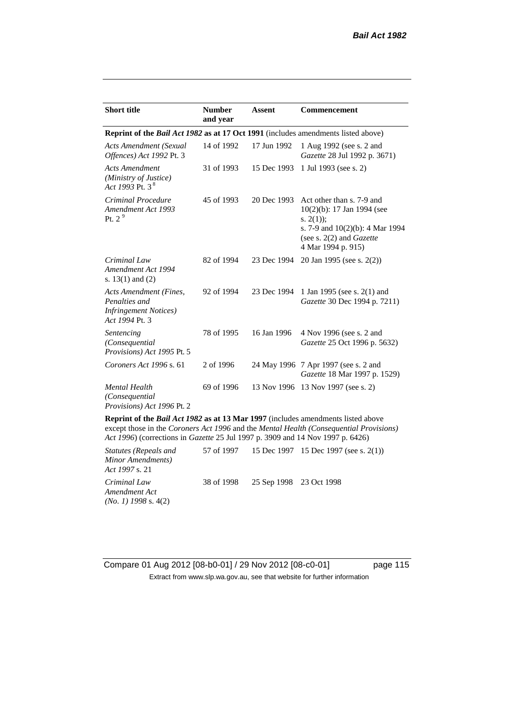| <b>Short title</b>                                                                         | <b>Number</b><br>and year | Assent      | <b>Commencement</b>                                                                                                                                                        |  |
|--------------------------------------------------------------------------------------------|---------------------------|-------------|----------------------------------------------------------------------------------------------------------------------------------------------------------------------------|--|
| <b>Reprint of the Bail Act 1982 as at 17 Oct 1991</b> (includes amendments listed above)   |                           |             |                                                                                                                                                                            |  |
| <b>Acts Amendment (Sexual</b><br>Offences) Act 1992 Pt. 3                                  | 14 of 1992                | 17 Jun 1992 | 1 Aug 1992 (see s. 2 and<br>Gazette 28 Jul 1992 p. 3671)                                                                                                                   |  |
| <b>Acts Amendment</b><br>(Ministry of Justice)<br>Act 1993 Pt. 3 $^{8}$                    | 31 of 1993                | 15 Dec 1993 | 1 Jul 1993 (see s. 2)                                                                                                                                                      |  |
| Criminal Procedure<br>Amendment Act 1993<br>Pt. $2^9$                                      | 45 of 1993                | 20 Dec 1993 | Act other than s. 7-9 and<br>$10(2)(b)$ : 17 Jan 1994 (see<br>s. $2(1)$ ;<br>s. 7-9 and $10(2)(b)$ : 4 Mar 1994<br>(see s. $2(2)$ and <i>Gazette</i><br>4 Mar 1994 p. 915) |  |
| Criminal Law<br>Amendment Act 1994<br>s. $13(1)$ and $(2)$                                 | 82 of 1994                | 23 Dec 1994 | 20 Jan 1995 (see s. 2(2))                                                                                                                                                  |  |
| Acts Amendment (Fines,<br>Penalties and<br><b>Infringement Notices</b> )<br>Act 1994 Pt. 3 | 92 of 1994                | 23 Dec 1994 | 1 Jan 1995 (see s. 2(1) and<br>Gazette 30 Dec 1994 p. 7211)                                                                                                                |  |
| Sentencing<br>(Consequential<br>Provisions) Act 1995 Pt. 5                                 | 78 of 1995                | 16 Jan 1996 | 4 Nov 1996 (see s. 2 and<br>Gazette 25 Oct 1996 p. 5632)                                                                                                                   |  |
| Coroners Act 1996 s. 61                                                                    | 2 of 1996                 |             | 24 May 1996 7 Apr 1997 (see s. 2 and<br>Gazette 18 Mar 1997 p. 1529)                                                                                                       |  |
| <b>Mental Health</b><br>(Consequential<br>Provisions) Act 1996 Pt. 2                       | 69 of 1996                | 13 Nov 1996 | 13 Nov 1997 (see s. 2)                                                                                                                                                     |  |

**Reprint of the** *Bail Act 1982* **as at 13 Mar 1997** (includes amendments listed above except those in the *Coroners Act 1996* and the *Mental Health (Consequential Provisions) Act 1996*) (corrections in *Gazette* 25 Jul 1997 p. 3909 and 14 Nov 1997 p. 6426)

*Statutes (Repeals and Minor Amendments) Act 1997* s. 21 57 of 1997 15 Dec 1997 15 Dec 1997 (see s. 2(1)) *Criminal Law Amendment Act (No. 1) 1998* s. 4(2) 38 of 1998 25 Sep 1998 23 Oct 1998

Compare 01 Aug 2012 [08-b0-01] / 29 Nov 2012 [08-c0-01] page 115 Extract from www.slp.wa.gov.au, see that website for further information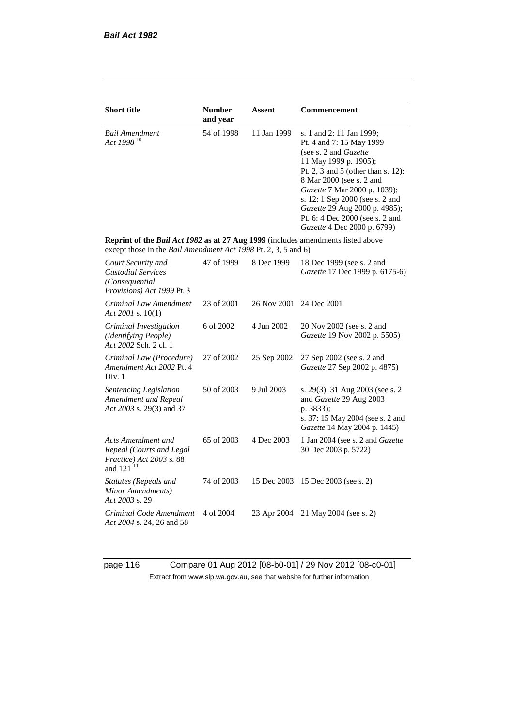| <b>Short title</b>                                                                                                                                 | <b>Number</b> | Assent      | Commencement                                                                                                                                                                                                                                                                                                                                   |
|----------------------------------------------------------------------------------------------------------------------------------------------------|---------------|-------------|------------------------------------------------------------------------------------------------------------------------------------------------------------------------------------------------------------------------------------------------------------------------------------------------------------------------------------------------|
|                                                                                                                                                    | and year      |             |                                                                                                                                                                                                                                                                                                                                                |
| <b>Bail Amendment</b><br>Act 1998 <sup>10</sup>                                                                                                    | 54 of 1998    | 11 Jan 1999 | s. 1 and 2: 11 Jan 1999;<br>Pt. 4 and 7: 15 May 1999<br>(see s. 2 and Gazette<br>11 May 1999 p. 1905);<br>Pt. 2, 3 and 5 (other than s. 12):<br>8 Mar 2000 (see s. 2 and<br>Gazette 7 Mar 2000 p. 1039);<br>s. 12: 1 Sep 2000 (see s. 2 and<br>Gazette 29 Aug 2000 p. 4985);<br>Pt. 6: 4 Dec 2000 (see s. 2 and<br>Gazette 4 Dec 2000 p. 6799) |
| Reprint of the Bail Act 1982 as at 27 Aug 1999 (includes amendments listed above<br>except those in the Bail Amendment Act 1998 Pt. 2, 3, 5 and 6) |               |             |                                                                                                                                                                                                                                                                                                                                                |
| Court Security and<br><b>Custodial Services</b><br>(Consequential<br>Provisions) Act 1999 Pt. 3                                                    | 47 of 1999    | 8 Dec 1999  | 18 Dec 1999 (see s. 2 and<br>Gazette 17 Dec 1999 p. 6175-6)                                                                                                                                                                                                                                                                                    |
| Criminal Law Amendment<br>Act 2001 s. $10(1)$                                                                                                      | 23 of 2001    | 26 Nov 2001 | 24 Dec 2001                                                                                                                                                                                                                                                                                                                                    |
| Criminal Investigation<br>(Identifying People)<br>Act 2002 Sch. 2 cl. 1                                                                            | 6 of 2002     | 4 Jun 2002  | 20 Nov 2002 (see s. 2 and<br>Gazette 19 Nov 2002 p. 5505)                                                                                                                                                                                                                                                                                      |
| Criminal Law (Procedure)<br>Amendment Act 2002 Pt. 4<br>Div. 1                                                                                     | 27 of 2002    | 25 Sep 2002 | 27 Sep 2002 (see s. 2 and<br>Gazette 27 Sep 2002 p. 4875)                                                                                                                                                                                                                                                                                      |
| Sentencing Legislation<br>Amendment and Repeal<br>Act 2003 s. 29(3) and 37                                                                         | 50 of 2003    | 9 Jul 2003  | s. 29(3): 31 Aug 2003 (see s. 2)<br>and Gazette 29 Aug 2003<br>p. 3833);<br>s. 37: 15 May 2004 (see s. 2 and<br>Gazette 14 May 2004 p. 1445)                                                                                                                                                                                                   |
| Acts Amendment and<br>Repeal (Courts and Legal<br>Practice) Act 2003 s. 88<br>and 121 <sup>11</sup>                                                | 65 of 2003    | 4 Dec 2003  | 1 Jan 2004 (see s. 2 and <i>Gazette</i><br>30 Dec 2003 p. 5722)                                                                                                                                                                                                                                                                                |
| Statutes (Repeals and<br>Minor Amendments)<br>Act 2003 s. 29                                                                                       | 74 of 2003    | 15 Dec 2003 | 15 Dec 2003 (see s. 2)                                                                                                                                                                                                                                                                                                                         |
| Criminal Code Amendment<br>Act 2004 s. 24, 26 and 58                                                                                               | 4 of 2004     | 23 Apr 2004 | 21 May 2004 (see s. 2)                                                                                                                                                                                                                                                                                                                         |

page 116 Compare 01 Aug 2012 [08-b0-01] / 29 Nov 2012 [08-c0-01] Extract from www.slp.wa.gov.au, see that website for further information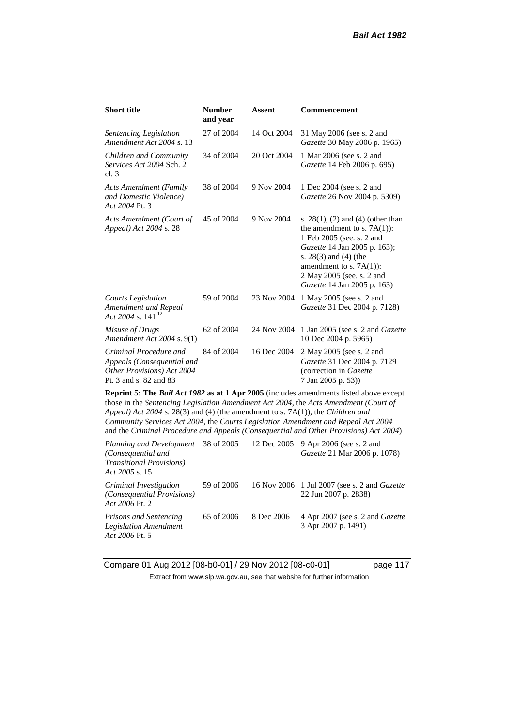| <b>Short title</b>                                                                                                                                                                                                                                                                                                                                                                                                                              | <b>Number</b><br>and year | Assent      | <b>Commencement</b>                                                                                                                                                                                                                                      |  |
|-------------------------------------------------------------------------------------------------------------------------------------------------------------------------------------------------------------------------------------------------------------------------------------------------------------------------------------------------------------------------------------------------------------------------------------------------|---------------------------|-------------|----------------------------------------------------------------------------------------------------------------------------------------------------------------------------------------------------------------------------------------------------------|--|
| Sentencing Legislation<br>Amendment Act 2004 s. 13                                                                                                                                                                                                                                                                                                                                                                                              | 27 of 2004                | 14 Oct 2004 | 31 May 2006 (see s. 2 and<br>Gazette 30 May 2006 p. 1965)                                                                                                                                                                                                |  |
| Children and Community<br>Services Act 2004 Sch. 2<br>cl.3                                                                                                                                                                                                                                                                                                                                                                                      | 34 of 2004                | 20 Oct 2004 | 1 Mar 2006 (see s. 2 and<br>Gazette 14 Feb 2006 p. 695)                                                                                                                                                                                                  |  |
| <b>Acts Amendment (Family</b><br>and Domestic Violence)<br>Act 2004 Pt. 3                                                                                                                                                                                                                                                                                                                                                                       | 38 of 2004                | 9 Nov 2004  | 1 Dec 2004 (see s. 2 and<br>Gazette 26 Nov 2004 p. 5309)                                                                                                                                                                                                 |  |
| Acts Amendment (Court of<br>Appeal) Act 2004 s. 28                                                                                                                                                                                                                                                                                                                                                                                              | 45 of 2004                | 9 Nov 2004  | s. $28(1)$ , (2) and (4) (other than<br>the amendment to s. $7A(1)$ :<br>1 Feb 2005 (see. s. 2 and<br>Gazette 14 Jan 2005 p. 163);<br>s. $28(3)$ and $(4)$ (the<br>amendment to s. $7A(1)$ :<br>2 May 2005 (see. s. 2 and<br>Gazette 14 Jan 2005 p. 163) |  |
| <b>Courts Legislation</b><br>Amendment and Repeal<br>Act 2004 s. 141 $^{12}$                                                                                                                                                                                                                                                                                                                                                                    | 59 of 2004                | 23 Nov 2004 | 1 May 2005 (see s. 2 and<br>Gazette 31 Dec 2004 p. 7128)                                                                                                                                                                                                 |  |
| Misuse of Drugs<br>Amendment Act 2004 s. 9(1)                                                                                                                                                                                                                                                                                                                                                                                                   | 62 of 2004                | 24 Nov 2004 | 1 Jan 2005 (see s. 2 and <i>Gazette</i><br>10 Dec 2004 p. 5965)                                                                                                                                                                                          |  |
| Criminal Procedure and<br>Appeals (Consequential and<br>Other Provisions) Act 2004<br>Pt. 3 and s. 82 and 83                                                                                                                                                                                                                                                                                                                                    | 84 of 2004                | 16 Dec 2004 | 2 May 2005 (see s. 2 and<br>Gazette 31 Dec 2004 p. 7129<br>(correction in Gazette<br>7 Jan 2005 p. 53))                                                                                                                                                  |  |
| Reprint 5: The Bail Act 1982 as at 1 Apr 2005 (includes amendments listed above except<br>those in the Sentencing Legislation Amendment Act 2004, the Acts Amendment (Court of<br>Appeal) Act 2004 s. 28(3) and (4) (the amendment to s. 7A(1)), the Children and<br>Community Services Act 2004, the Courts Legislation Amendment and Repeal Act 2004<br>and the Criminal Procedure and Appeals (Consequential and Other Provisions) Act 2004) |                           |             |                                                                                                                                                                                                                                                          |  |
| Planning and Development<br>(Consequential and<br><b>Transitional Provisions</b> )<br>Act 2005 s. 15                                                                                                                                                                                                                                                                                                                                            | 38 of 2005                | 12 Dec 2005 | 9 Apr 2006 (see s. 2 and<br>Gazette 21 Mar 2006 p. 1078)                                                                                                                                                                                                 |  |

*Criminal Investigation (Consequential Provisions) Act 2006* Pt. 2 59 of 2006 16 Nov 2006 1 Jul 2007 (see s. 2 and *Gazette* 22 Jun 2007 p. 2838) *Prisons and Sentencing Legislation Amendment*  65 of 2006 8 Dec 2006 4 Apr 2007 (see s. 2 and *Gazette* 3 Apr 2007 p. 1491)

Compare 01 Aug 2012 [08-b0-01] / 29 Nov 2012 [08-c0-01] page 117 Extract from www.slp.wa.gov.au, see that website for further information

*Act 2006* Pt. 5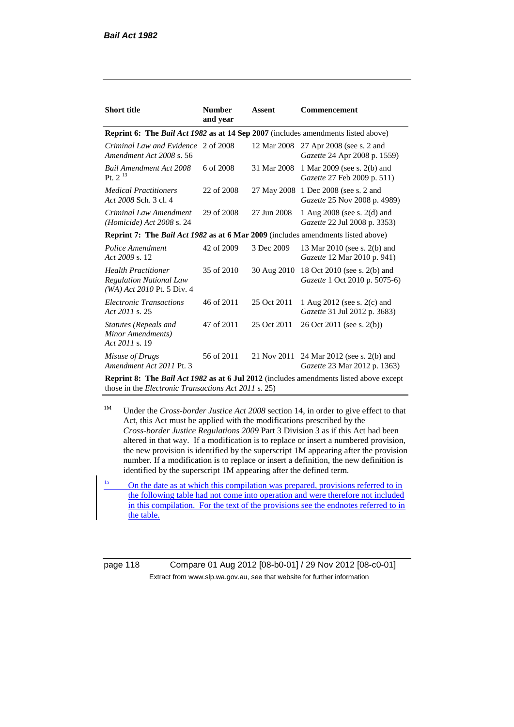| <b>Short title</b>                                                                            | <b>Number</b><br>and year | <b>Assent</b> | <b>Commencement</b>                                           |  |
|-----------------------------------------------------------------------------------------------|---------------------------|---------------|---------------------------------------------------------------|--|
| Reprint 6: The Bail Act 1982 as at 14 Sep 2007 (includes amendments listed above)             |                           |               |                                                               |  |
| Criminal Law and Evidence 2 of 2008<br>Amendment Act 2008 s. 56                               |                           | 12 Mar 2008   | 27 Apr 2008 (see s. 2 and<br>Gazette 24 Apr 2008 p. 1559)     |  |
| Bail Amendment Act 2008<br>Pt. $2^{13}$                                                       | 6 of 2008                 | 31 Mar 2008   | 1 Mar 2009 (see s. 2(b) and<br>Gazette 27 Feb 2009 p. 511)    |  |
| <b>Medical Practitioners</b><br>Act 2008 Sch. 3 cl. 4                                         | 22 of 2008                | 27 May 2008   | 1 Dec 2008 (see s. 2 and<br>Gazette 25 Nov 2008 p. 4989)      |  |
| Criminal Law Amendment<br>(Homicide) Act 2008 s. 24                                           | 29 of 2008                | 27 Jun 2008   | 1 Aug 2008 (see s. 2(d) and<br>Gazette 22 Jul 2008 p. 3353)   |  |
| <b>Reprint 7: The Bail Act 1982 as at 6 Mar 2009</b> (includes amendments listed above)       |                           |               |                                                               |  |
| Police Amendment<br>Act 2009 s. 12                                                            | 42 of 2009                | 3 Dec 2009    | 13 Mar 2010 (see s. 2(b) and<br>Gazette 12 Mar 2010 p. 941)   |  |
| <b>Health Practitioner</b><br><b>Regulation National Law</b><br>(WA) Act 2010 Pt. 5 Div. 4    | 35 of 2010                | 30 Aug 2010   | 18 Oct 2010 (see s. 2(b) and<br>Gazette 1 Oct 2010 p. 5075-6) |  |
| <b>Electronic Transactions</b><br>Act 2011 s. 25                                              | 46 of 2011                | 25 Oct 2011   | 1 Aug 2012 (see s. 2(c) and<br>Gazette 31 Jul 2012 p. 3683)   |  |
| Statutes (Repeals and<br>Minor Amendments)<br>Act 2011 s. 19                                  | 47 of 2011                | 25 Oct 2011   | 26 Oct 2011 (see s. 2(b))                                     |  |
| Misuse of Drugs<br>Amendment Act 2011 Pt. 3                                                   | 56 of 2011                | 21 Nov 2011   | 24 Mar 2012 (see s. 2(b) and<br>Gazette 23 Mar 2012 p. 1363)  |  |
| <b>Reprint 8:</b> The Bail Act 1982 as at 6 Jul 2012 (includes amendments listed above except |                           |               |                                                               |  |

**Reprint 8: The** *Bail Act 1982* **as at 6 Jul 2012** (includes amendments listed above except those in the *Electronic Transactions Act 2011* s. 25)

<sup>1M</sup> Under the *Cross-border Justice Act 2008* section 14, in order to give effect to that Act, this Act must be applied with the modifications prescribed by the *Cross-border Justice Regulations 2009* Part 3 Division 3 as if this Act had been altered in that way. If a modification is to replace or insert a numbered provision, the new provision is identified by the superscript 1M appearing after the provision number. If a modification is to replace or insert a definition, the new definition is identified by the superscript 1M appearing after the defined term.

 $\frac{1a}{1}$  On the date as at which this compilation was prepared, provisions referred to in the following table had not come into operation and were therefore not included in this compilation. For the text of the provisions see the endnotes referred to in the table.

page 118 Compare 01 Aug 2012 [08-b0-01] / 29 Nov 2012 [08-c0-01] Extract from www.slp.wa.gov.au, see that website for further information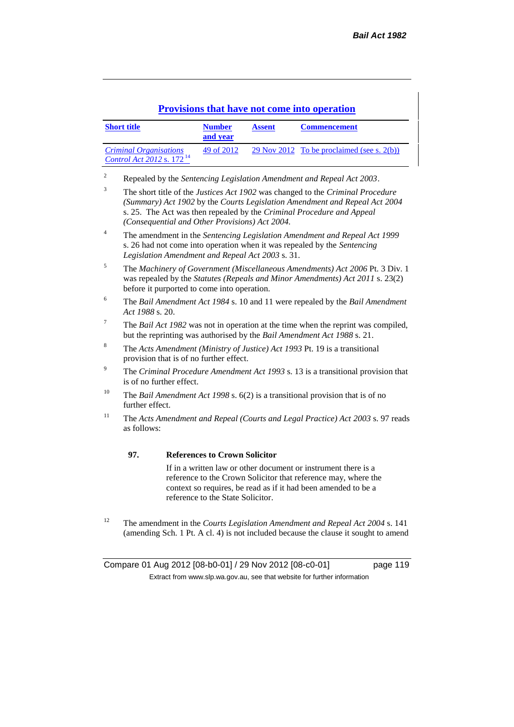### **Provisions that have not come into operation**

| <b>Short title</b>                                              | <b>Number</b><br>and year | <b>Assent</b> | <b>Commencement</b>                           |
|-----------------------------------------------------------------|---------------------------|---------------|-----------------------------------------------|
| <b>Criminal Organisations</b><br>Control Act 2012 s. $172^{14}$ | 49 of 2012                |               | 29 Nov 2012 To be proclaimed (see s. $2(b)$ ) |

<sup>2</sup> Repealed by the *Sentencing Legislation Amendment and Repeal Act 2003*.

- <sup>3</sup> The short title of the *Justices Act 1902* was changed to the *Criminal Procedure (Summary) Act 1902* by the *Courts Legislation Amendment and Repeal Act 2004*  s. 25. The Act was then repealed by the *Criminal Procedure and Appeal (Consequential and Other Provisions) Act 2004.*
- <sup>4</sup> The amendment in the *Sentencing Legislation Amendment and Repeal Act 1999* s. 26 had not come into operation when it was repealed by the *Sentencing Legislation Amendment and Repeal Act 2003* s. 31.
- <sup>5</sup> The *Machinery of Government (Miscellaneous Amendments) Act 2006* Pt. 3 Div. 1 was repealed by the *Statutes (Repeals and Minor Amendments) Act 2011* s. 23(2) before it purported to come into operation.
- <sup>6</sup> The *Bail Amendment Act 1984* s. 10 and 11 were repealed by the *Bail Amendment Act 1988* s. 20.
- <sup>7</sup> The *Bail Act 1982* was not in operation at the time when the reprint was compiled, but the reprinting was authorised by the *Bail Amendment Act 1988* s. 21.
- <sup>8</sup> The *Acts Amendment (Ministry of Justice) Act 1993* Pt. 19 is a transitional provision that is of no further effect.
- <sup>9</sup> The *Criminal Procedure Amendment Act 1993* s. 13 is a transitional provision that is of no further effect.
- <sup>10</sup> The *Bail Amendment Act 1998* s. 6(2) is a transitional provision that is of no further effect.
- <sup>11</sup> The *Acts Amendment and Repeal (Courts and Legal Practice) Act 2003* s. 97 reads as follows:

#### **97. References to Crown Solicitor**

If in a written law or other document or instrument there is a reference to the Crown Solicitor that reference may, where the context so requires, be read as if it had been amended to be a reference to the State Solicitor.

<sup>12</sup> The amendment in the *Courts Legislation Amendment and Repeal Act 2004* s. 141 (amending Sch. 1 Pt. A cl. 4) is not included because the clause it sought to amend

Compare 01 Aug 2012 [08-b0-01] / 29 Nov 2012 [08-c0-01] page 119 Extract from www.slp.wa.gov.au, see that website for further information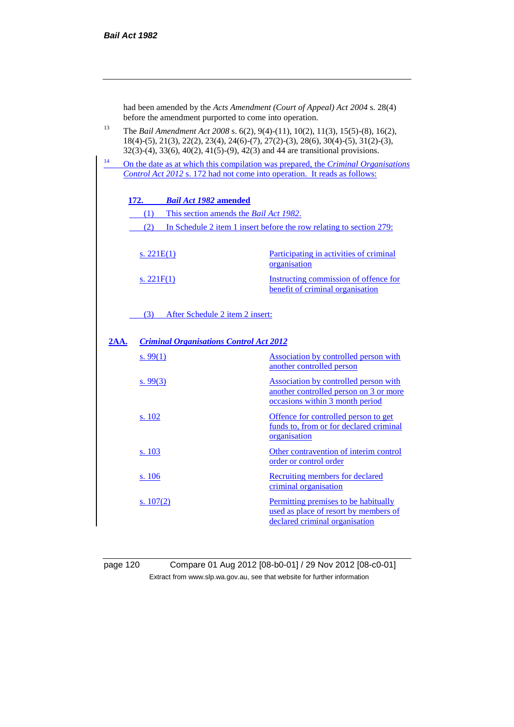|                                                        | had been amended by the Acts Amendment (Court of Appeal) Act 2004 s. 28(4)<br>before the amendment purported to come into operation.                                                                                                                                 |                                            |                                                                                                                                                                |  |  |
|--------------------------------------------------------|----------------------------------------------------------------------------------------------------------------------------------------------------------------------------------------------------------------------------------------------------------------------|--------------------------------------------|----------------------------------------------------------------------------------------------------------------------------------------------------------------|--|--|
| 13                                                     | The Bail Amendment Act 2008 s. 6(2), 9(4)-(11), 10(2), 11(3), 15(5)-(8), 16(2),<br>18(4)-(5), 21(3), 22(2), 23(4), 24(6)-(7), 27(2)-(3), 28(6), 30(4)-(5), 31(2)-(3),<br>$32(3)-(4)$ , $33(6)$ , $40(2)$ , $41(5)-(9)$ , $42(3)$ and 44 are transitional provisions. |                                            |                                                                                                                                                                |  |  |
| 14                                                     |                                                                                                                                                                                                                                                                      |                                            | On the date as at which this compilation was prepared, the Criminal Organisations<br>Control Act 2012 s. 172 had not come into operation. It reads as follows: |  |  |
|                                                        |                                                                                                                                                                                                                                                                      |                                            |                                                                                                                                                                |  |  |
|                                                        | <b>172.</b>                                                                                                                                                                                                                                                          | <b>Bail Act 1982 amended</b>               |                                                                                                                                                                |  |  |
|                                                        |                                                                                                                                                                                                                                                                      | (1) This section amends the Bail Act 1982. |                                                                                                                                                                |  |  |
|                                                        | (2)                                                                                                                                                                                                                                                                  |                                            | In Schedule 2 item 1 insert before the row relating to section 279:                                                                                            |  |  |
|                                                        |                                                                                                                                                                                                                                                                      |                                            |                                                                                                                                                                |  |  |
|                                                        | s. $221E(1)$                                                                                                                                                                                                                                                         |                                            | Participating in activities of criminal<br>organisation                                                                                                        |  |  |
|                                                        | s. $221F(1)$                                                                                                                                                                                                                                                         |                                            | Instructing commission of offence for<br>benefit of criminal organisation                                                                                      |  |  |
|                                                        | (3)                                                                                                                                                                                                                                                                  | After Schedule 2 item 2 insert:            |                                                                                                                                                                |  |  |
| <b>Criminal Organisations Control Act 2012</b><br>2AA. |                                                                                                                                                                                                                                                                      |                                            |                                                                                                                                                                |  |  |
|                                                        | s.99(1)                                                                                                                                                                                                                                                              |                                            | Association by controlled person with<br>another controlled person                                                                                             |  |  |
|                                                        | s. 99(3)                                                                                                                                                                                                                                                             |                                            | Association by controlled person with<br>another controlled person on 3 or more<br>occasions within 3 month period                                             |  |  |
|                                                        | s. 102                                                                                                                                                                                                                                                               |                                            | Offence for controlled person to get<br>funds to, from or for declared criminal<br>organisation                                                                |  |  |
|                                                        | s. 103                                                                                                                                                                                                                                                               |                                            | Other contravention of interim control<br>order or control order                                                                                               |  |  |
|                                                        | <u>s. 106</u>                                                                                                                                                                                                                                                        |                                            | Recruiting members for declared<br>criminal organisation                                                                                                       |  |  |
|                                                        | <u>s. 107(2)</u>                                                                                                                                                                                                                                                     |                                            | Permitting premises to be habitually<br>used as place of resort by members of<br>declared criminal organisation                                                |  |  |

page 120 Compare 01 Aug 2012 [08-b0-01] / 29 Nov 2012 [08-c0-01] Extract from www.slp.wa.gov.au, see that website for further information